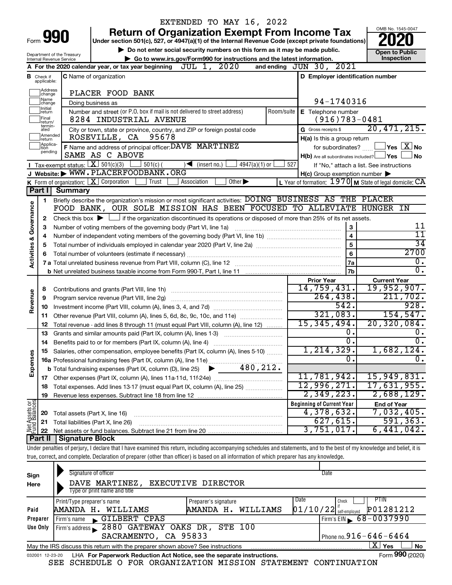|                         |                                  |                                | EXTENDED TO MAY 16, 2022                                                                                                                                                   |            |                                                     |                                                             |
|-------------------------|----------------------------------|--------------------------------|----------------------------------------------------------------------------------------------------------------------------------------------------------------------------|------------|-----------------------------------------------------|-------------------------------------------------------------|
|                         |                                  |                                | <b>Return of Organization Exempt From Income Tax</b>                                                                                                                       |            |                                                     | OMB No. 1545-0047                                           |
|                         |                                  | Form 990                       | Under section 501(c), 527, or 4947(a)(1) of the Internal Revenue Code (except private foundations)                                                                         |            |                                                     |                                                             |
|                         |                                  | Department of the Treasury     | Do not enter social security numbers on this form as it may be made public.                                                                                                |            |                                                     | <b>Open to Public</b>                                       |
|                         |                                  | Internal Revenue Service       | Go to www.irs.gov/Form990 for instructions and the latest information.                                                                                                     |            |                                                     | Inspection                                                  |
|                         |                                  |                                | A For the 2020 calendar year, or tax year beginning JUL 1, 2020                                                                                                            |            | and ending JUN 30, 2021                             |                                                             |
|                         | <b>B</b> Check if<br>applicable: |                                | <b>C</b> Name of organization                                                                                                                                              |            | D Employer identification number                    |                                                             |
|                         | Address<br>change                |                                | PLACER FOOD BANK                                                                                                                                                           |            |                                                     |                                                             |
|                         | Name<br>change                   |                                | Doing business as                                                                                                                                                          |            | 94-1740316                                          |                                                             |
|                         | Ilnitial<br>return               |                                | Number and street (or P.O. box if mail is not delivered to street address)                                                                                                 | Room/suite | E Telephone number                                  |                                                             |
|                         | Final<br>return/                 |                                | 8284 INDUSTRIAL AVENUE                                                                                                                                                     |            | $(916)783 - 0481$                                   |                                                             |
|                         | termin-<br>ated                  |                                | City or town, state or province, country, and ZIP or foreign postal code                                                                                                   |            | G Gross receipts \$                                 | 20,471,215.                                                 |
|                         | Amended<br>Ireturn               |                                | 95678<br>ROSEVILLE, CA                                                                                                                                                     |            | H(a) Is this a group return                         |                                                             |
|                         | Applica-<br>tion<br>pending      |                                | F Name and address of principal officer: DAVE MARTINEZ                                                                                                                     |            | for subordinates?                                   | $\,$ Yes $\,$ $\rm X$ No $\,$                               |
|                         |                                  |                                | SAME AS C ABOVE                                                                                                                                                            |            | $H(b)$ Are all subordinates included? $\Box$ Yes    | <b>No</b>                                                   |
|                         |                                  |                                | Tax-exempt status: $X \over 301(c)(3)$<br>$501(c)$ (<br>$4947(a)(1)$ or<br>$\sqrt{\bullet}$ (insert no.)                                                                   | 527        |                                                     | If "No," attach a list. See instructions                    |
|                         |                                  |                                | J Website: WWW.PLACERFOODBANK.ORG                                                                                                                                          |            | $H(c)$ Group exemption number $\blacktriangleright$ |                                                             |
|                         | Part I                           | <b>Summary</b>                 | K Form of organization: $X$ Corporation<br>Other $\blacktriangleright$<br>Trust<br>Association                                                                             |            |                                                     | L Year of formation: $1970$ M State of legal domicile: $CA$ |
|                         |                                  |                                | Briefly describe the organization's mission or most significant activities: DOING BUSINESS AS THE PLACER                                                                   |            |                                                     |                                                             |
|                         | 1                                |                                | FOOD BANK, OUR SOLE MISSION HAS BEEN FOCUSED TO ALLEVIATE HUNGER IN                                                                                                        |            |                                                     |                                                             |
| Governance              | 2                                |                                | Check this box $\blacktriangleright$ $\Box$ if the organization discontinued its operations or disposed of more than 25% of its net assets.                                |            |                                                     |                                                             |
|                         | З                                |                                | Number of voting members of the governing body (Part VI, line 1a)                                                                                                          |            | 3                                                   | 11                                                          |
|                         | 4                                |                                |                                                                                                                                                                            |            | $\overline{4}$                                      | $\overline{11}$                                             |
|                         | 5                                |                                |                                                                                                                                                                            |            | $\overline{5}$                                      | $\overline{34}$                                             |
|                         | 6                                |                                |                                                                                                                                                                            |            | 6                                                   | 2700                                                        |
| <b>Activities &amp;</b> |                                  |                                |                                                                                                                                                                            |            | 7a                                                  | $\overline{0}$ .                                            |
|                         |                                  |                                |                                                                                                                                                                            |            | 7b                                                  | $\overline{0}$ .                                            |
|                         |                                  |                                |                                                                                                                                                                            |            | <b>Prior Year</b>                                   | <b>Current Year</b>                                         |
|                         | 8                                |                                |                                                                                                                                                                            |            | 14,759,431.                                         | 19,952,907.                                                 |
| Revenue                 | 9                                |                                | Program service revenue (Part VIII, line 2g)                                                                                                                               |            | 264, 438.                                           | 211,702.                                                    |
|                         | 10                               |                                |                                                                                                                                                                            |            | 542.                                                | 928.                                                        |
|                         | 11                               |                                | Other revenue (Part VIII, column (A), lines 5, 6d, 8c, 9c, 10c, and 11e)                                                                                                   |            | 321,083.                                            | 154, 547.                                                   |
|                         | 12                               |                                | Total revenue - add lines 8 through 11 (must equal Part VIII, column (A), line 12)                                                                                         |            | 15, 345, 494.                                       | 20, 320, 084.                                               |
|                         | 13                               |                                | Grants and similar amounts paid (Part IX, column (A), lines 1-3)                                                                                                           |            | 0.                                                  | $0$ .                                                       |
|                         |                                  |                                |                                                                                                                                                                            |            | $\overline{0}$ .                                    | $\overline{0}$ .                                            |
|                         |                                  |                                | Salaries, other compensation, employee benefits (Part IX, column (A), lines 5-10)                                                                                          |            | 1,214,329.                                          | 1,682,124.                                                  |
| Expenses                |                                  |                                |                                                                                                                                                                            |            | $\overline{0}$ .                                    | $\overline{0}$ .                                            |
|                         |                                  |                                | 480,212.<br><b>b</b> Total fundraising expenses (Part IX, column (D), line 25)                                                                                             |            |                                                     |                                                             |
|                         |                                  |                                |                                                                                                                                                                            |            | 11,781,942.                                         | 15,949,831.                                                 |
|                         | 18                               |                                | Total expenses. Add lines 13-17 (must equal Part IX, column (A), line 25)                                                                                                  |            | 12,996,271.                                         | 17,631,955.                                                 |
|                         | 19                               |                                |                                                                                                                                                                            |            | 2,349,223.                                          | 2,688,129.                                                  |
| Net Assets or           |                                  |                                |                                                                                                                                                                            |            | <b>Beginning of Current Year</b><br>4,378,632.      | <b>End of Year</b><br>7,032,405.                            |
|                         | 20                               | Total assets (Part X, line 16) |                                                                                                                                                                            |            | 627,615.                                            | 591, 363.                                                   |
|                         | 21                               |                                | Total liabilities (Part X, line 26)                                                                                                                                        |            | 3,751,017.                                          | 6,441,042.                                                  |
|                         | 22<br>Part II                    | Signature Block                |                                                                                                                                                                            |            |                                                     |                                                             |
|                         |                                  |                                | Under penalties of perjury, I declare that I have examined this return, including accompanying schedules and statements, and to the best of my knowledge and belief, it is |            |                                                     |                                                             |
|                         |                                  |                                | true, correct, and complete. Declaration of preparer (other than officer) is based on all information of which preparer has any knowledge.                                 |            |                                                     |                                                             |
|                         |                                  |                                |                                                                                                                                                                            |            |                                                     |                                                             |
| Sign                    |                                  |                                | Signature of officer                                                                                                                                                       |            | Date                                                |                                                             |
| Here                    |                                  |                                | DAVE MARTINEZ, EXECUTIVE DIRECTOR                                                                                                                                          |            |                                                     |                                                             |

| Here     | DAVE MARIINEZ, EAECUIIVE DIRECTOR                                                                            |                      |                                                     |  |  |
|----------|--------------------------------------------------------------------------------------------------------------|----------------------|-----------------------------------------------------|--|--|
|          | Type or print name and title                                                                                 |                      |                                                     |  |  |
|          | Print/Type preparer's name                                                                                   | Preparer's signature | Date<br>PTIN<br>Check                               |  |  |
| Paid     | AMANDA H. WILLIAMS                                                                                           | AMANDA H. WILLIAMS   | P01281212<br>$01/10/22$ $\frac{1}{3}$ self-employed |  |  |
| Preparer | GILBERT CPAS<br>Firm's name<br><b>CONTRACTOR</b>                                                             |                      | $\frac{1}{2}$ Firm's EIN $\frac{68 - 0037990}{2}$   |  |  |
| Use Only | Firm's address 2880 GATEWAY OAKS DR, STE 100                                                                 |                      |                                                     |  |  |
|          | SACRAMENTO, CA 95833                                                                                         |                      | Phone no. $916 - 646 - 6464$                        |  |  |
|          | X.<br><b>No</b><br>Yes<br>May the IRS discuss this return with the preparer shown above? See instructions    |                      |                                                     |  |  |
|          | Form 990 (2020)<br>LHA For Paperwork Reduction Act Notice, see the separate instructions.<br>032001 12-23-20 |                      |                                                     |  |  |

| SEE SCHEDULE O FOR ORGANIZATION MISSION STATEMENT CONTINUATION |  |  |
|----------------------------------------------------------------|--|--|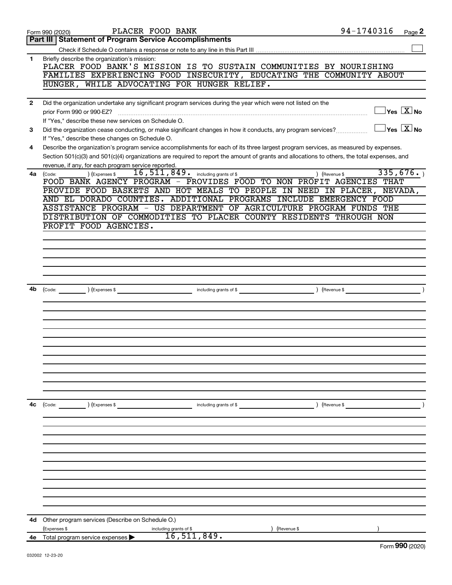|              | 94-1740316<br>PLACER FOOD BANK<br>Form 990 (2020)                                                                                                                                                                                                                                                                                                                                                                                                                              | Page 2                                  |
|--------------|--------------------------------------------------------------------------------------------------------------------------------------------------------------------------------------------------------------------------------------------------------------------------------------------------------------------------------------------------------------------------------------------------------------------------------------------------------------------------------|-----------------------------------------|
|              | <b>Part III   Statement of Program Service Accomplishments</b>                                                                                                                                                                                                                                                                                                                                                                                                                 |                                         |
|              |                                                                                                                                                                                                                                                                                                                                                                                                                                                                                |                                         |
| 1            | Briefly describe the organization's mission:<br>PLACER FOOD BANK'S MISSION IS TO SUSTAIN COMMUNITIES BY NOURISHING<br>FAMILIES EXPERIENCING FOOD INSECURITY, EDUCATING THE COMMUNITY ABOUT<br>HUNGER, WHILE ADVOCATING FOR HUNGER RELIEF.                                                                                                                                                                                                                                      |                                         |
|              |                                                                                                                                                                                                                                                                                                                                                                                                                                                                                |                                         |
| $\mathbf{2}$ | Did the organization undertake any significant program services during the year which were not listed on the<br>prior Form 990 or 990-EZ?<br>If "Yes," describe these new services on Schedule O.                                                                                                                                                                                                                                                                              | $\Box$ Yes $[\overline{\mathrm{X}}]$ No |
| 3            | Did the organization cease conducting, or make significant changes in how it conducts, any program services?<br>If "Yes," describe these changes on Schedule O.                                                                                                                                                                                                                                                                                                                | $\Box$ Yes $\Box$ No                    |
| 4            | Describe the organization's program service accomplishments for each of its three largest program services, as measured by expenses.<br>Section 501(c)(3) and 501(c)(4) organizations are required to report the amount of grants and allocations to others, the total expenses, and<br>revenue, if any, for each program service reported.                                                                                                                                    |                                         |
| 4a           | 16, 511, 849. including grants of \$<br>(Expenses \$<br>) (Revenue \$<br>(Code:<br>FOOD BANK AGENCY PROGRAM - PROVIDES FOOD TO NON PROFIT AGENCIES THAT<br>PROVIDE FOOD BASKETS AND HOT MEALS TO PEOPLE IN NEED IN PLACER, NEVADA,<br>AND EL DORADO COUNTIES. ADDITIONAL PROGRAMS INCLUDE EMERGENCY FOOD<br>ASSISTANCE PROGRAM - US DEPARTMENT OF AGRICULTURE PROGRAM FUNDS THE<br>DISTRIBUTION OF COMMODITIES TO PLACER COUNTY RESIDENTS THROUGH NON<br>PROFIT FOOD AGENCIES. | 335,676.                                |
|              |                                                                                                                                                                                                                                                                                                                                                                                                                                                                                |                                         |
|              |                                                                                                                                                                                                                                                                                                                                                                                                                                                                                |                                         |
|              |                                                                                                                                                                                                                                                                                                                                                                                                                                                                                |                                         |
|              |                                                                                                                                                                                                                                                                                                                                                                                                                                                                                |                                         |
| 4b           | (Code: (Compared to the second of the second of the second of the second of the second of the second of the second of the second of the second of the second of the second of the second of the second of the second of the se                                                                                                                                                                                                                                                 |                                         |
|              |                                                                                                                                                                                                                                                                                                                                                                                                                                                                                |                                         |
|              |                                                                                                                                                                                                                                                                                                                                                                                                                                                                                |                                         |
|              |                                                                                                                                                                                                                                                                                                                                                                                                                                                                                |                                         |
|              |                                                                                                                                                                                                                                                                                                                                                                                                                                                                                |                                         |
|              |                                                                                                                                                                                                                                                                                                                                                                                                                                                                                |                                         |
|              |                                                                                                                                                                                                                                                                                                                                                                                                                                                                                |                                         |
|              |                                                                                                                                                                                                                                                                                                                                                                                                                                                                                |                                         |
|              |                                                                                                                                                                                                                                                                                                                                                                                                                                                                                |                                         |
|              |                                                                                                                                                                                                                                                                                                                                                                                                                                                                                |                                         |
|              |                                                                                                                                                                                                                                                                                                                                                                                                                                                                                |                                         |
| 4c           | (Expenses \$<br>(Revenue \$<br>(Code:<br>including grants of \$                                                                                                                                                                                                                                                                                                                                                                                                                |                                         |
|              |                                                                                                                                                                                                                                                                                                                                                                                                                                                                                |                                         |
|              |                                                                                                                                                                                                                                                                                                                                                                                                                                                                                |                                         |
|              |                                                                                                                                                                                                                                                                                                                                                                                                                                                                                |                                         |
|              |                                                                                                                                                                                                                                                                                                                                                                                                                                                                                |                                         |
|              |                                                                                                                                                                                                                                                                                                                                                                                                                                                                                |                                         |
|              |                                                                                                                                                                                                                                                                                                                                                                                                                                                                                |                                         |
|              |                                                                                                                                                                                                                                                                                                                                                                                                                                                                                |                                         |
|              |                                                                                                                                                                                                                                                                                                                                                                                                                                                                                |                                         |
|              |                                                                                                                                                                                                                                                                                                                                                                                                                                                                                |                                         |
|              |                                                                                                                                                                                                                                                                                                                                                                                                                                                                                |                                         |
| 4d           | Other program services (Describe on Schedule O.)                                                                                                                                                                                                                                                                                                                                                                                                                               |                                         |
|              | (Expenses \$<br>Revenue \$<br>including grants of \$                                                                                                                                                                                                                                                                                                                                                                                                                           |                                         |
| 4е           | 16, 511, 849.<br>Total program service expenses                                                                                                                                                                                                                                                                                                                                                                                                                                |                                         |
|              |                                                                                                                                                                                                                                                                                                                                                                                                                                                                                | Eorm $990(2020)$                        |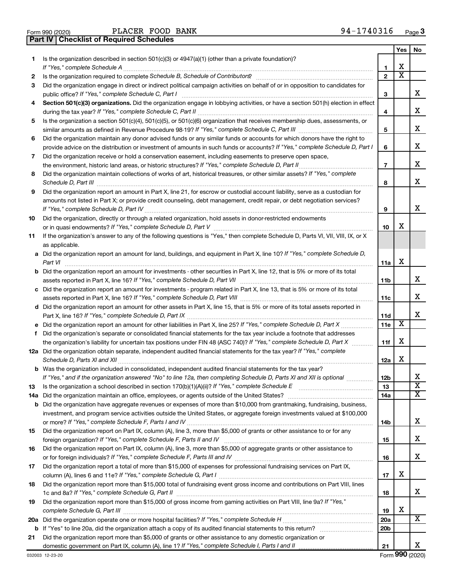|  | Form 990 (2020) |
|--|-----------------|

PLACER FOOD BANK 94-1740316

**Part IV Checklist of Required Schedules**

|    |                                                                                                                                       |                          | Yes | No                      |
|----|---------------------------------------------------------------------------------------------------------------------------------------|--------------------------|-----|-------------------------|
| 1  | Is the organization described in section 501(c)(3) or 4947(a)(1) (other than a private foundation)?                                   | 1                        | х   |                         |
| 2  |                                                                                                                                       | $\mathbf{2}$             | X   |                         |
| 3  | Did the organization engage in direct or indirect political campaign activities on behalf of or in opposition to candidates for       |                          |     |                         |
|    | public office? If "Yes," complete Schedule C, Part I                                                                                  | 3                        |     | x                       |
| 4  | Section 501(c)(3) organizations. Did the organization engage in lobbying activities, or have a section 501(h) election in effect      |                          |     |                         |
|    |                                                                                                                                       | 4                        |     | х                       |
| 5  | Is the organization a section 501(c)(4), 501(c)(5), or 501(c)(6) organization that receives membership dues, assessments, or          |                          |     |                         |
|    |                                                                                                                                       | 5                        |     | x                       |
| 6  | Did the organization maintain any donor advised funds or any similar funds or accounts for which donors have the right to             |                          |     |                         |
|    | provide advice on the distribution or investment of amounts in such funds or accounts? If "Yes," complete Schedule D, Part I          | 6                        |     | х                       |
| 7  | Did the organization receive or hold a conservation easement, including easements to preserve open space,                             |                          |     |                         |
|    |                                                                                                                                       | $\overline{\phantom{a}}$ |     | х                       |
| 8  | Did the organization maintain collections of works of art, historical treasures, or other similar assets? If "Yes," complete          |                          |     |                         |
|    | Schedule D, Part III <b>www.community.community.community.community.community.community.com</b>                                       | 8                        |     | x                       |
| 9  | Did the organization report an amount in Part X, line 21, for escrow or custodial account liability, serve as a custodian for         |                          |     |                         |
|    | amounts not listed in Part X; or provide credit counseling, debt management, credit repair, or debt negotiation services?             |                          |     |                         |
|    |                                                                                                                                       | 9                        |     | x                       |
| 10 | Did the organization, directly or through a related organization, hold assets in donor-restricted endowments                          |                          |     |                         |
|    |                                                                                                                                       | 10                       | х   |                         |
| 11 | If the organization's answer to any of the following questions is "Yes," then complete Schedule D, Parts VI, VII, VIII, IX, or X      |                          |     |                         |
|    | as applicable.                                                                                                                        |                          |     |                         |
|    | a Did the organization report an amount for land, buildings, and equipment in Part X, line 10? If "Yes," complete Schedule D,         |                          |     |                         |
|    | Part VI                                                                                                                               | 11a                      | X   |                         |
|    | <b>b</b> Did the organization report an amount for investments - other securities in Part X, line 12, that is 5% or more of its total |                          |     |                         |
|    |                                                                                                                                       | 11b                      |     | х                       |
|    | c Did the organization report an amount for investments - program related in Part X, line 13, that is 5% or more of its total         |                          |     |                         |
|    |                                                                                                                                       | 11c                      |     | x                       |
|    | d Did the organization report an amount for other assets in Part X, line 15, that is 5% or more of its total assets reported in       |                          |     |                         |
|    |                                                                                                                                       | 11d                      |     | х                       |
|    |                                                                                                                                       | 11e                      | х   |                         |
| f  | Did the organization's separate or consolidated financial statements for the tax year include a footnote that addresses               |                          |     |                         |
|    | the organization's liability for uncertain tax positions under FIN 48 (ASC 740)? If "Yes," complete Schedule D, Part X                | 11f                      | х   |                         |
|    | 12a Did the organization obtain separate, independent audited financial statements for the tax year? If "Yes," complete               |                          |     |                         |
|    |                                                                                                                                       | 12a                      | х   |                         |
|    | <b>b</b> Was the organization included in consolidated, independent audited financial statements for the tax year?                    |                          |     |                         |
|    | If "Yes," and if the organization answered "No" to line 12a, then completing Schedule D, Parts XI and XII is optional                 | 12 <sub>b</sub>          |     | х                       |
| 13 |                                                                                                                                       | 13                       |     | $\overline{\textbf{x}}$ |
|    |                                                                                                                                       | 14a                      |     | х                       |
|    | <b>b</b> Did the organization have aggregate revenues or expenses of more than \$10,000 from grantmaking, fundraising, business,      |                          |     |                         |
|    | investment, and program service activities outside the United States, or aggregate foreign investments valued at \$100,000            |                          |     |                         |
|    |                                                                                                                                       | 14b                      |     | х                       |
| 15 | Did the organization report on Part IX, column (A), line 3, more than \$5,000 of grants or other assistance to or for any             |                          |     |                         |
|    |                                                                                                                                       | 15                       |     | х                       |
| 16 | Did the organization report on Part IX, column (A), line 3, more than \$5,000 of aggregate grants or other assistance to              |                          |     |                         |
|    |                                                                                                                                       | 16                       |     | x                       |
| 17 | Did the organization report a total of more than \$15,000 of expenses for professional fundraising services on Part IX,               |                          |     |                         |
|    |                                                                                                                                       | 17                       | х   |                         |
| 18 | Did the organization report more than \$15,000 total of fundraising event gross income and contributions on Part VIII, lines          |                          |     |                         |
|    |                                                                                                                                       | 18                       |     | x                       |
| 19 | Did the organization report more than \$15,000 of gross income from gaming activities on Part VIII, line 9a? If "Yes,"                |                          |     |                         |
|    |                                                                                                                                       | 19                       | х   |                         |
|    |                                                                                                                                       | 20a                      |     | X                       |
|    |                                                                                                                                       | 20 <sub>b</sub>          |     |                         |
| 21 | Did the organization report more than \$5,000 of grants or other assistance to any domestic organization or                           |                          |     |                         |
|    |                                                                                                                                       | 21                       |     | x                       |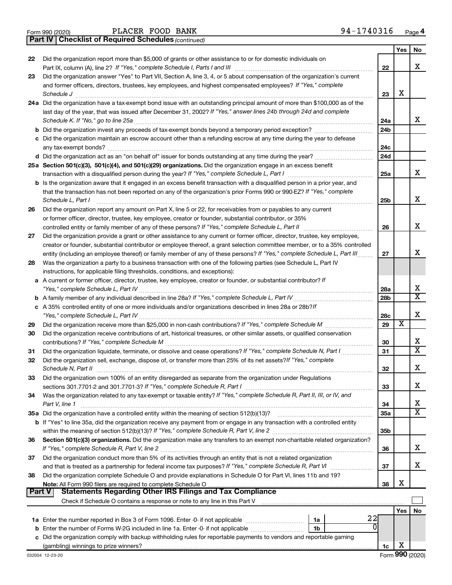|  | Form 990 (2020) |
|--|-----------------|
|  |                 |

*(continued)* **Part IV Checklist of Required Schedules**

|               |                                                                                                                                                                                                               |                 | Yes | No                      |
|---------------|---------------------------------------------------------------------------------------------------------------------------------------------------------------------------------------------------------------|-----------------|-----|-------------------------|
| 22            | Did the organization report more than \$5,000 of grants or other assistance to or for domestic individuals on                                                                                                 |                 |     |                         |
|               |                                                                                                                                                                                                               | 22              |     | x                       |
| 23            | Did the organization answer "Yes" to Part VII, Section A, line 3, 4, or 5 about compensation of the organization's current                                                                                    |                 |     |                         |
|               | and former officers, directors, trustees, key employees, and highest compensated employees? If "Yes," complete                                                                                                |                 |     |                         |
|               | Schedule J                                                                                                                                                                                                    | 23              | X   |                         |
|               | 24a Did the organization have a tax-exempt bond issue with an outstanding principal amount of more than \$100,000 as of the                                                                                   |                 |     |                         |
|               | last day of the year, that was issued after December 31, 2002? If "Yes," answer lines 24b through 24d and complete                                                                                            |                 |     |                         |
|               |                                                                                                                                                                                                               | 24a             |     | x                       |
|               | <b>b</b> Did the organization invest any proceeds of tax-exempt bonds beyond a temporary period exception?                                                                                                    | 24 <sub>b</sub> |     |                         |
|               | c Did the organization maintain an escrow account other than a refunding escrow at any time during the year to defease                                                                                        |                 |     |                         |
|               | any tax-exempt bonds?                                                                                                                                                                                         | 24c             |     |                         |
|               |                                                                                                                                                                                                               | 24d             |     |                         |
|               | 25a Section 501(c)(3), 501(c)(4), and 501(c)(29) organizations. Did the organization engage in an excess benefit                                                                                              |                 |     | x                       |
|               | transaction with a disqualified person during the year? If "Yes," complete Schedule L, Part I                                                                                                                 | 25a             |     |                         |
|               | <b>b</b> Is the organization aware that it engaged in an excess benefit transaction with a disqualified person in a prior year, and                                                                           |                 |     |                         |
|               | that the transaction has not been reported on any of the organization's prior Forms 990 or 990-EZ? If "Yes," complete                                                                                         |                 |     | х                       |
|               | Schedule L, Part I                                                                                                                                                                                            | 25 <sub>b</sub> |     |                         |
| 26            | Did the organization report any amount on Part X, line 5 or 22, for receivables from or payables to any current                                                                                               |                 |     |                         |
|               | or former officer, director, trustee, key employee, creator or founder, substantial contributor, or 35%<br>controlled entity or family member of any of these persons? If "Yes," complete Schedule L, Part II |                 |     | х                       |
|               | Did the organization provide a grant or other assistance to any current or former officer, director, trustee, key employee,                                                                                   | 26              |     |                         |
| 27            | creator or founder, substantial contributor or employee thereof, a grant selection committee member, or to a 35% controlled                                                                                   |                 |     |                         |
|               | entity (including an employee thereof) or family member of any of these persons? If "Yes," complete Schedule L, Part III                                                                                      | 27              |     | х                       |
| 28            | Was the organization a party to a business transaction with one of the following parties (see Schedule L, Part IV                                                                                             |                 |     |                         |
|               | instructions, for applicable filing thresholds, conditions, and exceptions):                                                                                                                                  |                 |     |                         |
|               | a A current or former officer, director, trustee, key employee, creator or founder, or substantial contributor? If                                                                                            |                 |     |                         |
|               |                                                                                                                                                                                                               | 28a             |     | х                       |
|               |                                                                                                                                                                                                               | 28 <sub>b</sub> |     | $\overline{\texttt{x}}$ |
|               | c A 35% controlled entity of one or more individuals and/or organizations described in lines 28a or 28b?If                                                                                                    |                 |     |                         |
|               |                                                                                                                                                                                                               | 28c             |     | х                       |
| 29            |                                                                                                                                                                                                               | 29              | х   |                         |
| 30            | Did the organization receive contributions of art, historical treasures, or other similar assets, or qualified conservation                                                                                   |                 |     |                         |
|               |                                                                                                                                                                                                               | 30              |     | х                       |
| 31            |                                                                                                                                                                                                               | 31              |     | $\overline{\textbf{X}}$ |
| 32            | Did the organization sell, exchange, dispose of, or transfer more than 25% of its net assets? If "Yes," complete                                                                                              |                 |     |                         |
|               | Schedule N, Part II                                                                                                                                                                                           | 32              |     | х                       |
| 33            | Did the organization own 100% of an entity disregarded as separate from the organization under Regulations                                                                                                    |                 |     |                         |
|               |                                                                                                                                                                                                               | 33              |     | х                       |
| 34            | Was the organization related to any tax-exempt or taxable entity? If "Yes," complete Schedule R, Part II, III, or IV, and                                                                                     |                 |     |                         |
|               | Part V, line 1                                                                                                                                                                                                | 34              |     | х                       |
|               |                                                                                                                                                                                                               | 35a             |     | $\overline{\text{X}}$   |
|               | b If "Yes" to line 35a, did the organization receive any payment from or engage in any transaction with a controlled entity                                                                                   |                 |     |                         |
|               |                                                                                                                                                                                                               | 35 <sub>b</sub> |     |                         |
| 36            | Section 501(c)(3) organizations. Did the organization make any transfers to an exempt non-charitable related organization?                                                                                    |                 |     |                         |
|               |                                                                                                                                                                                                               | 36              |     | х                       |
| 37            | Did the organization conduct more than 5% of its activities through an entity that is not a related organization                                                                                              |                 |     |                         |
|               |                                                                                                                                                                                                               | 37              |     | x                       |
| 38            | Did the organization complete Schedule O and provide explanations in Schedule O for Part VI, lines 11b and 19?                                                                                                |                 |     |                         |
| <b>Part V</b> |                                                                                                                                                                                                               | 38              | х   |                         |
|               | <b>Statements Regarding Other IRS Filings and Tax Compliance</b>                                                                                                                                              |                 |     |                         |
|               |                                                                                                                                                                                                               |                 |     |                         |
|               | 22                                                                                                                                                                                                            |                 | Yes | No                      |
|               | 1a<br>ŋ<br>Enter the number of Forms W-2G included in line 1a. Enter -0- if not applicable<br>1b                                                                                                              |                 |     |                         |
| b             | Did the organization comply with backup withholding rules for reportable payments to vendors and reportable gaming                                                                                            |                 |     |                         |
| с             |                                                                                                                                                                                                               | 1c              | х   |                         |
|               |                                                                                                                                                                                                               |                 |     |                         |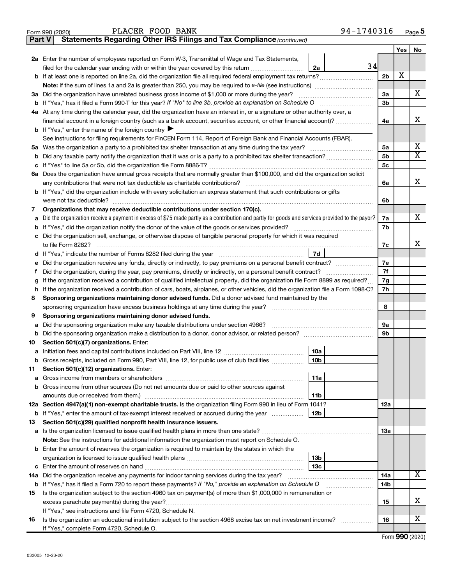| Form 990 (2020) | FOOD<br><b>BANK</b><br><b>PLACER</b> | 740316<br>$P$ age $\sim$ |
|-----------------|--------------------------------------|--------------------------|
|-----------------|--------------------------------------|--------------------------|

| orm 990 (2020) |                                                                              | PLACER FOOD BANK |  |  | 94-1740316 |  |
|----------------|------------------------------------------------------------------------------|------------------|--|--|------------|--|
|                | Part V Statements Regarding Other IRS Filings and Tax Compliance (continued) |                  |  |  |            |  |

|     |                                                                                                                                                 |                | Yes | No                      |
|-----|-------------------------------------------------------------------------------------------------------------------------------------------------|----------------|-----|-------------------------|
|     | 2a Enter the number of employees reported on Form W-3, Transmittal of Wage and Tax Statements,                                                  |                |     |                         |
|     | 34<br>filed for the calendar year ending with or within the year covered by this return<br>2a                                                   |                |     |                         |
|     | <b>b</b> If at least one is reported on line 2a, did the organization file all required federal employment tax returns?                         | 2 <sub>b</sub> | х   |                         |
|     |                                                                                                                                                 |                |     |                         |
|     | 3a Did the organization have unrelated business gross income of \$1,000 or more during the year?                                                | 3a             |     | х                       |
|     | <b>b</b> If "Yes," has it filed a Form 990-T for this year? If "No" to line 3b, provide an explanation on Schedule O                            | 3b             |     |                         |
|     | 4a At any time during the calendar year, did the organization have an interest in, or a signature or other authority over, a                    |                |     |                         |
|     |                                                                                                                                                 | 4a             |     | х                       |
|     | <b>b</b> If "Yes," enter the name of the foreign country $\blacktriangleright$                                                                  |                |     |                         |
|     | See instructions for filing requirements for FinCEN Form 114, Report of Foreign Bank and Financial Accounts (FBAR).                             |                |     |                         |
|     |                                                                                                                                                 | 5a             |     | х                       |
| b   |                                                                                                                                                 | 5b             |     | $\overline{\textbf{X}}$ |
| с   |                                                                                                                                                 | 5c             |     |                         |
|     | 6a Does the organization have annual gross receipts that are normally greater than \$100,000, and did the organization solicit                  |                |     |                         |
|     |                                                                                                                                                 | 6a             |     | x                       |
|     | <b>b</b> If "Yes," did the organization include with every solicitation an express statement that such contributions or gifts                   |                |     |                         |
|     | were not tax deductible?                                                                                                                        | 6b             |     |                         |
| 7   | Organizations that may receive deductible contributions under section 170(c).                                                                   |                |     |                         |
| a   | Did the organization receive a payment in excess of \$75 made partly as a contribution and partly for goods and services provided to the payor? | 7a             |     | х                       |
| b   |                                                                                                                                                 | 7b             |     |                         |
|     | c Did the organization sell, exchange, or otherwise dispose of tangible personal property for which it was required                             |                |     |                         |
|     |                                                                                                                                                 | 7c             |     | х                       |
|     | 7d                                                                                                                                              |                |     |                         |
| е   | Did the organization receive any funds, directly or indirectly, to pay premiums on a personal benefit contract?                                 | 7е             |     |                         |
| f.  | Did the organization, during the year, pay premiums, directly or indirectly, on a personal benefit contract?                                    | 7f             |     |                         |
| g   | If the organization received a contribution of qualified intellectual property, did the organization file Form 8899 as required?                | 7g             |     |                         |
| h   | If the organization received a contribution of cars, boats, airplanes, or other vehicles, did the organization file a Form 1098-C?              | 7h             |     |                         |
| 8   | Sponsoring organizations maintaining donor advised funds. Did a donor advised fund maintained by the                                            |                |     |                         |
|     |                                                                                                                                                 | 8              |     |                         |
| 9   | Sponsoring organizations maintaining donor advised funds.                                                                                       |                |     |                         |
| а   | Did the sponsoring organization make any taxable distributions under section 4966?                                                              | 9а             |     |                         |
| b   | Did the sponsoring organization make a distribution to a donor, donor advisor, or related person? [[[[[[[[[[[                                   | 9b             |     |                         |
| 10  | Section 501(c)(7) organizations. Enter:                                                                                                         |                |     |                         |
| а   | 10a                                                                                                                                             |                |     |                         |
| b   | 10 <sub>b</sub><br>Gross receipts, included on Form 990, Part VIII, line 12, for public use of club facilities                                  |                |     |                         |
| 11. | Section 501(c)(12) organizations. Enter:<br> 11a                                                                                                |                |     |                         |
|     |                                                                                                                                                 |                |     |                         |
|     | b Gross income from other sources (Do not net amounts due or paid to other sources against                                                      |                |     |                         |
|     | 11 <sub>b</sub><br>12a Section 4947(a)(1) non-exempt charitable trusts. Is the organization filing Form 990 in lieu of Form 1041?               | 12a            |     |                         |
|     | 12b <br>b If "Yes," enter the amount of tax-exempt interest received or accrued during the year                                                 |                |     |                         |
| 13  | Section 501(c)(29) qualified nonprofit health insurance issuers.                                                                                |                |     |                         |
|     |                                                                                                                                                 | <b>13a</b>     |     |                         |
|     | Note: See the instructions for additional information the organization must report on Schedule O.                                               |                |     |                         |
|     | <b>b</b> Enter the amount of reserves the organization is required to maintain by the states in which the                                       |                |     |                         |
|     | 13 <sub>b</sub>                                                                                                                                 |                |     |                         |
|     | 13 <sub>c</sub>                                                                                                                                 |                |     |                         |
|     | 14a Did the organization receive any payments for indoor tanning services during the tax year?                                                  | 14a            |     | х                       |
|     | <b>b</b> If "Yes," has it filed a Form 720 to report these payments? If "No," provide an explanation on Schedule O                              | 14b            |     |                         |
| 15  | Is the organization subject to the section 4960 tax on payment(s) of more than \$1,000,000 in remuneration or                                   |                |     |                         |
|     | excess parachute payment(s) during the year?                                                                                                    | 15             |     | х                       |
|     | If "Yes," see instructions and file Form 4720, Schedule N.                                                                                      |                |     |                         |
| 16  | Is the organization an educational institution subject to the section 4968 excise tax on net investment income?                                 | 16             |     | х                       |
|     | If "Yes," complete Form 4720, Schedule O.                                                                                                       |                |     |                         |
|     |                                                                                                                                                 |                |     |                         |

Form (2020) **990**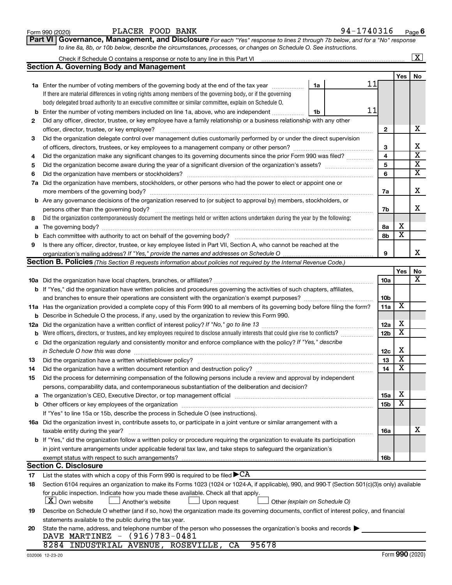| Form 990 (2020) |  |
|-----------------|--|
|-----------------|--|

**Part VI** Governance, Management, and Disclosure For each "Yes" response to lines 2 through 7b below, and for a "No" response *to line 8a, 8b, or 10b below, describe the circumstances, processes, or changes on Schedule O. See instructions.*

|     |                                                                                                                                                                                                                                |    |                 |                         | $\mathbf{X}$            |
|-----|--------------------------------------------------------------------------------------------------------------------------------------------------------------------------------------------------------------------------------|----|-----------------|-------------------------|-------------------------|
|     | Section A. Governing Body and Management                                                                                                                                                                                       |    |                 |                         |                         |
|     |                                                                                                                                                                                                                                |    |                 | Yes                     | No                      |
|     | <b>1a</b> Enter the number of voting members of the governing body at the end of the tax year<br>1a                                                                                                                            | 11 |                 |                         |                         |
|     | If there are material differences in voting rights among members of the governing body, or if the governing                                                                                                                    |    |                 |                         |                         |
|     | body delegated broad authority to an executive committee or similar committee, explain on Schedule O.                                                                                                                          |    |                 |                         |                         |
| b   | Enter the number of voting members included on line 1a, above, who are independent<br>1b                                                                                                                                       | 11 |                 |                         |                         |
| 2   | Did any officer, director, trustee, or key employee have a family relationship or a business relationship with any other                                                                                                       |    |                 |                         |                         |
|     | officer, director, trustee, or key employee?                                                                                                                                                                                   |    | $\mathbf{2}$    |                         | х                       |
| 3   | Did the organization delegate control over management duties customarily performed by or under the direct supervision                                                                                                          |    |                 |                         |                         |
|     |                                                                                                                                                                                                                                |    | 3               |                         | х                       |
| 4   | Did the organization make any significant changes to its governing documents since the prior Form 990 was filed?                                                                                                               |    | 4               |                         | $\overline{\textbf{x}}$ |
| 5   |                                                                                                                                                                                                                                |    | 5               |                         | $\overline{\textbf{X}}$ |
| 6   | Did the organization have members or stockholders?                                                                                                                                                                             |    | 6               |                         | $\overline{\textbf{X}}$ |
| 7a  | Did the organization have members, stockholders, or other persons who had the power to elect or appoint one or                                                                                                                 |    |                 |                         |                         |
|     |                                                                                                                                                                                                                                |    | 7a              |                         | х                       |
|     | <b>b</b> Are any governance decisions of the organization reserved to (or subject to approval by) members, stockholders, or                                                                                                    |    |                 |                         |                         |
|     | persons other than the governing body?                                                                                                                                                                                         |    | 7b              |                         | x                       |
| 8   | Did the organization contemporaneously document the meetings held or written actions undertaken during the year by the following:                                                                                              |    |                 |                         |                         |
| a   |                                                                                                                                                                                                                                |    | 8а              | х                       |                         |
| b   |                                                                                                                                                                                                                                |    | 8b              | $\overline{\textbf{x}}$ |                         |
| 9   | Is there any officer, director, trustee, or key employee listed in Part VII, Section A, who cannot be reached at the                                                                                                           |    |                 |                         |                         |
|     |                                                                                                                                                                                                                                |    | 9               |                         | x                       |
|     | Section B. Policies (This Section B requests information about policies not required by the Internal Revenue Code.)                                                                                                            |    |                 |                         |                         |
|     |                                                                                                                                                                                                                                |    |                 | Yes                     | No                      |
|     |                                                                                                                                                                                                                                |    | 10a             |                         | х                       |
|     | <b>b</b> If "Yes," did the organization have written policies and procedures governing the activities of such chapters, affiliates,                                                                                            |    |                 |                         |                         |
|     | and branches to ensure their operations are consistent with the organization's exempt purposes? www.www.www.www.                                                                                                               |    | 10 <sub>b</sub> |                         |                         |
|     | 11a Has the organization provided a complete copy of this Form 990 to all members of its governing body before filing the form?                                                                                                |    | 11a             | X                       |                         |
| b   | Describe in Schedule O the process, if any, used by the organization to review this Form 990.                                                                                                                                  |    |                 |                         |                         |
| 12a | Did the organization have a written conflict of interest policy? If "No," go to line 13                                                                                                                                        |    | 12a             | х                       |                         |
| b   | Were officers, directors, or trustees, and key employees required to disclose annually interests that could give rise to conflicts?                                                                                            |    | 12 <sub>b</sub> | х                       |                         |
| с   | Did the organization regularly and consistently monitor and enforce compliance with the policy? If "Yes," describe                                                                                                             |    |                 |                         |                         |
|     | in Schedule O how this was done                                                                                                                                                                                                |    | 12c             | х                       |                         |
| 13  | Did the organization have a written whistleblower policy?                                                                                                                                                                      |    | 13              | $\overline{\textbf{x}}$ |                         |
| 14  |                                                                                                                                                                                                                                |    | 14              | $\overline{\mathbf{X}}$ |                         |
| 15  | Did the process for determining compensation of the following persons include a review and approval by independent                                                                                                             |    |                 |                         |                         |
|     | persons, comparability data, and contemporaneous substantiation of the deliberation and decision?                                                                                                                              |    |                 |                         |                         |
| а   | The organization's CEO, Executive Director, or top management official manufactured content of the organization's CEO, Executive Director, or top management official manufactured content of the organization's CEO, Executiv |    | 15a             | х                       |                         |
|     |                                                                                                                                                                                                                                |    | 15b             | X                       |                         |
|     | If "Yes" to line 15a or 15b, describe the process in Schedule O (see instructions).                                                                                                                                            |    |                 |                         |                         |
|     | 16a Did the organization invest in, contribute assets to, or participate in a joint venture or similar arrangement with a                                                                                                      |    |                 |                         |                         |
|     | taxable entity during the year?                                                                                                                                                                                                |    | 16a             |                         | x                       |
|     | b If "Yes," did the organization follow a written policy or procedure requiring the organization to evaluate its participation                                                                                                 |    |                 |                         |                         |
|     | in joint venture arrangements under applicable federal tax law, and take steps to safeguard the organization's                                                                                                                 |    |                 |                         |                         |
|     | exempt status with respect to such arrangements?                                                                                                                                                                               |    | 16b             |                         |                         |
|     | <b>Section C. Disclosure</b>                                                                                                                                                                                                   |    |                 |                         |                         |
| 17  | List the states with which a copy of this Form 990 is required to be filed $\blacktriangleright$ CA                                                                                                                            |    |                 |                         |                         |
| 18  | Section 6104 requires an organization to make its Forms 1023 (1024 or 1024-A, if applicable), 990, and 990-T (Section 501(c)(3)s only) available                                                                               |    |                 |                         |                         |
|     | for public inspection. Indicate how you made these available. Check all that apply.                                                                                                                                            |    |                 |                         |                         |
|     | $X$ Own website<br>Another's website<br>Upon request<br>Other (explain on Schedule O)                                                                                                                                          |    |                 |                         |                         |
| 19  | Describe on Schedule O whether (and if so, how) the organization made its governing documents, conflict of interest policy, and financial                                                                                      |    |                 |                         |                         |
|     | statements available to the public during the tax year.                                                                                                                                                                        |    |                 |                         |                         |
| 20  | State the name, address, and telephone number of the person who possesses the organization's books and records                                                                                                                 |    |                 |                         |                         |
|     | DAVE MARTINEZ - (916)783-0481                                                                                                                                                                                                  |    |                 |                         |                         |
|     | 95678<br>8284 INDUSTRIAL AVENUE, ROSEVILLE, CA                                                                                                                                                                                 |    |                 |                         |                         |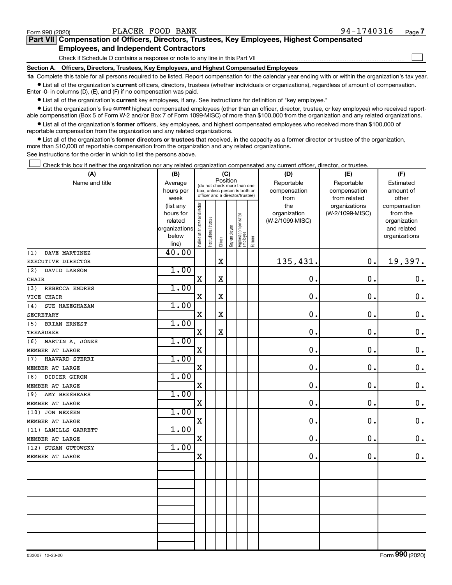$\Box$ 

| Part VII Compensation of Officers, Directors, Trustees, Key Employees, Highest Compensated |  |  |
|--------------------------------------------------------------------------------------------|--|--|
| <b>Employees, and Independent Contractors</b>                                              |  |  |

Check if Schedule O contains a response or note to any line in this Part VII

**Section A. Officers, Directors, Trustees, Key Employees, and Highest Compensated Employees**

**1a**  Complete this table for all persons required to be listed. Report compensation for the calendar year ending with or within the organization's tax year.  $\bullet$  List all of the organization's current officers, directors, trustees (whether individuals or organizations), regardless of amount of compensation.

Enter -0- in columns (D), (E), and (F) if no compensation was paid.

**•** List all of the organization's current key employees, if any. See instructions for definition of "key employee."

• List the organization's five *current* highest compensated employees (other than an officer, director, trustee, or key employee) who received reportable compensation (Box 5 of Form W-2 and/or Box 7 of Form 1099-MISC) of more than \$100,000 from the organization and any related organizations.

 $\bullet$  List all of the organization's former officers, key employees, and highest compensated employees who received more than \$100,000 of reportable compensation from the organization and any related organizations.

**•** List all of the organization's former directors or trustees that received, in the capacity as a former director or trustee of the organization, more than \$10,000 of reportable compensation from the organization and any related organizations.

See instructions for the order in which to list the persons above.

Check this box if neither the organization nor any related organization compensated any current officer, director, or trustee.  $\Box$ 

| (A)                        | (B)                    |                                         |                                                                  |             | (C)          |                                 |        | (D)             | (E)             | (F)                          |
|----------------------------|------------------------|-----------------------------------------|------------------------------------------------------------------|-------------|--------------|---------------------------------|--------|-----------------|-----------------|------------------------------|
| Name and title             | Average                | Position<br>(do not check more than one |                                                                  |             |              |                                 |        | Reportable      | Reportable      | Estimated                    |
|                            | hours per              |                                         | box, unless person is both an<br>officer and a director/trustee) |             |              |                                 |        | compensation    | compensation    | amount of                    |
|                            | week                   |                                         |                                                                  |             |              |                                 |        | from            | from related    | other                        |
|                            | (list any              |                                         |                                                                  |             |              |                                 |        | the             | organizations   | compensation                 |
|                            | hours for              |                                         |                                                                  |             |              |                                 |        | organization    | (W-2/1099-MISC) | from the                     |
|                            | related                |                                         |                                                                  |             |              |                                 |        | (W-2/1099-MISC) |                 | organization                 |
|                            | organizations<br>below |                                         |                                                                  |             |              |                                 |        |                 |                 | and related<br>organizations |
|                            | line)                  | Individual trustee or director          | Institutional trustee                                            | Officer     | Key employee | Highest compensated<br>employee | Former |                 |                 |                              |
| DAVE MARTINEZ<br>(1)       | 40.00                  |                                         |                                                                  |             |              |                                 |        |                 |                 |                              |
| EXECUTIVE DIRECTOR         |                        |                                         |                                                                  | $\mathbf X$ |              |                                 |        | 135,431.        | 0.              | 19,397.                      |
| (2)<br>DAVID LARSON        | 1.00                   |                                         |                                                                  |             |              |                                 |        |                 |                 |                              |
| <b>CHAIR</b>               |                        | $\mathbf X$                             |                                                                  | $\mathbf X$ |              |                                 |        | 0.              | 0.              | $\mathbf 0$ .                |
| REBECCA ENDRES<br>(3)      | 1.00                   |                                         |                                                                  |             |              |                                 |        |                 |                 |                              |
| VICE CHAIR                 |                        | $\mathbf X$                             |                                                                  | $\mathbf X$ |              |                                 |        | 0.              | 0.              | $\mathbf 0$ .                |
| SUE HAZEGHAZAM<br>(4)      | 1.00                   |                                         |                                                                  |             |              |                                 |        |                 |                 |                              |
| <b>SECRETARY</b>           |                        | $\mathbf X$                             |                                                                  | $\mathbf X$ |              |                                 |        | 0.              | $\mathbf 0$ .   | $\mathbf 0$ .                |
| <b>BRIAN ERNEST</b><br>(5) | 1.00                   |                                         |                                                                  |             |              |                                 |        |                 |                 |                              |
| TREASURER                  |                        | $\mathbf X$                             |                                                                  | $\mathbf X$ |              |                                 |        | 0.              | 0.              | $\mathbf 0$ .                |
| (6)<br>MARTIN A. JONES     | 1.00                   |                                         |                                                                  |             |              |                                 |        |                 |                 |                              |
| MEMBER AT LARGE            |                        | $\mathbf X$                             |                                                                  |             |              |                                 |        | $\mathbf 0$ .   | $\mathbf 0$ .   | $\mathbf 0$ .                |
| HAAVARD STERRI<br>(7)      | 1.00                   |                                         |                                                                  |             |              |                                 |        |                 |                 |                              |
| MEMBER AT LARGE            |                        | $\mathbf X$                             |                                                                  |             |              |                                 |        | $\mathbf{0}$ .  | 0.              | $\mathbf 0$ .                |
| DIDIER GIRON<br>(8)        | 1.00                   |                                         |                                                                  |             |              |                                 |        |                 |                 |                              |
| MEMBER AT LARGE            |                        | $\mathbf X$                             |                                                                  |             |              |                                 |        | 0.              | 0.              | $\mathbf 0$ .                |
| AMY BRESHEARS<br>(9)       | 1.00                   |                                         |                                                                  |             |              |                                 |        |                 |                 |                              |
| MEMBER AT LARGE            |                        | $\mathbf X$                             |                                                                  |             |              |                                 |        | 0.              | 0.              | $\mathbf 0$ .                |
| (10) JON NEXSEN            | 1.00                   |                                         |                                                                  |             |              |                                 |        |                 |                 |                              |
| MEMBER AT LARGE            |                        | $\mathbf X$                             |                                                                  |             |              |                                 |        | 0               | $\mathbf 0$ .   | $\mathbf 0$ .                |
| (11) LAMILLS GARRETT       | 1.00                   |                                         |                                                                  |             |              |                                 |        |                 |                 |                              |
| MEMBER AT LARGE            |                        | $\mathbf X$                             |                                                                  |             |              |                                 |        | $\mathbf 0$ .   | 0.              | $\mathbf 0$ .                |
| (12) SUSAN GUTOWSKY        | 1.00                   |                                         |                                                                  |             |              |                                 |        |                 |                 |                              |
| MEMBER AT LARGE            |                        | X                                       |                                                                  |             |              |                                 |        | $\mathbf 0$ .   | 0.              | $\mathbf 0$ .                |
|                            |                        |                                         |                                                                  |             |              |                                 |        |                 |                 |                              |
|                            |                        |                                         |                                                                  |             |              |                                 |        |                 |                 |                              |
|                            |                        |                                         |                                                                  |             |              |                                 |        |                 |                 |                              |
|                            |                        |                                         |                                                                  |             |              |                                 |        |                 |                 |                              |
|                            |                        |                                         |                                                                  |             |              |                                 |        |                 |                 |                              |
|                            |                        |                                         |                                                                  |             |              |                                 |        |                 |                 |                              |
|                            |                        |                                         |                                                                  |             |              |                                 |        |                 |                 |                              |
|                            |                        |                                         |                                                                  |             |              |                                 |        |                 |                 |                              |
|                            |                        |                                         |                                                                  |             |              |                                 |        |                 |                 |                              |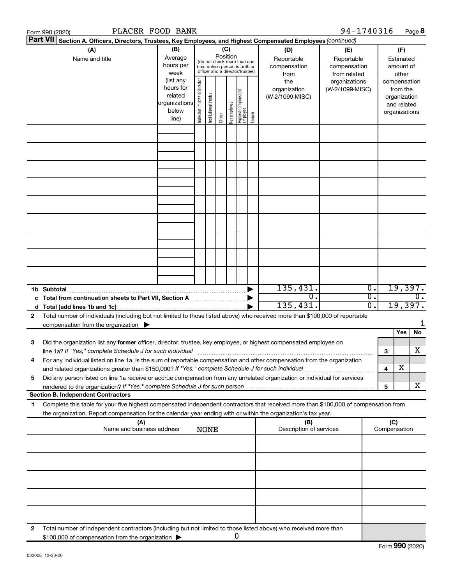|   | PLACER FOOD BANK<br>Form 990 (2020)                                                                                                                                                                                                        |                                                         |                                |                       |         |              |                                                                                                 |        |                                                  | 94-1740316                                                         |                                      |                             | Page 8                                                   |
|---|--------------------------------------------------------------------------------------------------------------------------------------------------------------------------------------------------------------------------------------------|---------------------------------------------------------|--------------------------------|-----------------------|---------|--------------|-------------------------------------------------------------------------------------------------|--------|--------------------------------------------------|--------------------------------------------------------------------|--------------------------------------|-----------------------------|----------------------------------------------------------|
|   | <b>Part VII</b><br>Section A. Officers, Directors, Trustees, Key Employees, and Highest Compensated Employees (continued)                                                                                                                  |                                                         |                                |                       |         |              |                                                                                                 |        |                                                  |                                                                    |                                      |                             |                                                          |
|   | (A)<br>Name and title                                                                                                                                                                                                                      | (B)<br>Average<br>hours per<br>week<br>(list any        |                                |                       | (C)     | Position     | (do not check more than one<br>box, unless person is both an<br>officer and a director/trustee) |        | (D)<br>Reportable<br>compensation<br>from<br>the | (E)<br>Reportable<br>compensation<br>from related<br>organizations |                                      |                             | (F)<br>Estimated<br>amount of<br>other<br>compensation   |
|   |                                                                                                                                                                                                                                            | hours for<br>related<br>organizations<br>below<br>line) | Individual trustee or director | Institutional trustee | Officer | Key employee | Highest compensated<br>  employee                                                               | Former | organization<br>(W-2/1099-MISC)                  | (W-2/1099-MISC)                                                    |                                      |                             | from the<br>organization<br>and related<br>organizations |
|   |                                                                                                                                                                                                                                            |                                                         |                                |                       |         |              |                                                                                                 |        |                                                  |                                                                    |                                      |                             |                                                          |
|   |                                                                                                                                                                                                                                            |                                                         |                                |                       |         |              |                                                                                                 |        |                                                  |                                                                    |                                      |                             |                                                          |
|   |                                                                                                                                                                                                                                            |                                                         |                                |                       |         |              |                                                                                                 |        |                                                  |                                                                    |                                      |                             |                                                          |
|   |                                                                                                                                                                                                                                            |                                                         |                                |                       |         |              |                                                                                                 |        |                                                  |                                                                    |                                      |                             |                                                          |
|   |                                                                                                                                                                                                                                            |                                                         |                                |                       |         |              |                                                                                                 |        |                                                  |                                                                    |                                      |                             |                                                          |
|   |                                                                                                                                                                                                                                            |                                                         |                                |                       |         |              |                                                                                                 |        |                                                  |                                                                    |                                      |                             |                                                          |
|   |                                                                                                                                                                                                                                            |                                                         |                                |                       |         |              |                                                                                                 |        |                                                  |                                                                    |                                      |                             |                                                          |
|   |                                                                                                                                                                                                                                            |                                                         |                                |                       |         |              |                                                                                                 |        |                                                  |                                                                    |                                      |                             |                                                          |
|   |                                                                                                                                                                                                                                            |                                                         |                                |                       |         |              |                                                                                                 |        | 135,431.<br>σ.                                   |                                                                    | $\overline{0}$ .<br>$\overline{0}$ . |                             | 19,397.                                                  |
|   |                                                                                                                                                                                                                                            |                                                         |                                |                       |         |              |                                                                                                 |        | 135,431.                                         |                                                                    | $\overline{0}$ .                     | $\overline{0}$ .<br>19,397. |                                                          |
| 2 | Total number of individuals (including but not limited to those listed above) who received more than \$100,000 of reportable                                                                                                               |                                                         |                                |                       |         |              |                                                                                                 |        |                                                  |                                                                    |                                      |                             |                                                          |
|   | compensation from the organization $\blacktriangleright$                                                                                                                                                                                   |                                                         |                                |                       |         |              |                                                                                                 |        |                                                  |                                                                    |                                      |                             |                                                          |
|   |                                                                                                                                                                                                                                            |                                                         |                                |                       |         |              |                                                                                                 |        |                                                  |                                                                    |                                      |                             | Yes<br>No                                                |
| 3 | Did the organization list any former officer, director, trustee, key employee, or highest compensated employee on                                                                                                                          |                                                         |                                |                       |         |              |                                                                                                 |        |                                                  |                                                                    |                                      | З                           | X                                                        |
|   | line 1a? If "Yes," complete Schedule J for such individual manufactured contains and the set of the schedule J<br>For any individual listed on line 1a, is the sum of reportable compensation and other compensation from the organization |                                                         |                                |                       |         |              |                                                                                                 |        |                                                  |                                                                    |                                      |                             |                                                          |
| 5 | and related organizations greater than \$150,000? If "Yes," complete Schedule J for such individual<br>Did any person listed on line 1a receive or accrue compensation from any unrelated organization or individual for services          |                                                         |                                |                       |         |              |                                                                                                 |        |                                                  |                                                                    |                                      | 4                           | х                                                        |
|   | <b>Section B. Independent Contractors</b>                                                                                                                                                                                                  |                                                         |                                |                       |         |              |                                                                                                 |        |                                                  |                                                                    |                                      | 5                           | x                                                        |
| 1 | Complete this table for your five highest compensated independent contractors that received more than \$100,000 of compensation from                                                                                                       |                                                         |                                |                       |         |              |                                                                                                 |        |                                                  |                                                                    |                                      |                             |                                                          |
|   | the organization. Report compensation for the calendar year ending with or within the organization's tax year.                                                                                                                             |                                                         |                                |                       |         |              |                                                                                                 |        |                                                  |                                                                    |                                      |                             |                                                          |
|   | (A)<br>Name and business address                                                                                                                                                                                                           |                                                         |                                | <b>NONE</b>           |         |              |                                                                                                 |        | (B)<br>Description of services                   |                                                                    |                                      | (C)<br>Compensation         |                                                          |
|   |                                                                                                                                                                                                                                            |                                                         |                                |                       |         |              |                                                                                                 |        |                                                  |                                                                    |                                      |                             |                                                          |
|   |                                                                                                                                                                                                                                            |                                                         |                                |                       |         |              |                                                                                                 |        |                                                  |                                                                    |                                      |                             |                                                          |
|   |                                                                                                                                                                                                                                            |                                                         |                                |                       |         |              |                                                                                                 |        |                                                  |                                                                    |                                      |                             |                                                          |
|   |                                                                                                                                                                                                                                            |                                                         |                                |                       |         |              |                                                                                                 |        |                                                  |                                                                    |                                      |                             |                                                          |
| 2 | Total number of independent contractors (including but not limited to those listed above) who received more than<br>\$100,000 of compensation from the organization                                                                        |                                                         |                                |                       |         |              | 0                                                                                               |        |                                                  |                                                                    |                                      |                             |                                                          |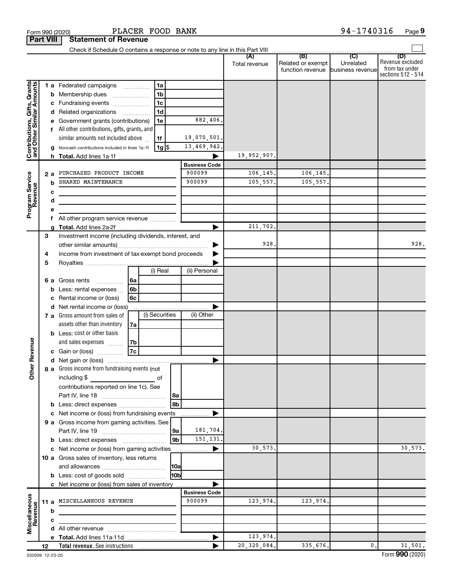|                                                           |    |    |                                                        |                |                |                |                      | Total revenue | Related or exempt  <br>function revenue business revenue | Unrelated    | (D)<br>Revenue excluded<br>from tax under<br>sections 512 - 514 |
|-----------------------------------------------------------|----|----|--------------------------------------------------------|----------------|----------------|----------------|----------------------|---------------|----------------------------------------------------------|--------------|-----------------------------------------------------------------|
| Contributions, Gifts, Grants<br>and Other Similar Amounts |    |    | 1 a Federated campaigns                                |                | 1a             |                |                      |               |                                                          |              |                                                                 |
|                                                           |    |    | <b>b</b> Membership dues                               |                | 1 <sub>b</sub> |                |                      |               |                                                          |              |                                                                 |
|                                                           |    |    | c Fundraising events                                   |                | 1 <sub>c</sub> |                |                      |               |                                                          |              |                                                                 |
|                                                           |    |    | d Related organizations                                |                | 1 <sub>d</sub> |                |                      |               |                                                          |              |                                                                 |
|                                                           |    |    | e Government grants (contributions)                    |                | 1e             |                | 882,406              |               |                                                          |              |                                                                 |
|                                                           |    |    | f All other contributions, gifts, grants, and          |                |                |                |                      |               |                                                          |              |                                                                 |
|                                                           |    |    | similar amounts not included above                     |                | 1f             |                | 19,070,501.          |               |                                                          |              |                                                                 |
|                                                           |    |    | <b>g</b> Noncash contributions included in lines 1a-1f |                | $1g$ \$        |                | 13,469,942.          |               |                                                          |              |                                                                 |
|                                                           |    |    |                                                        |                |                |                |                      | 19,952,907.   |                                                          |              |                                                                 |
|                                                           |    |    |                                                        |                |                |                | <b>Business Code</b> |               |                                                          |              |                                                                 |
|                                                           |    | 2а | PURCHASED PRODUCT INCOME                               |                |                |                | 900099               | 106,145.      | 106,145.                                                 |              |                                                                 |
|                                                           |    | b  | SHARED MAINTENANCE                                     |                |                |                | 900099               | 105,557.      | 105,557.                                                 |              |                                                                 |
|                                                           |    | с  |                                                        |                |                |                |                      |               |                                                          |              |                                                                 |
|                                                           |    | d  |                                                        |                |                |                |                      |               |                                                          |              |                                                                 |
| Program Service<br>Revenue                                |    | е  |                                                        |                |                |                |                      |               |                                                          |              |                                                                 |
|                                                           |    |    |                                                        |                |                |                |                      |               |                                                          |              |                                                                 |
|                                                           |    |    |                                                        |                |                |                |                      | 211,702.      |                                                          |              |                                                                 |
|                                                           | 3  |    | Investment income (including dividends, interest, and  |                |                |                |                      |               |                                                          |              |                                                                 |
|                                                           |    |    |                                                        |                |                |                | ▶                    | 928           |                                                          |              | 928.                                                            |
|                                                           | 4  |    | Income from investment of tax-exempt bond proceeds     |                |                |                |                      |               |                                                          |              |                                                                 |
|                                                           | 5  |    |                                                        |                |                |                |                      |               |                                                          |              |                                                                 |
|                                                           |    |    |                                                        |                | (i) Real       |                | (ii) Personal        |               |                                                          |              |                                                                 |
|                                                           |    |    | <b>6 a</b> Gross rents                                 | ∣6a            |                |                |                      |               |                                                          |              |                                                                 |
|                                                           |    |    | <b>b</b> Less: rental expenses                         | 6b             |                |                |                      |               |                                                          |              |                                                                 |
|                                                           |    |    | c Rental income or (loss)                              | 6с             |                |                |                      |               |                                                          |              |                                                                 |
|                                                           |    |    | d Net rental income or (loss)                          |                |                |                |                      |               |                                                          |              |                                                                 |
|                                                           |    |    | <b>7 a</b> Gross amount from sales of                  |                | (i) Securities |                | (ii) Other           |               |                                                          |              |                                                                 |
|                                                           |    |    | assets other than inventory                            | 7a             |                |                |                      |               |                                                          |              |                                                                 |
|                                                           |    |    | <b>b</b> Less: cost or other basis                     |                |                |                |                      |               |                                                          |              |                                                                 |
| er Revenue                                                |    |    | and sales expenses                                     | 7 <sub>b</sub> |                |                |                      |               |                                                          |              |                                                                 |
|                                                           |    |    | c Gain or (loss) $\begin{bmatrix} 7c \end{bmatrix}$    |                |                |                |                      |               |                                                          |              |                                                                 |
|                                                           |    |    |                                                        |                |                |                |                      |               |                                                          |              |                                                                 |
|                                                           |    |    | 8 a Gross income from fundraising events (not          |                |                |                |                      |               |                                                          |              |                                                                 |
| ᅗ                                                         |    |    | including \$                                           |                | οf             |                |                      |               |                                                          |              |                                                                 |
|                                                           |    |    | contributions reported on line 1c). See                |                |                |                |                      |               |                                                          |              |                                                                 |
|                                                           |    |    | Part IV, line 18                                       |                |                | 8a             |                      |               |                                                          |              |                                                                 |
|                                                           |    |    |                                                        |                |                | 8b             |                      |               |                                                          |              |                                                                 |
|                                                           |    |    | c Net income or (loss) from fundraising events         |                |                |                |                      |               |                                                          |              |                                                                 |
|                                                           |    |    | 9 a Gross income from gaming activities. See           |                |                |                |                      |               |                                                          |              |                                                                 |
|                                                           |    |    |                                                        |                |                | 9a             | 181,704.             |               |                                                          |              |                                                                 |
|                                                           |    |    | <b>b</b> Less: direct expenses <b>manually</b>         |                |                | 9 <sub>b</sub> | 151,131              |               |                                                          |              |                                                                 |
|                                                           |    |    | c Net income or (loss) from gaming activities          |                |                |                |                      | 30,573.       |                                                          |              | 30,573.                                                         |
|                                                           |    |    | 10 a Gross sales of inventory, less returns            |                |                |                |                      |               |                                                          |              |                                                                 |
|                                                           |    |    |                                                        |                |                | 10a            |                      |               |                                                          |              |                                                                 |
|                                                           |    |    | <b>b</b> Less: cost of goods sold                      |                |                | 10b            |                      |               |                                                          |              |                                                                 |
|                                                           |    |    | c Net income or (loss) from sales of inventory         |                |                |                |                      |               |                                                          |              |                                                                 |
|                                                           |    |    |                                                        |                |                |                | <b>Business Code</b> |               |                                                          |              |                                                                 |
|                                                           |    |    | 11 a MISCELLANEOUS REVENUE                             |                |                |                | 900099               | 123,974.      | 123,974.                                                 |              |                                                                 |
|                                                           |    | b  |                                                        |                |                |                |                      |               |                                                          |              |                                                                 |
| Miscellaneous<br>Revenue                                  |    | с  |                                                        |                |                |                |                      |               |                                                          |              |                                                                 |
|                                                           |    |    |                                                        |                |                |                |                      |               |                                                          |              |                                                                 |
|                                                           |    |    |                                                        |                |                |                |                      | 123,974.      |                                                          |              |                                                                 |
|                                                           | 12 |    |                                                        |                |                |                |                      | 20,320,084.   | 335,676.                                                 | $\mathbf{0}$ | 31,501.                                                         |

Form 990 (2020)  $\qquad PLACER$   $FOOD$   $BANK$   $94-1740316$   $Page$ 

**PLACER**<br>**Part VIII** Statement of Revenue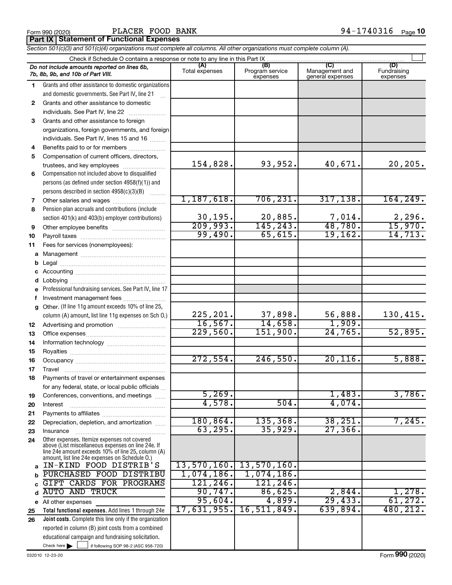Form 990 (2020)  $\qquad P LACER$   $FOOD$   $BANK$   $94-1740316$   $Page$ **Part IX Statement of Functional Expenses**

*Section 501(c)(3) and 501(c)(4) organizations must complete all columns. All other organizations must complete column (A).*

|              | Check if Schedule O contains a response or note to any line in this Part IX                                |                       |                                    |                                    |                                |  |  |  |  |  |  |  |  |
|--------------|------------------------------------------------------------------------------------------------------------|-----------------------|------------------------------------|------------------------------------|--------------------------------|--|--|--|--|--|--|--|--|
|              | Do not include amounts reported on lines 6b,<br>7b, 8b, 9b, and 10b of Part VIII.                          | (A)<br>Total expenses | (B)<br>Program service<br>expenses | Management and<br>general expenses | (D)<br>Fundraising<br>expenses |  |  |  |  |  |  |  |  |
| 1            | Grants and other assistance to domestic organizations                                                      |                       |                                    |                                    |                                |  |  |  |  |  |  |  |  |
|              | and domestic governments. See Part IV, line 21                                                             |                       |                                    |                                    |                                |  |  |  |  |  |  |  |  |
| $\mathbf{2}$ | Grants and other assistance to domestic                                                                    |                       |                                    |                                    |                                |  |  |  |  |  |  |  |  |
|              | individuals. See Part IV, line 22<br>$\mathcal{L} = \{1, 2, \ldots, n\}$                                   |                       |                                    |                                    |                                |  |  |  |  |  |  |  |  |
| 3            | Grants and other assistance to foreign                                                                     |                       |                                    |                                    |                                |  |  |  |  |  |  |  |  |
|              | organizations, foreign governments, and foreign                                                            |                       |                                    |                                    |                                |  |  |  |  |  |  |  |  |
|              | individuals. See Part IV, lines 15 and 16                                                                  |                       |                                    |                                    |                                |  |  |  |  |  |  |  |  |
| 4            | Benefits paid to or for members                                                                            |                       |                                    |                                    |                                |  |  |  |  |  |  |  |  |
| 5            | Compensation of current officers, directors,                                                               |                       |                                    |                                    |                                |  |  |  |  |  |  |  |  |
|              | trustees, and key employees                                                                                | 154,828.              | 93,952.                            | 40,671.                            | 20, 205.                       |  |  |  |  |  |  |  |  |
| 6            | Compensation not included above to disqualified                                                            |                       |                                    |                                    |                                |  |  |  |  |  |  |  |  |
|              | persons (as defined under section 4958(f)(1)) and                                                          |                       |                                    |                                    |                                |  |  |  |  |  |  |  |  |
|              | persons described in section 4958(c)(3)(B)                                                                 |                       |                                    |                                    |                                |  |  |  |  |  |  |  |  |
| 7            | Other salaries and wages                                                                                   | 1,187,618.            | 706, 231.                          | 317, 138.                          | 164, 249.                      |  |  |  |  |  |  |  |  |
| 8            | Pension plan accruals and contributions (include                                                           |                       |                                    |                                    |                                |  |  |  |  |  |  |  |  |
|              | section 401(k) and 403(b) employer contributions)                                                          | 30,195.               | 20,885.                            | 7,014.                             | $\frac{2,296}{15,970}$ .       |  |  |  |  |  |  |  |  |
| 9            |                                                                                                            | 209,993.              | 145,243.                           | 48,780.                            |                                |  |  |  |  |  |  |  |  |
| 10           |                                                                                                            | 99,490.               | 65,615.                            | 19, 162.                           | 14, 713.                       |  |  |  |  |  |  |  |  |
| 11           | Fees for services (nonemployees):                                                                          |                       |                                    |                                    |                                |  |  |  |  |  |  |  |  |
| а            |                                                                                                            |                       |                                    |                                    |                                |  |  |  |  |  |  |  |  |
| b            |                                                                                                            |                       |                                    |                                    |                                |  |  |  |  |  |  |  |  |
| с            |                                                                                                            |                       |                                    |                                    |                                |  |  |  |  |  |  |  |  |
| d            |                                                                                                            |                       |                                    |                                    |                                |  |  |  |  |  |  |  |  |
|              | Professional fundraising services. See Part IV, line 17                                                    |                       |                                    |                                    |                                |  |  |  |  |  |  |  |  |
|              | Investment management fees                                                                                 |                       |                                    |                                    |                                |  |  |  |  |  |  |  |  |
| g            | Other. (If line 11g amount exceeds 10% of line 25,<br>column (A) amount, list line 11g expenses on Sch O.) | 225,201.              | 37,898.                            | 56,888.                            | 130,415.                       |  |  |  |  |  |  |  |  |
|              |                                                                                                            | 16, 567.              | 14,658.                            | 1,909.                             |                                |  |  |  |  |  |  |  |  |
| 12           |                                                                                                            | 229,560.              | 151,900.                           | 24,765.                            | 52,895.                        |  |  |  |  |  |  |  |  |
| 13<br>14     |                                                                                                            |                       |                                    |                                    |                                |  |  |  |  |  |  |  |  |
| 15           |                                                                                                            |                       |                                    |                                    |                                |  |  |  |  |  |  |  |  |
| 16           |                                                                                                            | 272,554.              | 246,550.                           | 20, 116.                           | 5,888.                         |  |  |  |  |  |  |  |  |
| 17           | Travel                                                                                                     |                       |                                    |                                    |                                |  |  |  |  |  |  |  |  |
| 18           | Payments of travel or entertainment expenses                                                               |                       |                                    |                                    |                                |  |  |  |  |  |  |  |  |
|              | for any federal, state, or local public officials                                                          |                       |                                    |                                    |                                |  |  |  |  |  |  |  |  |
| 19           | Conferences, conventions, and meetings                                                                     | 5,269.                |                                    | 1,483.                             | 3,786.                         |  |  |  |  |  |  |  |  |
| 20           | Interest                                                                                                   | 4,578.                | 504.                               | 4,074.                             |                                |  |  |  |  |  |  |  |  |
| 21           |                                                                                                            |                       |                                    |                                    |                                |  |  |  |  |  |  |  |  |
| 22           | Depreciation, depletion, and amortization                                                                  | 180, 864.             | 135, 368.                          | 38,251.                            | 7,245.                         |  |  |  |  |  |  |  |  |
| 23           | Insurance                                                                                                  | 63, 295.              | 35,929.                            | 27, 366.                           |                                |  |  |  |  |  |  |  |  |
| 24           | Other expenses. Itemize expenses not covered                                                               |                       |                                    |                                    |                                |  |  |  |  |  |  |  |  |
|              | above (List miscellaneous expenses on line 24e. If<br>line 24e amount exceeds 10% of line 25, column (A)   |                       |                                    |                                    |                                |  |  |  |  |  |  |  |  |
|              | amount, list line 24e expenses on Schedule O.)                                                             |                       |                                    |                                    |                                |  |  |  |  |  |  |  |  |
| a            | IN-KIND FOOD DISTRIB'S                                                                                     | 13,570,160.           | 13,570,160.                        |                                    |                                |  |  |  |  |  |  |  |  |
| b            | PURCHASED FOOD DISTRIBU                                                                                    | 1,074,186.            | 1,074,186.                         |                                    |                                |  |  |  |  |  |  |  |  |
|              | GIFT CARDS FOR PROGRAMS                                                                                    | 121, 246.             | 121,246.                           |                                    |                                |  |  |  |  |  |  |  |  |
| d            | <b>AUTO AND TRUCK</b>                                                                                      | 90, 747.              | 86,625.                            | 2,844.                             | 1,278.                         |  |  |  |  |  |  |  |  |
| е            | All other expenses                                                                                         | 95,604.               | 4,899.                             | 29,433.                            | 61,272.                        |  |  |  |  |  |  |  |  |
| 25           | Total functional expenses. Add lines 1 through 24e                                                         | 17,631,955.           | 16, 511, 849.                      | 639,894.                           | 480, 212.                      |  |  |  |  |  |  |  |  |
| 26           | Joint costs. Complete this line only if the organization                                                   |                       |                                    |                                    |                                |  |  |  |  |  |  |  |  |
|              | reported in column (B) joint costs from a combined                                                         |                       |                                    |                                    |                                |  |  |  |  |  |  |  |  |
|              | educational campaign and fundraising solicitation.<br>Check here $\blacktriangleright$                     |                       |                                    |                                    |                                |  |  |  |  |  |  |  |  |
|              | if following SOP 98-2 (ASC 958-720)                                                                        |                       |                                    |                                    |                                |  |  |  |  |  |  |  |  |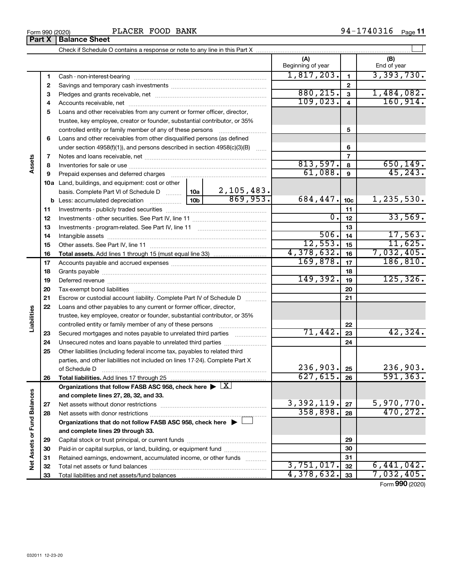| CER FOOD BANK) |  |
|----------------|--|
|                |  |

 $\frac{1}{2}$ Form 990 (2020) PLACER FOOD BANK Property and the set of  $\frac{1}{2}$  and  $\frac{1}{2}$  and  $\frac{1}{2}$  Page **PLACER FOOD BANK** 94-1740316 Page 11

|                             |          | Part X   Balance Sheet                                                                                                                                     |                 |                               |                          |                         |                    |
|-----------------------------|----------|------------------------------------------------------------------------------------------------------------------------------------------------------------|-----------------|-------------------------------|--------------------------|-------------------------|--------------------|
|                             |          |                                                                                                                                                            |                 |                               |                          |                         |                    |
|                             |          |                                                                                                                                                            |                 |                               | (A)<br>Beginning of year |                         | (B)<br>End of year |
|                             | 1        |                                                                                                                                                            |                 |                               | 1,817,203.               | $\mathbf{1}$            | 3,393,730.         |
|                             | 2        |                                                                                                                                                            |                 |                               |                          | $\mathbf{2}$            |                    |
|                             | З        |                                                                                                                                                            |                 |                               | 880, 215.                | $\overline{\mathbf{3}}$ | 1,484,082.         |
|                             | 4        |                                                                                                                                                            |                 |                               | 109,023.                 | $\overline{\mathbf{4}}$ | 160, 914.          |
|                             | 5        | Loans and other receivables from any current or former officer, director,                                                                                  |                 |                               |                          |                         |                    |
|                             |          | trustee, key employee, creator or founder, substantial contributor, or 35%                                                                                 |                 |                               |                          |                         |                    |
|                             |          | controlled entity or family member of any of these persons                                                                                                 |                 | .                             |                          | 5                       |                    |
|                             | 6        | Loans and other receivables from other disqualified persons (as defined                                                                                    |                 |                               |                          |                         |                    |
|                             |          | under section $4958(f)(1)$ , and persons described in section $4958(c)(3)(B)$                                                                              |                 | $\ldots$                      |                          | 6                       |                    |
|                             | 7        |                                                                                                                                                            |                 |                               |                          | $\overline{7}$          |                    |
| Assets                      | 8        |                                                                                                                                                            |                 |                               | 813,597.                 | 8                       | 650, 149.          |
|                             | 9        | Prepaid expenses and deferred charges                                                                                                                      |                 |                               | 61,088.                  | 9                       | 45, 243.           |
|                             |          | 10a Land, buildings, and equipment: cost or other                                                                                                          |                 |                               |                          |                         |                    |
|                             |          | basis. Complete Part VI of Schedule D  10a                                                                                                                 |                 | $\frac{2,105,483.}{869,953.}$ |                          |                         |                    |
|                             | b        | Less: accumulated depreciation<br>$\ldots \ldots \ldots \ldots$                                                                                            | 10 <sub>b</sub> |                               | 684,447.                 | 10 <sub>c</sub>         | 1,235,530.         |
|                             | 11       |                                                                                                                                                            |                 |                               |                          | 11                      |                    |
|                             | 12       |                                                                                                                                                            |                 |                               | $\overline{0}$ .         | 12                      | 33,569.            |
|                             | 13       |                                                                                                                                                            |                 |                               |                          | 13                      |                    |
|                             | 14       |                                                                                                                                                            |                 |                               | 506.                     | 14                      | 17,563.            |
|                             | 15       |                                                                                                                                                            |                 |                               | 12,553.                  | 15                      | 11,625.            |
|                             | 16       |                                                                                                                                                            |                 |                               | 4,378,632.               | 16                      | 7,032,405.         |
|                             | 17       |                                                                                                                                                            |                 |                               | 169,878.                 | 17                      | 186, 810.          |
|                             | 18       |                                                                                                                                                            |                 | 18                            |                          |                         |                    |
|                             | 19       |                                                                                                                                                            |                 |                               | 149,392.                 | 19                      | 125, 326.          |
|                             | 20       |                                                                                                                                                            |                 |                               |                          | 20                      |                    |
|                             | 21       | Escrow or custodial account liability. Complete Part IV of Schedule D                                                                                      |                 |                               |                          | 21                      |                    |
| Liabilities                 | 22       | Loans and other payables to any current or former officer, director,                                                                                       |                 |                               |                          |                         |                    |
|                             |          | trustee, key employee, creator or founder, substantial contributor, or 35%                                                                                 |                 |                               |                          |                         |                    |
|                             |          | controlled entity or family member of any of these persons [                                                                                               |                 |                               | 71,442.                  | 22                      | 42,324.            |
|                             | 23       | Secured mortgages and notes payable to unrelated third parties                                                                                             |                 |                               |                          | 23                      |                    |
|                             | 24<br>25 |                                                                                                                                                            |                 |                               |                          | 24                      |                    |
|                             |          | Other liabilities (including federal income tax, payables to related third<br>parties, and other liabilities not included on lines 17-24). Complete Part X |                 |                               |                          |                         |                    |
|                             |          | of Schedule D                                                                                                                                              |                 |                               | 236,903.                 | 25                      | 236,903.           |
|                             | 26       | Total liabilities. Add lines 17 through 25                                                                                                                 |                 |                               | 627,615.                 | 26                      | 591, 363.          |
|                             |          | Organizations that follow FASB ASC 958, check here $\blacktriangleright$ $\boxed{X}$                                                                       |                 |                               |                          |                         |                    |
|                             |          | and complete lines 27, 28, 32, and 33.                                                                                                                     |                 |                               |                          |                         |                    |
|                             | 27       |                                                                                                                                                            |                 |                               | 3,392,119.               | 27                      | 5,970,770.         |
|                             | 28       | Net assets with donor restrictions                                                                                                                         |                 |                               | 358,898.                 | 28                      | 470, 272.          |
|                             |          | Organizations that do not follow FASB ASC 958, check here $\blacktriangleright$                                                                            |                 |                               |                          |                         |                    |
|                             |          | and complete lines 29 through 33.                                                                                                                          |                 |                               |                          |                         |                    |
| Net Assets or Fund Balances | 29       |                                                                                                                                                            |                 |                               |                          | 29                      |                    |
|                             | 30       | Paid-in or capital surplus, or land, building, or equipment fund                                                                                           |                 |                               |                          | 30                      |                    |
|                             | 31       | Retained earnings, endowment, accumulated income, or other funds                                                                                           |                 |                               |                          | 31                      |                    |
|                             | 32       |                                                                                                                                                            |                 |                               | 3,751,017.               | 32                      | 6,441,042.         |
|                             | 33       |                                                                                                                                                            |                 |                               | 4,378,632.               | 33                      | 7,032,405.         |

Form (2020) **990**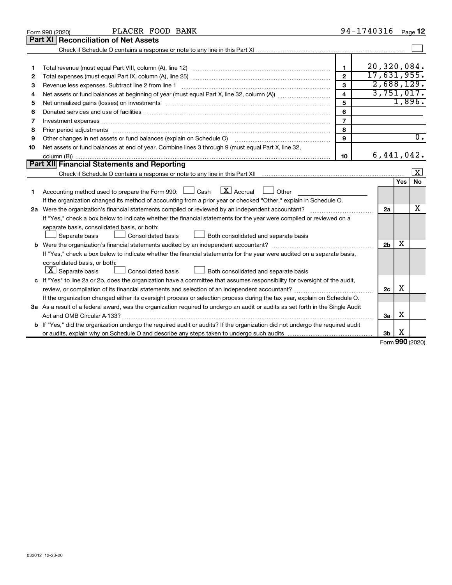|    | PLACER FOOD BANK<br>Form 990 (2020)                                                                                             |                         | 94-1740316     |      | Page 12           |
|----|---------------------------------------------------------------------------------------------------------------------------------|-------------------------|----------------|------|-------------------|
|    | Part XI<br><b>Reconciliation of Net Assets</b>                                                                                  |                         |                |      |                   |
|    |                                                                                                                                 |                         |                |      |                   |
|    |                                                                                                                                 |                         |                |      |                   |
| 1  |                                                                                                                                 | 1                       | 20,320,084.    |      |                   |
| 2  |                                                                                                                                 | $\overline{2}$          | 17,631,955.    |      |                   |
| 3  |                                                                                                                                 | 3                       | 2,688,129.     |      |                   |
| 4  |                                                                                                                                 | $\overline{\mathbf{4}}$ | 3,751,017.     |      |                   |
| 5  |                                                                                                                                 | 5                       |                |      | 1,896.            |
| 6  | Donated services and use of facilities [[111] matter contracts and all the services and use of facilities [[11                  | 6                       |                |      |                   |
| 7  |                                                                                                                                 | $\overline{7}$          |                |      |                   |
| 8  |                                                                                                                                 | 8                       |                |      |                   |
| 9  | Other changes in net assets or fund balances (explain on Schedule O)                                                            | 9                       |                |      | $\overline{0}$ .  |
| 10 | Net assets or fund balances at end of year. Combine lines 3 through 9 (must equal Part X, line 32,                              |                         |                |      |                   |
|    |                                                                                                                                 | 10                      | 6,441,042.     |      |                   |
|    | Part XII Financial Statements and Reporting                                                                                     |                         |                |      |                   |
|    |                                                                                                                                 |                         |                |      | $\vert$ X $\vert$ |
|    |                                                                                                                                 |                         |                | Yes  | No.               |
| 1  | $X$ Accrual $\Box$ Other<br>Accounting method used to prepare the Form 990: $\Box$ Cash                                         |                         |                |      |                   |
|    | If the organization changed its method of accounting from a prior year or checked "Other," explain in Schedule O.               |                         |                |      |                   |
|    |                                                                                                                                 |                         | 2a             |      | x                 |
|    | If "Yes," check a box below to indicate whether the financial statements for the year were compiled or reviewed on a            |                         |                |      |                   |
|    | separate basis, consolidated basis, or both:                                                                                    |                         |                |      |                   |
|    | Both consolidated and separate basis<br>Separate basis<br>Consolidated basis                                                    |                         |                |      |                   |
|    |                                                                                                                                 |                         | 2 <sub>b</sub> | x    |                   |
|    | If "Yes," check a box below to indicate whether the financial statements for the year were audited on a separate basis,         |                         |                |      |                   |
|    | consolidated basis, or both:                                                                                                    |                         |                |      |                   |
|    | $ \mathbf{X} $ Separate basis<br>Consolidated basis<br>Both consolidated and separate basis                                     |                         |                |      |                   |
|    | c If "Yes" to line 2a or 2b, does the organization have a committee that assumes responsibility for oversight of the audit,     |                         |                |      |                   |
|    |                                                                                                                                 |                         | 2 <sub>c</sub> | X    |                   |
|    | If the organization changed either its oversight process or selection process during the tax year, explain on Schedule O.       |                         |                |      |                   |
|    | 3a As a result of a federal award, was the organization required to undergo an audit or audits as set forth in the Single Audit |                         |                |      |                   |
|    |                                                                                                                                 |                         | За             | х    |                   |
|    | b If "Yes," did the organization undergo the required audit or audits? If the organization did not undergo the required audit   |                         |                |      |                   |
|    |                                                                                                                                 |                         | 3b             | х    |                   |
|    |                                                                                                                                 |                         |                | nn n |                   |

Form (2020) **990**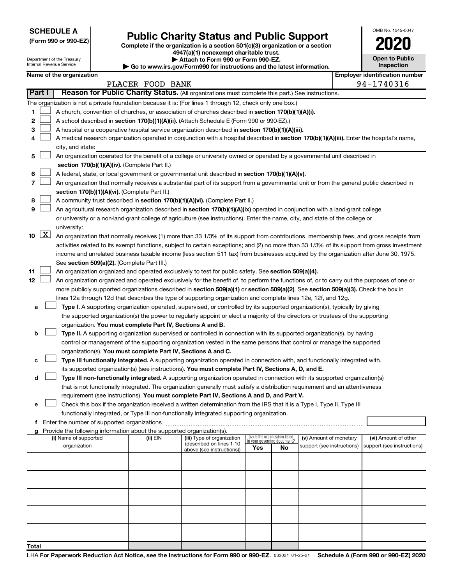**SCHEDULE A**

Department of the Treasury

# Form 990 or 990-EZ) **Public Charity Status and Public Support**<br>
Complete if the organization is a section 501(c)(3) organization or a section<br> **2020**

**4947(a)(1) nonexempt charitable trust. | Attach to Form 990 or Form 990-EZ.** 

|   | <b>Open to Public</b><br>Inspection |
|---|-------------------------------------|
| r | antification numl                   |

OMB No. 1545-0047

|                       | Internal Revenue Service                      | Go to www.irs.gov/Form990 for instructions and the latest information.                                    | Inspection                                                                                                                                                                                                                      |     |                                                                |                            |  |                                                     |  |  |  |
|-----------------------|-----------------------------------------------|-----------------------------------------------------------------------------------------------------------|---------------------------------------------------------------------------------------------------------------------------------------------------------------------------------------------------------------------------------|-----|----------------------------------------------------------------|----------------------------|--|-----------------------------------------------------|--|--|--|
|                       | Name of the organization                      | PLACER FOOD BANK                                                                                          |                                                                                                                                                                                                                                 |     |                                                                |                            |  | <b>Employer identification number</b><br>94-1740316 |  |  |  |
| Part I                |                                               |                                                                                                           | Reason for Public Charity Status. (All organizations must complete this part.) See instructions.                                                                                                                                |     |                                                                |                            |  |                                                     |  |  |  |
|                       |                                               | The organization is not a private foundation because it is: (For lines 1 through 12, check only one box.) |                                                                                                                                                                                                                                 |     |                                                                |                            |  |                                                     |  |  |  |
| 1                     |                                               |                                                                                                           | A church, convention of churches, or association of churches described in section 170(b)(1)(A)(i).                                                                                                                              |     |                                                                |                            |  |                                                     |  |  |  |
| 2                     |                                               |                                                                                                           | A school described in section 170(b)(1)(A)(ii). (Attach Schedule E (Form 990 or 990-EZ).)                                                                                                                                       |     |                                                                |                            |  |                                                     |  |  |  |
| 3                     |                                               |                                                                                                           | A hospital or a cooperative hospital service organization described in section 170(b)(1)(A)(iii).                                                                                                                               |     |                                                                |                            |  |                                                     |  |  |  |
| 4                     |                                               |                                                                                                           | A medical research organization operated in conjunction with a hospital described in section 170(b)(1)(A)(iii). Enter the hospital's name,                                                                                      |     |                                                                |                            |  |                                                     |  |  |  |
|                       | city, and state:                              |                                                                                                           |                                                                                                                                                                                                                                 |     |                                                                |                            |  |                                                     |  |  |  |
| 5                     |                                               |                                                                                                           | An organization operated for the benefit of a college or university owned or operated by a governmental unit described in                                                                                                       |     |                                                                |                            |  |                                                     |  |  |  |
|                       |                                               | section 170(b)(1)(A)(iv). (Complete Part II.)                                                             |                                                                                                                                                                                                                                 |     |                                                                |                            |  |                                                     |  |  |  |
| 6                     |                                               |                                                                                                           | A federal, state, or local government or governmental unit described in section 170(b)(1)(A)(v).                                                                                                                                |     |                                                                |                            |  |                                                     |  |  |  |
| 7                     |                                               |                                                                                                           | An organization that normally receives a substantial part of its support from a governmental unit or from the general public described in                                                                                       |     |                                                                |                            |  |                                                     |  |  |  |
|                       |                                               | section 170(b)(1)(A)(vi). (Complete Part II.)                                                             |                                                                                                                                                                                                                                 |     |                                                                |                            |  |                                                     |  |  |  |
| 8                     |                                               |                                                                                                           | A community trust described in section 170(b)(1)(A)(vi). (Complete Part II.)                                                                                                                                                    |     |                                                                |                            |  |                                                     |  |  |  |
| 9                     |                                               |                                                                                                           | An agricultural research organization described in section 170(b)(1)(A)(ix) operated in conjunction with a land-grant college                                                                                                   |     |                                                                |                            |  |                                                     |  |  |  |
|                       |                                               |                                                                                                           | or university or a non-land-grant college of agriculture (see instructions). Enter the name, city, and state of the college or                                                                                                  |     |                                                                |                            |  |                                                     |  |  |  |
|                       | university:                                   |                                                                                                           |                                                                                                                                                                                                                                 |     |                                                                |                            |  |                                                     |  |  |  |
| 10 $\boxed{\text{X}}$ |                                               |                                                                                                           | An organization that normally receives (1) more than 33 1/3% of its support from contributions, membership fees, and gross receipts from                                                                                        |     |                                                                |                            |  |                                                     |  |  |  |
|                       |                                               |                                                                                                           | activities related to its exempt functions, subject to certain exceptions; and (2) no more than 33 1/3% of its support from gross investment                                                                                    |     |                                                                |                            |  |                                                     |  |  |  |
|                       |                                               |                                                                                                           | income and unrelated business taxable income (less section 511 tax) from businesses acquired by the organization after June 30, 1975.                                                                                           |     |                                                                |                            |  |                                                     |  |  |  |
|                       |                                               | See section 509(a)(2). (Complete Part III.)                                                               |                                                                                                                                                                                                                                 |     |                                                                |                            |  |                                                     |  |  |  |
| 11                    |                                               |                                                                                                           | An organization organized and operated exclusively to test for public safety. See section 509(a)(4).                                                                                                                            |     |                                                                |                            |  |                                                     |  |  |  |
| 12                    |                                               |                                                                                                           | An organization organized and operated exclusively for the benefit of, to perform the functions of, or to carry out the purposes of one or                                                                                      |     |                                                                |                            |  |                                                     |  |  |  |
|                       |                                               |                                                                                                           | more publicly supported organizations described in section 509(a)(1) or section 509(a)(2). See section 509(a)(3). Check the box in                                                                                              |     |                                                                |                            |  |                                                     |  |  |  |
|                       |                                               |                                                                                                           | lines 12a through 12d that describes the type of supporting organization and complete lines 12e, 12f, and 12g.                                                                                                                  |     |                                                                |                            |  |                                                     |  |  |  |
| а                     |                                               |                                                                                                           | Type I. A supporting organization operated, supervised, or controlled by its supported organization(s), typically by giving                                                                                                     |     |                                                                |                            |  |                                                     |  |  |  |
|                       |                                               |                                                                                                           | the supported organization(s) the power to regularly appoint or elect a majority of the directors or trustees of the supporting                                                                                                 |     |                                                                |                            |  |                                                     |  |  |  |
|                       |                                               | organization. You must complete Part IV, Sections A and B.                                                |                                                                                                                                                                                                                                 |     |                                                                |                            |  |                                                     |  |  |  |
| b                     |                                               |                                                                                                           | Type II. A supporting organization supervised or controlled in connection with its supported organization(s), by having                                                                                                         |     |                                                                |                            |  |                                                     |  |  |  |
|                       |                                               |                                                                                                           | control or management of the supporting organization vested in the same persons that control or manage the supported                                                                                                            |     |                                                                |                            |  |                                                     |  |  |  |
|                       |                                               | organization(s). You must complete Part IV, Sections A and C.                                             |                                                                                                                                                                                                                                 |     |                                                                |                            |  |                                                     |  |  |  |
| с                     |                                               |                                                                                                           | Type III functionally integrated. A supporting organization operated in connection with, and functionally integrated with,                                                                                                      |     |                                                                |                            |  |                                                     |  |  |  |
|                       |                                               |                                                                                                           | its supported organization(s) (see instructions). You must complete Part IV, Sections A, D, and E.<br>Type III non-functionally integrated. A supporting organization operated in connection with its supported organization(s) |     |                                                                |                            |  |                                                     |  |  |  |
| d                     |                                               |                                                                                                           |                                                                                                                                                                                                                                 |     |                                                                |                            |  |                                                     |  |  |  |
|                       |                                               |                                                                                                           | that is not functionally integrated. The organization generally must satisfy a distribution requirement and an attentiveness<br>requirement (see instructions). You must complete Part IV, Sections A and D, and Part V.        |     |                                                                |                            |  |                                                     |  |  |  |
| е                     |                                               |                                                                                                           | Check this box if the organization received a written determination from the IRS that it is a Type I, Type II, Type III                                                                                                         |     |                                                                |                            |  |                                                     |  |  |  |
|                       |                                               |                                                                                                           | functionally integrated, or Type III non-functionally integrated supporting organization.                                                                                                                                       |     |                                                                |                            |  |                                                     |  |  |  |
|                       | f Enter the number of supported organizations |                                                                                                           |                                                                                                                                                                                                                                 |     |                                                                |                            |  |                                                     |  |  |  |
|                       |                                               | Provide the following information about the supported organization(s).                                    |                                                                                                                                                                                                                                 |     |                                                                |                            |  |                                                     |  |  |  |
|                       | (i) Name of supported                         | (ii) EIN                                                                                                  | (iii) Type of organization                                                                                                                                                                                                      |     | (iv) Is the organization listed<br>in your governing document? | (v) Amount of monetary     |  | (vi) Amount of other                                |  |  |  |
|                       | organization                                  |                                                                                                           | (described on lines 1-10<br>above (see instructions))                                                                                                                                                                           | Yes | No.                                                            | support (see instructions) |  | support (see instructions)                          |  |  |  |
|                       |                                               |                                                                                                           |                                                                                                                                                                                                                                 |     |                                                                |                            |  |                                                     |  |  |  |
|                       |                                               |                                                                                                           |                                                                                                                                                                                                                                 |     |                                                                |                            |  |                                                     |  |  |  |
|                       |                                               |                                                                                                           |                                                                                                                                                                                                                                 |     |                                                                |                            |  |                                                     |  |  |  |
|                       |                                               |                                                                                                           |                                                                                                                                                                                                                                 |     |                                                                |                            |  |                                                     |  |  |  |
|                       |                                               |                                                                                                           |                                                                                                                                                                                                                                 |     |                                                                |                            |  |                                                     |  |  |  |
|                       |                                               |                                                                                                           |                                                                                                                                                                                                                                 |     |                                                                |                            |  |                                                     |  |  |  |
|                       |                                               |                                                                                                           |                                                                                                                                                                                                                                 |     |                                                                |                            |  |                                                     |  |  |  |
|                       |                                               |                                                                                                           |                                                                                                                                                                                                                                 |     |                                                                |                            |  |                                                     |  |  |  |
|                       |                                               |                                                                                                           |                                                                                                                                                                                                                                 |     |                                                                |                            |  |                                                     |  |  |  |
|                       |                                               |                                                                                                           |                                                                                                                                                                                                                                 |     |                                                                |                            |  |                                                     |  |  |  |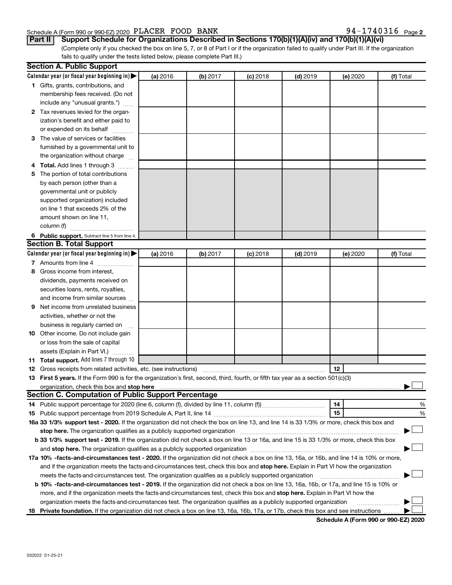#### Schedule A (Form 990 or 990-EZ) 2020 PLACER FOOD BANK  $94-1740316$  Page

94-1740316 Page 2

**Part II Support Schedule for Organizations Described in Sections 170(b)(1)(A)(iv) and 170(b)(1)(A)(vi)**

(Complete only if you checked the box on line 5, 7, or 8 of Part I or if the organization failed to qualify under Part III. If the organization fails to qualify under the tests listed below, please complete Part III.)

| Calendar year (or fiscal year beginning in)<br>(a) 2016<br>(b) 2017<br>$(d)$ 2019<br>(e) 2020<br>(f) Total<br>$(c)$ 2018<br>1 Gifts, grants, contributions, and<br>membership fees received. (Do not<br>include any "unusual grants.")<br>2 Tax revenues levied for the organ-<br>ization's benefit and either paid to<br>or expended on its behalf<br>3 The value of services or facilities<br>furnished by a governmental unit to<br>the organization without charge<br>4 Total. Add lines 1 through 3<br>5 The portion of total contributions<br>by each person (other than a<br>governmental unit or publicly<br>supported organization) included<br>on line 1 that exceeds 2% of the<br>amount shown on line 11,<br>column (f)<br>6 Public support. Subtract line 5 from line 4.<br><b>Section B. Total Support</b><br>Calendar year (or fiscal year beginning in)<br>(a) 2016<br>(b) 2017<br>$(c)$ 2018<br>$(d)$ 2019<br>(f) Total<br>(e) 2020<br>7 Amounts from line 4<br>8 Gross income from interest,<br>dividends, payments received on<br>securities loans, rents, royalties,<br>and income from similar sources<br>Net income from unrelated business<br>9<br>activities, whether or not the<br>business is regularly carried on<br>10 Other income. Do not include gain<br>or loss from the sale of capital<br>assets (Explain in Part VI.)<br><b>11 Total support.</b> Add lines 7 through 10<br>12<br><b>12</b> Gross receipts from related activities, etc. (see instructions)<br>13 First 5 years. If the Form 990 is for the organization's first, second, third, fourth, or fifth tax year as a section 501(c)(3)<br>organization, check this box and stop here material content to the content of the state of the content of the content of the content of the content of the content of the content of the content of the content of the content<br><b>Section C. Computation of Public Support Percentage</b><br>14<br>%<br>15<br>%<br>16a 33 1/3% support test - 2020. If the organization did not check the box on line 13, and line 14 is 33 1/3% or more, check this box and<br>b 33 1/3% support test - 2019. If the organization did not check a box on line 13 or 16a, and line 15 is 33 1/3% or more, check this box<br>17a 10% -facts-and-circumstances test - 2020. If the organization did not check a box on line 13, 16a, or 16b, and line 14 is 10% or more,<br>and if the organization meets the facts-and-circumstances test, check this box and stop here. Explain in Part VI how the organization<br>meets the facts-and-circumstances test. The organization qualifies as a publicly supported organization<br>b 10% -facts-and-circumstances test - 2019. If the organization did not check a box on line 13, 16a, 16b, or 17a, and line 15 is 10% or<br>more, and if the organization meets the facts-and-circumstances test, check this box and stop here. Explain in Part VI how the<br>organization meets the facts-and-circumstances test. The organization qualifies as a publicly supported organization<br>18 Private foundation. If the organization did not check a box on line 13, 16a, 16b, 17a, or 17b, check this box and see instructions | <b>Section A. Public Support</b> |  |  |  |
|-----------------------------------------------------------------------------------------------------------------------------------------------------------------------------------------------------------------------------------------------------------------------------------------------------------------------------------------------------------------------------------------------------------------------------------------------------------------------------------------------------------------------------------------------------------------------------------------------------------------------------------------------------------------------------------------------------------------------------------------------------------------------------------------------------------------------------------------------------------------------------------------------------------------------------------------------------------------------------------------------------------------------------------------------------------------------------------------------------------------------------------------------------------------------------------------------------------------------------------------------------------------------------------------------------------------------------------------------------------------------------------------------------------------------------------------------------------------------------------------------------------------------------------------------------------------------------------------------------------------------------------------------------------------------------------------------------------------------------------------------------------------------------------------------------------------------------------------------------------------------------------------------------------------------------------------------------------------------------------------------------------------------------------------------------------------------------------------------------------------------------------------------------------------------------------------------------------------------------------------------------------------------------------------------------------------------------------------------------------------------------------------------------------------------------------------------------------------------------------------------------------------------------------------------------------------------------------------------------------------------------------------------------------------------------------------------------------------------------------------------------------------------------------------------------------------------------------------------------------------------------------------------------------------------------------------------------------------------------------------------------------------------------------------------------------------------------------------------------------------------------------------------------------------------------------------------------|----------------------------------|--|--|--|
|                                                                                                                                                                                                                                                                                                                                                                                                                                                                                                                                                                                                                                                                                                                                                                                                                                                                                                                                                                                                                                                                                                                                                                                                                                                                                                                                                                                                                                                                                                                                                                                                                                                                                                                                                                                                                                                                                                                                                                                                                                                                                                                                                                                                                                                                                                                                                                                                                                                                                                                                                                                                                                                                                                                                                                                                                                                                                                                                                                                                                                                                                                                                                                                                     |                                  |  |  |  |
|                                                                                                                                                                                                                                                                                                                                                                                                                                                                                                                                                                                                                                                                                                                                                                                                                                                                                                                                                                                                                                                                                                                                                                                                                                                                                                                                                                                                                                                                                                                                                                                                                                                                                                                                                                                                                                                                                                                                                                                                                                                                                                                                                                                                                                                                                                                                                                                                                                                                                                                                                                                                                                                                                                                                                                                                                                                                                                                                                                                                                                                                                                                                                                                                     |                                  |  |  |  |
|                                                                                                                                                                                                                                                                                                                                                                                                                                                                                                                                                                                                                                                                                                                                                                                                                                                                                                                                                                                                                                                                                                                                                                                                                                                                                                                                                                                                                                                                                                                                                                                                                                                                                                                                                                                                                                                                                                                                                                                                                                                                                                                                                                                                                                                                                                                                                                                                                                                                                                                                                                                                                                                                                                                                                                                                                                                                                                                                                                                                                                                                                                                                                                                                     |                                  |  |  |  |
|                                                                                                                                                                                                                                                                                                                                                                                                                                                                                                                                                                                                                                                                                                                                                                                                                                                                                                                                                                                                                                                                                                                                                                                                                                                                                                                                                                                                                                                                                                                                                                                                                                                                                                                                                                                                                                                                                                                                                                                                                                                                                                                                                                                                                                                                                                                                                                                                                                                                                                                                                                                                                                                                                                                                                                                                                                                                                                                                                                                                                                                                                                                                                                                                     |                                  |  |  |  |
|                                                                                                                                                                                                                                                                                                                                                                                                                                                                                                                                                                                                                                                                                                                                                                                                                                                                                                                                                                                                                                                                                                                                                                                                                                                                                                                                                                                                                                                                                                                                                                                                                                                                                                                                                                                                                                                                                                                                                                                                                                                                                                                                                                                                                                                                                                                                                                                                                                                                                                                                                                                                                                                                                                                                                                                                                                                                                                                                                                                                                                                                                                                                                                                                     |                                  |  |  |  |
|                                                                                                                                                                                                                                                                                                                                                                                                                                                                                                                                                                                                                                                                                                                                                                                                                                                                                                                                                                                                                                                                                                                                                                                                                                                                                                                                                                                                                                                                                                                                                                                                                                                                                                                                                                                                                                                                                                                                                                                                                                                                                                                                                                                                                                                                                                                                                                                                                                                                                                                                                                                                                                                                                                                                                                                                                                                                                                                                                                                                                                                                                                                                                                                                     |                                  |  |  |  |
|                                                                                                                                                                                                                                                                                                                                                                                                                                                                                                                                                                                                                                                                                                                                                                                                                                                                                                                                                                                                                                                                                                                                                                                                                                                                                                                                                                                                                                                                                                                                                                                                                                                                                                                                                                                                                                                                                                                                                                                                                                                                                                                                                                                                                                                                                                                                                                                                                                                                                                                                                                                                                                                                                                                                                                                                                                                                                                                                                                                                                                                                                                                                                                                                     |                                  |  |  |  |
|                                                                                                                                                                                                                                                                                                                                                                                                                                                                                                                                                                                                                                                                                                                                                                                                                                                                                                                                                                                                                                                                                                                                                                                                                                                                                                                                                                                                                                                                                                                                                                                                                                                                                                                                                                                                                                                                                                                                                                                                                                                                                                                                                                                                                                                                                                                                                                                                                                                                                                                                                                                                                                                                                                                                                                                                                                                                                                                                                                                                                                                                                                                                                                                                     |                                  |  |  |  |
|                                                                                                                                                                                                                                                                                                                                                                                                                                                                                                                                                                                                                                                                                                                                                                                                                                                                                                                                                                                                                                                                                                                                                                                                                                                                                                                                                                                                                                                                                                                                                                                                                                                                                                                                                                                                                                                                                                                                                                                                                                                                                                                                                                                                                                                                                                                                                                                                                                                                                                                                                                                                                                                                                                                                                                                                                                                                                                                                                                                                                                                                                                                                                                                                     |                                  |  |  |  |
|                                                                                                                                                                                                                                                                                                                                                                                                                                                                                                                                                                                                                                                                                                                                                                                                                                                                                                                                                                                                                                                                                                                                                                                                                                                                                                                                                                                                                                                                                                                                                                                                                                                                                                                                                                                                                                                                                                                                                                                                                                                                                                                                                                                                                                                                                                                                                                                                                                                                                                                                                                                                                                                                                                                                                                                                                                                                                                                                                                                                                                                                                                                                                                                                     |                                  |  |  |  |
|                                                                                                                                                                                                                                                                                                                                                                                                                                                                                                                                                                                                                                                                                                                                                                                                                                                                                                                                                                                                                                                                                                                                                                                                                                                                                                                                                                                                                                                                                                                                                                                                                                                                                                                                                                                                                                                                                                                                                                                                                                                                                                                                                                                                                                                                                                                                                                                                                                                                                                                                                                                                                                                                                                                                                                                                                                                                                                                                                                                                                                                                                                                                                                                                     |                                  |  |  |  |
|                                                                                                                                                                                                                                                                                                                                                                                                                                                                                                                                                                                                                                                                                                                                                                                                                                                                                                                                                                                                                                                                                                                                                                                                                                                                                                                                                                                                                                                                                                                                                                                                                                                                                                                                                                                                                                                                                                                                                                                                                                                                                                                                                                                                                                                                                                                                                                                                                                                                                                                                                                                                                                                                                                                                                                                                                                                                                                                                                                                                                                                                                                                                                                                                     |                                  |  |  |  |
|                                                                                                                                                                                                                                                                                                                                                                                                                                                                                                                                                                                                                                                                                                                                                                                                                                                                                                                                                                                                                                                                                                                                                                                                                                                                                                                                                                                                                                                                                                                                                                                                                                                                                                                                                                                                                                                                                                                                                                                                                                                                                                                                                                                                                                                                                                                                                                                                                                                                                                                                                                                                                                                                                                                                                                                                                                                                                                                                                                                                                                                                                                                                                                                                     |                                  |  |  |  |
|                                                                                                                                                                                                                                                                                                                                                                                                                                                                                                                                                                                                                                                                                                                                                                                                                                                                                                                                                                                                                                                                                                                                                                                                                                                                                                                                                                                                                                                                                                                                                                                                                                                                                                                                                                                                                                                                                                                                                                                                                                                                                                                                                                                                                                                                                                                                                                                                                                                                                                                                                                                                                                                                                                                                                                                                                                                                                                                                                                                                                                                                                                                                                                                                     |                                  |  |  |  |
|                                                                                                                                                                                                                                                                                                                                                                                                                                                                                                                                                                                                                                                                                                                                                                                                                                                                                                                                                                                                                                                                                                                                                                                                                                                                                                                                                                                                                                                                                                                                                                                                                                                                                                                                                                                                                                                                                                                                                                                                                                                                                                                                                                                                                                                                                                                                                                                                                                                                                                                                                                                                                                                                                                                                                                                                                                                                                                                                                                                                                                                                                                                                                                                                     |                                  |  |  |  |
|                                                                                                                                                                                                                                                                                                                                                                                                                                                                                                                                                                                                                                                                                                                                                                                                                                                                                                                                                                                                                                                                                                                                                                                                                                                                                                                                                                                                                                                                                                                                                                                                                                                                                                                                                                                                                                                                                                                                                                                                                                                                                                                                                                                                                                                                                                                                                                                                                                                                                                                                                                                                                                                                                                                                                                                                                                                                                                                                                                                                                                                                                                                                                                                                     |                                  |  |  |  |
|                                                                                                                                                                                                                                                                                                                                                                                                                                                                                                                                                                                                                                                                                                                                                                                                                                                                                                                                                                                                                                                                                                                                                                                                                                                                                                                                                                                                                                                                                                                                                                                                                                                                                                                                                                                                                                                                                                                                                                                                                                                                                                                                                                                                                                                                                                                                                                                                                                                                                                                                                                                                                                                                                                                                                                                                                                                                                                                                                                                                                                                                                                                                                                                                     |                                  |  |  |  |
|                                                                                                                                                                                                                                                                                                                                                                                                                                                                                                                                                                                                                                                                                                                                                                                                                                                                                                                                                                                                                                                                                                                                                                                                                                                                                                                                                                                                                                                                                                                                                                                                                                                                                                                                                                                                                                                                                                                                                                                                                                                                                                                                                                                                                                                                                                                                                                                                                                                                                                                                                                                                                                                                                                                                                                                                                                                                                                                                                                                                                                                                                                                                                                                                     |                                  |  |  |  |
|                                                                                                                                                                                                                                                                                                                                                                                                                                                                                                                                                                                                                                                                                                                                                                                                                                                                                                                                                                                                                                                                                                                                                                                                                                                                                                                                                                                                                                                                                                                                                                                                                                                                                                                                                                                                                                                                                                                                                                                                                                                                                                                                                                                                                                                                                                                                                                                                                                                                                                                                                                                                                                                                                                                                                                                                                                                                                                                                                                                                                                                                                                                                                                                                     |                                  |  |  |  |
|                                                                                                                                                                                                                                                                                                                                                                                                                                                                                                                                                                                                                                                                                                                                                                                                                                                                                                                                                                                                                                                                                                                                                                                                                                                                                                                                                                                                                                                                                                                                                                                                                                                                                                                                                                                                                                                                                                                                                                                                                                                                                                                                                                                                                                                                                                                                                                                                                                                                                                                                                                                                                                                                                                                                                                                                                                                                                                                                                                                                                                                                                                                                                                                                     |                                  |  |  |  |
|                                                                                                                                                                                                                                                                                                                                                                                                                                                                                                                                                                                                                                                                                                                                                                                                                                                                                                                                                                                                                                                                                                                                                                                                                                                                                                                                                                                                                                                                                                                                                                                                                                                                                                                                                                                                                                                                                                                                                                                                                                                                                                                                                                                                                                                                                                                                                                                                                                                                                                                                                                                                                                                                                                                                                                                                                                                                                                                                                                                                                                                                                                                                                                                                     |                                  |  |  |  |
|                                                                                                                                                                                                                                                                                                                                                                                                                                                                                                                                                                                                                                                                                                                                                                                                                                                                                                                                                                                                                                                                                                                                                                                                                                                                                                                                                                                                                                                                                                                                                                                                                                                                                                                                                                                                                                                                                                                                                                                                                                                                                                                                                                                                                                                                                                                                                                                                                                                                                                                                                                                                                                                                                                                                                                                                                                                                                                                                                                                                                                                                                                                                                                                                     |                                  |  |  |  |
|                                                                                                                                                                                                                                                                                                                                                                                                                                                                                                                                                                                                                                                                                                                                                                                                                                                                                                                                                                                                                                                                                                                                                                                                                                                                                                                                                                                                                                                                                                                                                                                                                                                                                                                                                                                                                                                                                                                                                                                                                                                                                                                                                                                                                                                                                                                                                                                                                                                                                                                                                                                                                                                                                                                                                                                                                                                                                                                                                                                                                                                                                                                                                                                                     |                                  |  |  |  |
|                                                                                                                                                                                                                                                                                                                                                                                                                                                                                                                                                                                                                                                                                                                                                                                                                                                                                                                                                                                                                                                                                                                                                                                                                                                                                                                                                                                                                                                                                                                                                                                                                                                                                                                                                                                                                                                                                                                                                                                                                                                                                                                                                                                                                                                                                                                                                                                                                                                                                                                                                                                                                                                                                                                                                                                                                                                                                                                                                                                                                                                                                                                                                                                                     |                                  |  |  |  |
|                                                                                                                                                                                                                                                                                                                                                                                                                                                                                                                                                                                                                                                                                                                                                                                                                                                                                                                                                                                                                                                                                                                                                                                                                                                                                                                                                                                                                                                                                                                                                                                                                                                                                                                                                                                                                                                                                                                                                                                                                                                                                                                                                                                                                                                                                                                                                                                                                                                                                                                                                                                                                                                                                                                                                                                                                                                                                                                                                                                                                                                                                                                                                                                                     |                                  |  |  |  |
|                                                                                                                                                                                                                                                                                                                                                                                                                                                                                                                                                                                                                                                                                                                                                                                                                                                                                                                                                                                                                                                                                                                                                                                                                                                                                                                                                                                                                                                                                                                                                                                                                                                                                                                                                                                                                                                                                                                                                                                                                                                                                                                                                                                                                                                                                                                                                                                                                                                                                                                                                                                                                                                                                                                                                                                                                                                                                                                                                                                                                                                                                                                                                                                                     |                                  |  |  |  |
|                                                                                                                                                                                                                                                                                                                                                                                                                                                                                                                                                                                                                                                                                                                                                                                                                                                                                                                                                                                                                                                                                                                                                                                                                                                                                                                                                                                                                                                                                                                                                                                                                                                                                                                                                                                                                                                                                                                                                                                                                                                                                                                                                                                                                                                                                                                                                                                                                                                                                                                                                                                                                                                                                                                                                                                                                                                                                                                                                                                                                                                                                                                                                                                                     |                                  |  |  |  |
|                                                                                                                                                                                                                                                                                                                                                                                                                                                                                                                                                                                                                                                                                                                                                                                                                                                                                                                                                                                                                                                                                                                                                                                                                                                                                                                                                                                                                                                                                                                                                                                                                                                                                                                                                                                                                                                                                                                                                                                                                                                                                                                                                                                                                                                                                                                                                                                                                                                                                                                                                                                                                                                                                                                                                                                                                                                                                                                                                                                                                                                                                                                                                                                                     |                                  |  |  |  |
|                                                                                                                                                                                                                                                                                                                                                                                                                                                                                                                                                                                                                                                                                                                                                                                                                                                                                                                                                                                                                                                                                                                                                                                                                                                                                                                                                                                                                                                                                                                                                                                                                                                                                                                                                                                                                                                                                                                                                                                                                                                                                                                                                                                                                                                                                                                                                                                                                                                                                                                                                                                                                                                                                                                                                                                                                                                                                                                                                                                                                                                                                                                                                                                                     |                                  |  |  |  |
|                                                                                                                                                                                                                                                                                                                                                                                                                                                                                                                                                                                                                                                                                                                                                                                                                                                                                                                                                                                                                                                                                                                                                                                                                                                                                                                                                                                                                                                                                                                                                                                                                                                                                                                                                                                                                                                                                                                                                                                                                                                                                                                                                                                                                                                                                                                                                                                                                                                                                                                                                                                                                                                                                                                                                                                                                                                                                                                                                                                                                                                                                                                                                                                                     |                                  |  |  |  |
|                                                                                                                                                                                                                                                                                                                                                                                                                                                                                                                                                                                                                                                                                                                                                                                                                                                                                                                                                                                                                                                                                                                                                                                                                                                                                                                                                                                                                                                                                                                                                                                                                                                                                                                                                                                                                                                                                                                                                                                                                                                                                                                                                                                                                                                                                                                                                                                                                                                                                                                                                                                                                                                                                                                                                                                                                                                                                                                                                                                                                                                                                                                                                                                                     |                                  |  |  |  |
|                                                                                                                                                                                                                                                                                                                                                                                                                                                                                                                                                                                                                                                                                                                                                                                                                                                                                                                                                                                                                                                                                                                                                                                                                                                                                                                                                                                                                                                                                                                                                                                                                                                                                                                                                                                                                                                                                                                                                                                                                                                                                                                                                                                                                                                                                                                                                                                                                                                                                                                                                                                                                                                                                                                                                                                                                                                                                                                                                                                                                                                                                                                                                                                                     |                                  |  |  |  |
|                                                                                                                                                                                                                                                                                                                                                                                                                                                                                                                                                                                                                                                                                                                                                                                                                                                                                                                                                                                                                                                                                                                                                                                                                                                                                                                                                                                                                                                                                                                                                                                                                                                                                                                                                                                                                                                                                                                                                                                                                                                                                                                                                                                                                                                                                                                                                                                                                                                                                                                                                                                                                                                                                                                                                                                                                                                                                                                                                                                                                                                                                                                                                                                                     |                                  |  |  |  |
|                                                                                                                                                                                                                                                                                                                                                                                                                                                                                                                                                                                                                                                                                                                                                                                                                                                                                                                                                                                                                                                                                                                                                                                                                                                                                                                                                                                                                                                                                                                                                                                                                                                                                                                                                                                                                                                                                                                                                                                                                                                                                                                                                                                                                                                                                                                                                                                                                                                                                                                                                                                                                                                                                                                                                                                                                                                                                                                                                                                                                                                                                                                                                                                                     |                                  |  |  |  |
|                                                                                                                                                                                                                                                                                                                                                                                                                                                                                                                                                                                                                                                                                                                                                                                                                                                                                                                                                                                                                                                                                                                                                                                                                                                                                                                                                                                                                                                                                                                                                                                                                                                                                                                                                                                                                                                                                                                                                                                                                                                                                                                                                                                                                                                                                                                                                                                                                                                                                                                                                                                                                                                                                                                                                                                                                                                                                                                                                                                                                                                                                                                                                                                                     |                                  |  |  |  |
|                                                                                                                                                                                                                                                                                                                                                                                                                                                                                                                                                                                                                                                                                                                                                                                                                                                                                                                                                                                                                                                                                                                                                                                                                                                                                                                                                                                                                                                                                                                                                                                                                                                                                                                                                                                                                                                                                                                                                                                                                                                                                                                                                                                                                                                                                                                                                                                                                                                                                                                                                                                                                                                                                                                                                                                                                                                                                                                                                                                                                                                                                                                                                                                                     |                                  |  |  |  |
|                                                                                                                                                                                                                                                                                                                                                                                                                                                                                                                                                                                                                                                                                                                                                                                                                                                                                                                                                                                                                                                                                                                                                                                                                                                                                                                                                                                                                                                                                                                                                                                                                                                                                                                                                                                                                                                                                                                                                                                                                                                                                                                                                                                                                                                                                                                                                                                                                                                                                                                                                                                                                                                                                                                                                                                                                                                                                                                                                                                                                                                                                                                                                                                                     |                                  |  |  |  |
|                                                                                                                                                                                                                                                                                                                                                                                                                                                                                                                                                                                                                                                                                                                                                                                                                                                                                                                                                                                                                                                                                                                                                                                                                                                                                                                                                                                                                                                                                                                                                                                                                                                                                                                                                                                                                                                                                                                                                                                                                                                                                                                                                                                                                                                                                                                                                                                                                                                                                                                                                                                                                                                                                                                                                                                                                                                                                                                                                                                                                                                                                                                                                                                                     |                                  |  |  |  |
|                                                                                                                                                                                                                                                                                                                                                                                                                                                                                                                                                                                                                                                                                                                                                                                                                                                                                                                                                                                                                                                                                                                                                                                                                                                                                                                                                                                                                                                                                                                                                                                                                                                                                                                                                                                                                                                                                                                                                                                                                                                                                                                                                                                                                                                                                                                                                                                                                                                                                                                                                                                                                                                                                                                                                                                                                                                                                                                                                                                                                                                                                                                                                                                                     |                                  |  |  |  |
|                                                                                                                                                                                                                                                                                                                                                                                                                                                                                                                                                                                                                                                                                                                                                                                                                                                                                                                                                                                                                                                                                                                                                                                                                                                                                                                                                                                                                                                                                                                                                                                                                                                                                                                                                                                                                                                                                                                                                                                                                                                                                                                                                                                                                                                                                                                                                                                                                                                                                                                                                                                                                                                                                                                                                                                                                                                                                                                                                                                                                                                                                                                                                                                                     |                                  |  |  |  |
|                                                                                                                                                                                                                                                                                                                                                                                                                                                                                                                                                                                                                                                                                                                                                                                                                                                                                                                                                                                                                                                                                                                                                                                                                                                                                                                                                                                                                                                                                                                                                                                                                                                                                                                                                                                                                                                                                                                                                                                                                                                                                                                                                                                                                                                                                                                                                                                                                                                                                                                                                                                                                                                                                                                                                                                                                                                                                                                                                                                                                                                                                                                                                                                                     |                                  |  |  |  |
|                                                                                                                                                                                                                                                                                                                                                                                                                                                                                                                                                                                                                                                                                                                                                                                                                                                                                                                                                                                                                                                                                                                                                                                                                                                                                                                                                                                                                                                                                                                                                                                                                                                                                                                                                                                                                                                                                                                                                                                                                                                                                                                                                                                                                                                                                                                                                                                                                                                                                                                                                                                                                                                                                                                                                                                                                                                                                                                                                                                                                                                                                                                                                                                                     |                                  |  |  |  |
|                                                                                                                                                                                                                                                                                                                                                                                                                                                                                                                                                                                                                                                                                                                                                                                                                                                                                                                                                                                                                                                                                                                                                                                                                                                                                                                                                                                                                                                                                                                                                                                                                                                                                                                                                                                                                                                                                                                                                                                                                                                                                                                                                                                                                                                                                                                                                                                                                                                                                                                                                                                                                                                                                                                                                                                                                                                                                                                                                                                                                                                                                                                                                                                                     |                                  |  |  |  |
|                                                                                                                                                                                                                                                                                                                                                                                                                                                                                                                                                                                                                                                                                                                                                                                                                                                                                                                                                                                                                                                                                                                                                                                                                                                                                                                                                                                                                                                                                                                                                                                                                                                                                                                                                                                                                                                                                                                                                                                                                                                                                                                                                                                                                                                                                                                                                                                                                                                                                                                                                                                                                                                                                                                                                                                                                                                                                                                                                                                                                                                                                                                                                                                                     |                                  |  |  |  |
|                                                                                                                                                                                                                                                                                                                                                                                                                                                                                                                                                                                                                                                                                                                                                                                                                                                                                                                                                                                                                                                                                                                                                                                                                                                                                                                                                                                                                                                                                                                                                                                                                                                                                                                                                                                                                                                                                                                                                                                                                                                                                                                                                                                                                                                                                                                                                                                                                                                                                                                                                                                                                                                                                                                                                                                                                                                                                                                                                                                                                                                                                                                                                                                                     |                                  |  |  |  |
|                                                                                                                                                                                                                                                                                                                                                                                                                                                                                                                                                                                                                                                                                                                                                                                                                                                                                                                                                                                                                                                                                                                                                                                                                                                                                                                                                                                                                                                                                                                                                                                                                                                                                                                                                                                                                                                                                                                                                                                                                                                                                                                                                                                                                                                                                                                                                                                                                                                                                                                                                                                                                                                                                                                                                                                                                                                                                                                                                                                                                                                                                                                                                                                                     |                                  |  |  |  |
|                                                                                                                                                                                                                                                                                                                                                                                                                                                                                                                                                                                                                                                                                                                                                                                                                                                                                                                                                                                                                                                                                                                                                                                                                                                                                                                                                                                                                                                                                                                                                                                                                                                                                                                                                                                                                                                                                                                                                                                                                                                                                                                                                                                                                                                                                                                                                                                                                                                                                                                                                                                                                                                                                                                                                                                                                                                                                                                                                                                                                                                                                                                                                                                                     |                                  |  |  |  |
|                                                                                                                                                                                                                                                                                                                                                                                                                                                                                                                                                                                                                                                                                                                                                                                                                                                                                                                                                                                                                                                                                                                                                                                                                                                                                                                                                                                                                                                                                                                                                                                                                                                                                                                                                                                                                                                                                                                                                                                                                                                                                                                                                                                                                                                                                                                                                                                                                                                                                                                                                                                                                                                                                                                                                                                                                                                                                                                                                                                                                                                                                                                                                                                                     |                                  |  |  |  |
|                                                                                                                                                                                                                                                                                                                                                                                                                                                                                                                                                                                                                                                                                                                                                                                                                                                                                                                                                                                                                                                                                                                                                                                                                                                                                                                                                                                                                                                                                                                                                                                                                                                                                                                                                                                                                                                                                                                                                                                                                                                                                                                                                                                                                                                                                                                                                                                                                                                                                                                                                                                                                                                                                                                                                                                                                                                                                                                                                                                                                                                                                                                                                                                                     |                                  |  |  |  |
|                                                                                                                                                                                                                                                                                                                                                                                                                                                                                                                                                                                                                                                                                                                                                                                                                                                                                                                                                                                                                                                                                                                                                                                                                                                                                                                                                                                                                                                                                                                                                                                                                                                                                                                                                                                                                                                                                                                                                                                                                                                                                                                                                                                                                                                                                                                                                                                                                                                                                                                                                                                                                                                                                                                                                                                                                                                                                                                                                                                                                                                                                                                                                                                                     |                                  |  |  |  |

**Schedule A (Form 990 or 990-EZ) 2020**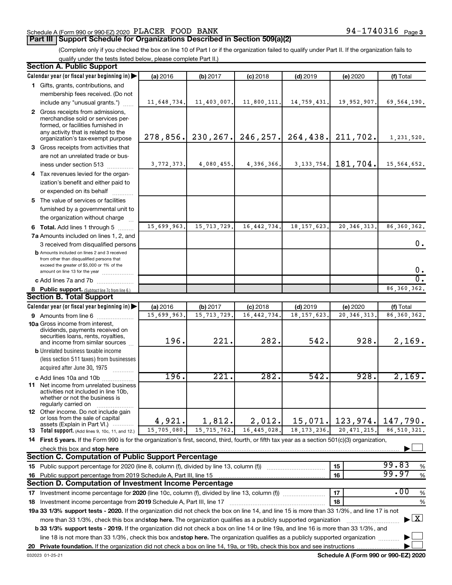#### Schedule A (Form 990 or 990-EZ) 2020 PLACER FOOD BANK  $94-1740316$  Page

# **Part III Support Schedule for Organizations Described in Section 509(a)(2)**

(Complete only if you checked the box on line 10 of Part I or if the organization failed to qualify under Part II. If the organization fails to qualify under the tests listed below, please complete Part II.)

| <b>Section A. Public Support</b>                                                                                                                                                                                                                          |             |               |               |                                  |               |                                    |
|-----------------------------------------------------------------------------------------------------------------------------------------------------------------------------------------------------------------------------------------------------------|-------------|---------------|---------------|----------------------------------|---------------|------------------------------------|
| Calendar year (or fiscal year beginning in)                                                                                                                                                                                                               | (a) 2016    | (b) 2017      | $(c)$ 2018    | $(d)$ 2019                       | (e) 2020      | (f) Total                          |
| 1 Gifts, grants, contributions, and                                                                                                                                                                                                                       |             |               |               |                                  |               |                                    |
| membership fees received. (Do not                                                                                                                                                                                                                         |             |               |               |                                  |               |                                    |
| include any "unusual grants.")                                                                                                                                                                                                                            | 11,648,734. | 11,403,007.   | 11,800,111.   | 14,759,431.                      | 19,952,907.   | 69,564,190.                        |
| 2 Gross receipts from admissions,<br>merchandise sold or services per-<br>formed, or facilities furnished in<br>any activity that is related to the<br>organization's tax-exempt purpose                                                                  | 278,856.    |               |               | $230, 267$ . 246, 257. 264, 438. | 211,702.      | 1,231,520.                         |
| 3 Gross receipts from activities that                                                                                                                                                                                                                     |             |               |               |                                  |               |                                    |
| are not an unrelated trade or bus-                                                                                                                                                                                                                        |             |               |               |                                  | 181,704.      |                                    |
| iness under section 513                                                                                                                                                                                                                                   | 3,772,373.  | 4,080,455.    | 4,396,366.    | 3, 133, 754.                     |               | 15, 564, 652.                      |
| 4 Tax revenues levied for the organ-<br>ization's benefit and either paid to                                                                                                                                                                              |             |               |               |                                  |               |                                    |
| or expended on its behalf                                                                                                                                                                                                                                 |             |               |               |                                  |               |                                    |
| 5 The value of services or facilities<br>furnished by a governmental unit to<br>the organization without charge                                                                                                                                           |             |               |               |                                  |               |                                    |
| 6 Total. Add lines 1 through 5                                                                                                                                                                                                                            | 15,699,963. | 15, 713, 729. | 16, 442, 734  | 18, 157, 623                     | 20, 346, 313. | 86, 360, 362.                      |
| 7a Amounts included on lines 1, 2, and                                                                                                                                                                                                                    |             |               |               |                                  |               |                                    |
| 3 received from disqualified persons                                                                                                                                                                                                                      |             |               |               |                                  |               | 0.                                 |
| <b>b</b> Amounts included on lines 2 and 3 received<br>from other than disqualified persons that<br>exceed the greater of \$5,000 or 1% of the<br>amount on line 13 for the year                                                                          |             |               |               |                                  |               | 0.                                 |
| c Add lines 7a and 7b                                                                                                                                                                                                                                     |             |               |               |                                  |               | σ.                                 |
| 8 Public support. (Subtract line 7c from line 6.)                                                                                                                                                                                                         |             |               |               |                                  |               | 86, 360, 362.                      |
| <b>Section B. Total Support</b>                                                                                                                                                                                                                           |             |               |               |                                  |               |                                    |
| Calendar year (or fiscal year beginning in)                                                                                                                                                                                                               | (a) 2016    | (b) 2017      | $(c)$ 2018    | $(d)$ 2019                       | (e) 2020      | (f) Total                          |
| 9 Amounts from line 6                                                                                                                                                                                                                                     | 15,699,963. | 15, 713, 729. | 16, 442, 734  | 18, 157, 623                     | 20, 346, 313  | 86, 360, 362.                      |
| <b>10a</b> Gross income from interest,<br>dividends, payments received on<br>securities loans, rents, royalties,<br>and income from similar sources                                                                                                       | 196.        | 221.          | 282.          | 542.                             | 928.          | 2,169.                             |
| <b>b</b> Unrelated business taxable income                                                                                                                                                                                                                |             |               |               |                                  |               |                                    |
| (less section 511 taxes) from businesses<br>acquired after June 30, 1975                                                                                                                                                                                  |             |               |               |                                  |               |                                    |
| c Add lines 10a and 10b                                                                                                                                                                                                                                   | 196.        | 221.          | 282.          | 542.                             | 928.          | 2,169.                             |
| 11 Net income from unrelated business<br>activities not included in line 10b,<br>whether or not the business is<br>regularly carried on                                                                                                                   |             |               |               |                                  |               |                                    |
| <b>12</b> Other income. Do not include gain<br>or loss from the sale of capital                                                                                                                                                                           | 4,921.      | 1,812.        | 2,012.        | 15,071.                          | 123,974.      | 147,790.                           |
| assets (Explain in Part VI.)<br>13 Total support. (Add lines 9, 10c, 11, and 12.)                                                                                                                                                                         | 15,705,080. | 15, 715, 762. | 16, 445, 028. | 18, 173, 236.                    | 20, 471, 215. | 86.510.321.                        |
| 14 First 5 years. If the Form 990 is for the organization's first, second, third, fourth, or fifth tax year as a section 501(c)(3) organization,                                                                                                          |             |               |               |                                  |               |                                    |
| check this box and stop here                                                                                                                                                                                                                              |             |               |               |                                  |               |                                    |
| <b>Section C. Computation of Public Support Percentage</b>                                                                                                                                                                                                |             |               |               |                                  |               |                                    |
| 15 Public support percentage for 2020 (line 8, column (f), divided by line 13, column (f))                                                                                                                                                                |             |               |               |                                  | 15            | 99.83<br>%                         |
| 16 Public support percentage from 2019 Schedule A, Part III, line 15                                                                                                                                                                                      |             |               |               |                                  | 16            | 99.97<br>$\%$                      |
| Section D. Computation of Investment Income Percentage                                                                                                                                                                                                    |             |               |               |                                  |               |                                    |
|                                                                                                                                                                                                                                                           |             |               |               |                                  | 17            | .00                                |
| 17 Investment income percentage for 2020 (line 10c, column (f), divided by line 13, column (f))                                                                                                                                                           |             |               |               |                                  | 18            | $\%$<br>%                          |
| 18 Investment income percentage from 2019 Schedule A, Part III, line 17                                                                                                                                                                                   |             |               |               |                                  |               |                                    |
| 19a 33 1/3% support tests - 2020. If the organization did not check the box on line 14, and line 15 is more than 33 1/3%, and line 17 is not                                                                                                              |             |               |               |                                  |               | $\blacktriangleright$ $\mathbf{X}$ |
| more than 33 1/3%, check this box and stop here. The organization qualifies as a publicly supported organization<br>b 33 1/3% support tests - 2019. If the organization did not check a box on line 14 or line 19a, and line 16 is more than 33 1/3%, and |             |               |               |                                  |               |                                    |
| line 18 is not more than 33 1/3%, check this box and stop here. The organization qualifies as a publicly supported organization                                                                                                                           |             |               |               |                                  |               |                                    |
|                                                                                                                                                                                                                                                           |             |               |               |                                  |               |                                    |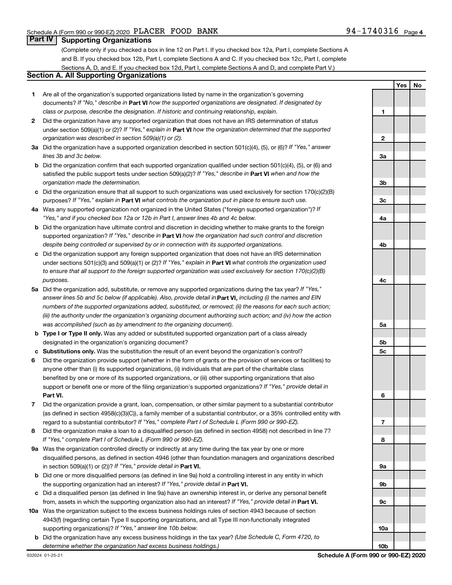**1**

**2**

**Yes No**

# **Part IV Supporting Organizations**

(Complete only if you checked a box in line 12 on Part I. If you checked box 12a, Part I, complete Sections A and B. If you checked box 12b, Part I, complete Sections A and C. If you checked box 12c, Part I, complete Sections A, D, and E. If you checked box 12d, Part I, complete Sections A and D, and complete Part V.)

# **Section A. All Supporting Organizations**

- **1** Are all of the organization's supported organizations listed by name in the organization's governing documents? If "No," describe in Part VI how the supported organizations are designated. If designated by *class or purpose, describe the designation. If historic and continuing relationship, explain.*
- **2** Did the organization have any supported organization that does not have an IRS determination of status under section 509(a)(1) or (2)? If "Yes," explain in Part **VI** how the organization determined that the supported *organization was described in section 509(a)(1) or (2).*
- **3a** Did the organization have a supported organization described in section 501(c)(4), (5), or (6)? If "Yes," answer *lines 3b and 3c below.*
- **b** Did the organization confirm that each supported organization qualified under section 501(c)(4), (5), or (6) and satisfied the public support tests under section 509(a)(2)? If "Yes," describe in Part VI when and how the *organization made the determination.*
- **c** Did the organization ensure that all support to such organizations was used exclusively for section 170(c)(2)(B) purposes? If "Yes," explain in Part VI what controls the organization put in place to ensure such use.
- **4 a** *If* Was any supported organization not organized in the United States ("foreign supported organization")? *"Yes," and if you checked box 12a or 12b in Part I, answer lines 4b and 4c below.*
- **b** Did the organization have ultimate control and discretion in deciding whether to make grants to the foreign supported organization? If "Yes," describe in Part VI how the organization had such control and discretion *despite being controlled or supervised by or in connection with its supported organizations.*
- **c** Did the organization support any foreign supported organization that does not have an IRS determination under sections 501(c)(3) and 509(a)(1) or (2)? If "Yes," explain in Part VI what controls the organization used *to ensure that all support to the foreign supported organization was used exclusively for section 170(c)(2)(B) purposes.*
- **5a** Did the organization add, substitute, or remove any supported organizations during the tax year? If "Yes," answer lines 5b and 5c below (if applicable). Also, provide detail in **Part VI,** including (i) the names and EIN *numbers of the supported organizations added, substituted, or removed; (ii) the reasons for each such action; (iii) the authority under the organization's organizing document authorizing such action; and (iv) how the action was accomplished (such as by amendment to the organizing document).*
- **b Type I or Type II only.** Was any added or substituted supported organization part of a class already designated in the organization's organizing document?
- **c Substitutions only.**  Was the substitution the result of an event beyond the organization's control?
- **6** Did the organization provide support (whether in the form of grants or the provision of services or facilities) to **Part VI.** support or benefit one or more of the filing organization's supported organizations? If "Yes," provide detail in anyone other than (i) its supported organizations, (ii) individuals that are part of the charitable class benefited by one or more of its supported organizations, or (iii) other supporting organizations that also
- **7** Did the organization provide a grant, loan, compensation, or other similar payment to a substantial contributor regard to a substantial contributor? If "Yes," complete Part I of Schedule L (Form 990 or 990-EZ). (as defined in section 4958(c)(3)(C)), a family member of a substantial contributor, or a 35% controlled entity with
- **8** Did the organization make a loan to a disqualified person (as defined in section 4958) not described in line 7? *If "Yes," complete Part I of Schedule L (Form 990 or 990-EZ).*
- **9 a** Was the organization controlled directly or indirectly at any time during the tax year by one or more in section 509(a)(1) or (2))? If "Yes," provide detail in **Part VI.** disqualified persons, as defined in section 4946 (other than foundation managers and organizations described
- **b** Did one or more disqualified persons (as defined in line 9a) hold a controlling interest in any entity in which the supporting organization had an interest? If "Yes," provide detail in Part VI.
- **c** Did a disqualified person (as defined in line 9a) have an ownership interest in, or derive any personal benefit from, assets in which the supporting organization also had an interest? If "Yes," provide detail in Part VI.
- **10 a** Was the organization subject to the excess business holdings rules of section 4943 because of section supporting organizations)? If "Yes," answer line 10b below. 4943(f) (regarding certain Type II supporting organizations, and all Type III non-functionally integrated
	- **b** Did the organization have any excess business holdings in the tax year? (Use Schedule C, Form 4720, to *determine whether the organization had excess business holdings.)*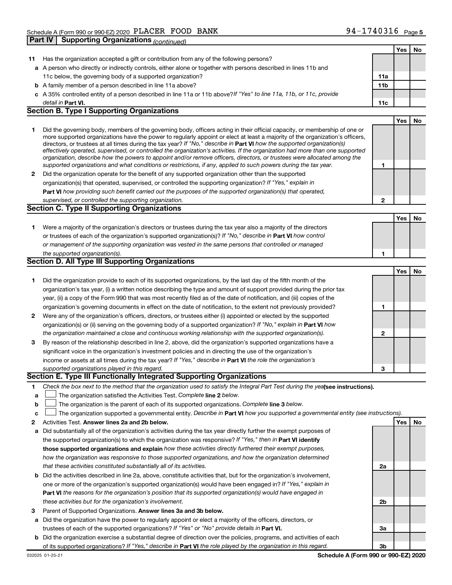|    |                                                                                                                                                                                                                                                           |                | Yes | No |
|----|-----------------------------------------------------------------------------------------------------------------------------------------------------------------------------------------------------------------------------------------------------------|----------------|-----|----|
| 11 | Has the organization accepted a gift or contribution from any of the following persons?                                                                                                                                                                   |                |     |    |
|    | a A person who directly or indirectly controls, either alone or together with persons described in lines 11b and                                                                                                                                          |                |     |    |
|    | 11c below, the governing body of a supported organization?                                                                                                                                                                                                | 11a            |     |    |
|    | <b>b</b> A family member of a person described in line 11a above?                                                                                                                                                                                         | 11b            |     |    |
|    | c A 35% controlled entity of a person described in line 11a or 11b above? If "Yes" to line 11a, 11b, or 11c, provide                                                                                                                                      |                |     |    |
|    | detail in <b>Part VI.</b>                                                                                                                                                                                                                                 | 11c            |     |    |
|    | <b>Section B. Type I Supporting Organizations</b>                                                                                                                                                                                                         |                |     |    |
|    |                                                                                                                                                                                                                                                           |                | Yes | No |
| 1  | Did the governing body, members of the governing body, officers acting in their official capacity, or membership of one or                                                                                                                                |                |     |    |
|    | more supported organizations have the power to regularly appoint or elect at least a majority of the organization's officers,                                                                                                                             |                |     |    |
|    | directors, or trustees at all times during the tax year? If "No," describe in Part VI how the supported organization(s)<br>effectively operated, supervised, or controlled the organization's activities. If the organization had more than one supported |                |     |    |
|    | organization, describe how the powers to appoint and/or remove officers, directors, or trustees were allocated among the                                                                                                                                  |                |     |    |
|    | supported organizations and what conditions or restrictions, if any, applied to such powers during the tax year.                                                                                                                                          | 1              |     |    |
| 2  | Did the organization operate for the benefit of any supported organization other than the supported                                                                                                                                                       |                |     |    |
|    | organization(s) that operated, supervised, or controlled the supporting organization? If "Yes," explain in                                                                                                                                                |                |     |    |
|    | Part VI how providing such benefit carried out the purposes of the supported organization(s) that operated,                                                                                                                                               |                |     |    |
|    | supervised, or controlled the supporting organization.                                                                                                                                                                                                    | $\mathbf{2}$   |     |    |
|    | <b>Section C. Type II Supporting Organizations</b>                                                                                                                                                                                                        |                |     |    |
|    |                                                                                                                                                                                                                                                           |                | Yes | No |
| 1. | Were a majority of the organization's directors or trustees during the tax year also a majority of the directors                                                                                                                                          |                |     |    |
|    | or trustees of each of the organization's supported organization(s)? If "No," describe in Part VI how control                                                                                                                                             |                |     |    |
|    | or management of the supporting organization was vested in the same persons that controlled or managed                                                                                                                                                    |                |     |    |
|    | the supported organization(s).                                                                                                                                                                                                                            | 1              |     |    |
|    | <b>Section D. All Type III Supporting Organizations</b>                                                                                                                                                                                                   |                |     |    |
|    |                                                                                                                                                                                                                                                           |                | Yes | No |
| 1  | Did the organization provide to each of its supported organizations, by the last day of the fifth month of the                                                                                                                                            |                |     |    |
|    | organization's tax year, (i) a written notice describing the type and amount of support provided during the prior tax                                                                                                                                     |                |     |    |
|    | year, (ii) a copy of the Form 990 that was most recently filed as of the date of notification, and (iii) copies of the                                                                                                                                    |                |     |    |
|    | organization's governing documents in effect on the date of notification, to the extent not previously provided?                                                                                                                                          | 1              |     |    |
| 2  | Were any of the organization's officers, directors, or trustees either (i) appointed or elected by the supported                                                                                                                                          |                |     |    |
|    | organization(s) or (ii) serving on the governing body of a supported organization? If "No," explain in Part VI how                                                                                                                                        |                |     |    |
|    | the organization maintained a close and continuous working relationship with the supported organization(s).                                                                                                                                               | $\mathbf{2}$   |     |    |
| 3  | By reason of the relationship described in line 2, above, did the organization's supported organizations have a                                                                                                                                           |                |     |    |
|    | significant voice in the organization's investment policies and in directing the use of the organization's                                                                                                                                                |                |     |    |
|    | income or assets at all times during the tax year? If "Yes," describe in Part VI the role the organization's                                                                                                                                              |                |     |    |
|    | supported organizations played in this regard.                                                                                                                                                                                                            | З              |     |    |
|    | Section E. Type III Functionally Integrated Supporting Organizations                                                                                                                                                                                      |                |     |    |
| 1  | Check the box next to the method that the organization used to satisfy the Integral Part Test during the yealsee instructions).                                                                                                                           |                |     |    |
| а  | The organization satisfied the Activities Test. Complete line 2 below.                                                                                                                                                                                    |                |     |    |
| b  | The organization is the parent of each of its supported organizations. Complete line 3 below.                                                                                                                                                             |                |     |    |
| с  | The organization supported a governmental entity. Describe in Part VI how you supported a governmental entity (see instructions).                                                                                                                         |                |     |    |
| 2  | Activities Test. Answer lines 2a and 2b below.                                                                                                                                                                                                            |                | Yes | No |
| а  | Did substantially all of the organization's activities during the tax year directly further the exempt purposes of                                                                                                                                        |                |     |    |
|    | the supported organization(s) to which the organization was responsive? If "Yes," then in Part VI identify                                                                                                                                                |                |     |    |
|    | those supported organizations and explain how these activities directly furthered their exempt purposes,                                                                                                                                                  |                |     |    |
|    | how the organization was responsive to those supported organizations, and how the organization determined                                                                                                                                                 |                |     |    |
|    | that these activities constituted substantially all of its activities.                                                                                                                                                                                    | 2a             |     |    |
| b  | Did the activities described in line 2a, above, constitute activities that, but for the organization's involvement,                                                                                                                                       |                |     |    |
|    | one or more of the organization's supported organization(s) would have been engaged in? If "Yes," explain in                                                                                                                                              |                |     |    |
|    | <b>Part VI</b> the reasons for the organization's position that its supported organization(s) would have engaged in                                                                                                                                       |                |     |    |
|    | these activities but for the organization's involvement.                                                                                                                                                                                                  | 2b             |     |    |
| з  | Parent of Supported Organizations. Answer lines 3a and 3b below.                                                                                                                                                                                          |                |     |    |
| а  | Did the organization have the power to regularly appoint or elect a majority of the officers, directors, or                                                                                                                                               |                |     |    |
|    | trustees of each of the supported organizations? If "Yes" or "No" provide details in Part VI.                                                                                                                                                             | За             |     |    |
| b  | Did the organization exercise a substantial degree of direction over the policies, programs, and activities of each<br>of its supported organizations? If "Yes." describe in <b>Part VI</b> the role played by the organization in this regard.           | 3 <sub>b</sub> |     |    |
|    |                                                                                                                                                                                                                                                           |                |     |    |

of its supported organizations? If "Yes," describe in Part VI the role played by the organization in this regard.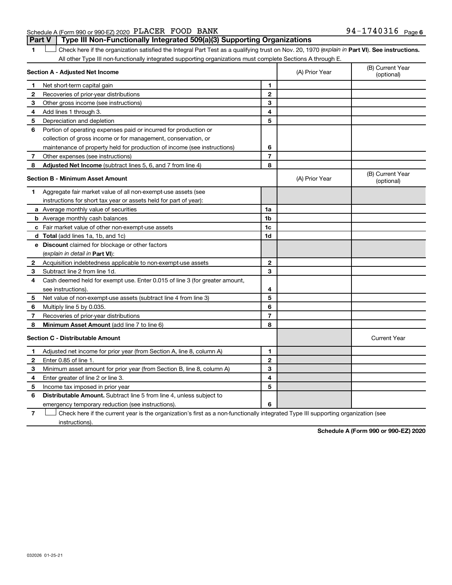032026 01-25-21

#### Schedule A (Form 990 or 990-EZ) 2020 PLACER FOOD BANK  $94-1740316$  Page **Part V Type III Non-Functionally Integrated 509(a)(3) Supporting Organizations**

1 **Letter See instructions.** Check here if the organization satisfied the Integral Part Test as a qualifying trust on Nov. 20, 1970 (*explain in* Part **VI**). See instructions. All other Type III non-functionally integrated supporting organizations must complete Sections A through E.

| Section A - Adjusted Net Income |                                                                             | (A) Prior Year | (B) Current Year<br>(optional) |                                |
|---------------------------------|-----------------------------------------------------------------------------|----------------|--------------------------------|--------------------------------|
| 1                               | Net short-term capital gain                                                 | 1              |                                |                                |
| $\mathbf{2}$                    | Recoveries of prior-year distributions                                      | $\mathbf{2}$   |                                |                                |
| 3                               | Other gross income (see instructions)                                       | 3              |                                |                                |
| 4                               | Add lines 1 through 3.                                                      | 4              |                                |                                |
| 5                               | Depreciation and depletion                                                  | 5              |                                |                                |
| 6                               | Portion of operating expenses paid or incurred for production or            |                |                                |                                |
|                                 | collection of gross income or for management, conservation, or              |                |                                |                                |
|                                 | maintenance of property held for production of income (see instructions)    | 6              |                                |                                |
| 7                               | Other expenses (see instructions)                                           | $\overline{7}$ |                                |                                |
| 8                               | Adjusted Net Income (subtract lines 5, 6, and 7 from line 4)                | 8              |                                |                                |
|                                 | <b>Section B - Minimum Asset Amount</b>                                     |                | (A) Prior Year                 | (B) Current Year<br>(optional) |
| 1                               | Aggregate fair market value of all non-exempt-use assets (see               |                |                                |                                |
|                                 | instructions for short tax year or assets held for part of year):           |                |                                |                                |
|                                 | a Average monthly value of securities                                       | 1a             |                                |                                |
|                                 | <b>b</b> Average monthly cash balances                                      | 1b             |                                |                                |
|                                 | c Fair market value of other non-exempt-use assets                          | 1c             |                                |                                |
|                                 | d Total (add lines 1a, 1b, and 1c)                                          | 1d             |                                |                                |
|                                 | e Discount claimed for blockage or other factors                            |                |                                |                                |
|                                 | (explain in detail in <b>Part VI</b> ):                                     |                |                                |                                |
| $\mathbf{2}$                    | Acquisition indebtedness applicable to non-exempt-use assets                | $\mathbf{2}$   |                                |                                |
| 3                               | Subtract line 2 from line 1d.                                               | 3              |                                |                                |
| 4                               | Cash deemed held for exempt use. Enter 0.015 of line 3 (for greater amount, |                |                                |                                |
|                                 | see instructions).                                                          | 4              |                                |                                |
| 5                               | Net value of non-exempt-use assets (subtract line 4 from line 3)            | 5              |                                |                                |
| 6                               | Multiply line 5 by 0.035.                                                   | 6              |                                |                                |
| $\overline{7}$                  | Recoveries of prior-year distributions                                      | $\overline{7}$ |                                |                                |
| 8                               | Minimum Asset Amount (add line 7 to line 6)                                 | 8              |                                |                                |
|                                 | <b>Section C - Distributable Amount</b>                                     |                |                                | <b>Current Year</b>            |
| 1                               | Adjusted net income for prior year (from Section A, line 8, column A)       | 1              |                                |                                |
| $\mathbf{2}$                    | Enter 0.85 of line 1.                                                       | $\mathbf{2}$   |                                |                                |
| 3                               | Minimum asset amount for prior year (from Section B, line 8, column A)      | 3              |                                |                                |
| 4                               | Enter greater of line 2 or line 3.                                          | 4              |                                |                                |
| 5                               | Income tax imposed in prior year                                            | 5              |                                |                                |
| 6                               | <b>Distributable Amount.</b> Subtract line 5 from line 4, unless subject to |                |                                |                                |
|                                 | emergency temporary reduction (see instructions).                           | 6              |                                |                                |
|                                 |                                                                             |                |                                |                                |

**7** Check here if the current year is the organization's first as a non-functionally integrated Type III supporting organization (see † instructions).

**Schedule A (Form 990 or 990-EZ) 2020**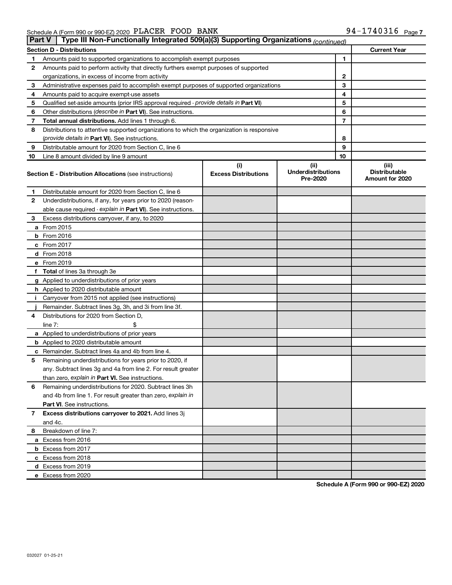| <b>Part V</b> | Type III Non-Functionally Integrated 509(a)(3) Supporting Organizations (continued)        |                             |                                       |              |                                                |
|---------------|--------------------------------------------------------------------------------------------|-----------------------------|---------------------------------------|--------------|------------------------------------------------|
|               | <b>Section D - Distributions</b>                                                           |                             |                                       |              | <b>Current Year</b>                            |
| 1             | Amounts paid to supported organizations to accomplish exempt purposes                      |                             |                                       | $\mathbf{1}$ |                                                |
| 2             | Amounts paid to perform activity that directly furthers exempt purposes of supported       |                             |                                       |              |                                                |
|               | organizations, in excess of income from activity                                           | $\mathbf{2}$                |                                       |              |                                                |
| 3             | Administrative expenses paid to accomplish exempt purposes of supported organizations      |                             |                                       | 3            |                                                |
| 4             | Amounts paid to acquire exempt-use assets                                                  |                             |                                       | 4            |                                                |
| 5             | Qualified set-aside amounts (prior IRS approval required - provide details in Part VI)     |                             |                                       | 5            |                                                |
| 6             | Other distributions ( <i>describe in Part VI</i> ). See instructions.                      |                             |                                       | 6            |                                                |
| 7             | Total annual distributions. Add lines 1 through 6.                                         |                             |                                       | 7            |                                                |
| 8             | Distributions to attentive supported organizations to which the organization is responsive |                             |                                       |              |                                                |
|               | (provide details in Part VI). See instructions.                                            |                             |                                       | 8            |                                                |
| 9             | Distributable amount for 2020 from Section C, line 6                                       |                             |                                       | 9            |                                                |
| 10            | Line 8 amount divided by line 9 amount                                                     |                             |                                       | 10           |                                                |
|               |                                                                                            | (i)                         | (ii)                                  |              | (iii)                                          |
|               | <b>Section E - Distribution Allocations (see instructions)</b>                             | <b>Excess Distributions</b> | <b>Underdistributions</b><br>Pre-2020 |              | <b>Distributable</b><br><b>Amount for 2020</b> |
| 1             | Distributable amount for 2020 from Section C, line 6                                       |                             |                                       |              |                                                |
| 2             | Underdistributions, if any, for years prior to 2020 (reason-                               |                             |                                       |              |                                                |
|               | able cause required - explain in Part VI). See instructions.                               |                             |                                       |              |                                                |
| 3             | Excess distributions carryover, if any, to 2020                                            |                             |                                       |              |                                                |
|               | a From 2015                                                                                |                             |                                       |              |                                                |
|               | <b>b</b> From 2016                                                                         |                             |                                       |              |                                                |
|               | c From 2017                                                                                |                             |                                       |              |                                                |
|               | d From 2018                                                                                |                             |                                       |              |                                                |
|               | e From 2019                                                                                |                             |                                       |              |                                                |
|               | f Total of lines 3a through 3e                                                             |                             |                                       |              |                                                |
|               | g Applied to underdistributions of prior years                                             |                             |                                       |              |                                                |
|               | h Applied to 2020 distributable amount                                                     |                             |                                       |              |                                                |
| Ť.            | Carryover from 2015 not applied (see instructions)                                         |                             |                                       |              |                                                |
|               | Remainder. Subtract lines 3g, 3h, and 3i from line 3f.                                     |                             |                                       |              |                                                |
| 4             | Distributions for 2020 from Section D,                                                     |                             |                                       |              |                                                |
|               | line $7:$                                                                                  |                             |                                       |              |                                                |
|               | a Applied to underdistributions of prior years                                             |                             |                                       |              |                                                |
|               | <b>b</b> Applied to 2020 distributable amount                                              |                             |                                       |              |                                                |
|               | c Remainder. Subtract lines 4a and 4b from line 4.                                         |                             |                                       |              |                                                |
| 5             | Remaining underdistributions for years prior to 2020, if                                   |                             |                                       |              |                                                |
|               | any. Subtract lines 3g and 4a from line 2. For result greater                              |                             |                                       |              |                                                |
|               | than zero, explain in Part VI. See instructions.                                           |                             |                                       |              |                                                |
| 6             | Remaining underdistributions for 2020. Subtract lines 3h                                   |                             |                                       |              |                                                |
|               | and 4b from line 1. For result greater than zero, explain in                               |                             |                                       |              |                                                |
|               | <b>Part VI.</b> See instructions.                                                          |                             |                                       |              |                                                |
| 7             | Excess distributions carryover to 2021. Add lines 3j                                       |                             |                                       |              |                                                |
|               | and 4c.                                                                                    |                             |                                       |              |                                                |
| 8             | Breakdown of line 7:                                                                       |                             |                                       |              |                                                |
|               | a Excess from 2016                                                                         |                             |                                       |              |                                                |
|               | <b>b</b> Excess from 2017                                                                  |                             |                                       |              |                                                |
|               | c Excess from 2018                                                                         |                             |                                       |              |                                                |
|               | d Excess from 2019                                                                         |                             |                                       |              |                                                |
|               | e Excess from 2020                                                                         |                             |                                       |              |                                                |

**Schedule A (Form 990 or 990-EZ) 2020**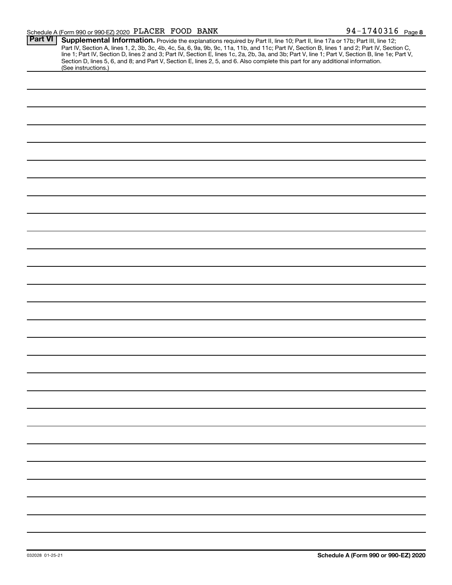| <b>Part VI</b> | Supplemental Information. Provide the explanations required by Part II, line 10; Part II, line 17a or 17b; Part III, line 12;                                                                                                                                                                    |  |  |
|----------------|--------------------------------------------------------------------------------------------------------------------------------------------------------------------------------------------------------------------------------------------------------------------------------------------------|--|--|
|                | Part IV, Section A, lines 1, 2, 3b, 3c, 4b, 4c, 5a, 6, 9a, 9b, 9c, 11a, 11b, and 11c; Part IV, Section B, lines 1 and 2; Part IV, Section C,<br>line 1; Part IV, Section D, lines 2 and 3; Part IV, Section E, lines 1c, 2a, 2b, 3a, and 3b; Part V, line 1; Part V, Section B, line 1e; Part V, |  |  |
|                | Section D, lines 5, 6, and 8; and Part V, Section E, lines 2, 5, and 6. Also complete this part for any additional information.<br>(See instructions.)                                                                                                                                           |  |  |
|                |                                                                                                                                                                                                                                                                                                  |  |  |
|                |                                                                                                                                                                                                                                                                                                  |  |  |
|                |                                                                                                                                                                                                                                                                                                  |  |  |
|                |                                                                                                                                                                                                                                                                                                  |  |  |
|                |                                                                                                                                                                                                                                                                                                  |  |  |
|                |                                                                                                                                                                                                                                                                                                  |  |  |
|                |                                                                                                                                                                                                                                                                                                  |  |  |
|                |                                                                                                                                                                                                                                                                                                  |  |  |
|                |                                                                                                                                                                                                                                                                                                  |  |  |
|                |                                                                                                                                                                                                                                                                                                  |  |  |
|                |                                                                                                                                                                                                                                                                                                  |  |  |
|                |                                                                                                                                                                                                                                                                                                  |  |  |
|                |                                                                                                                                                                                                                                                                                                  |  |  |
|                |                                                                                                                                                                                                                                                                                                  |  |  |
|                |                                                                                                                                                                                                                                                                                                  |  |  |
|                |                                                                                                                                                                                                                                                                                                  |  |  |
|                |                                                                                                                                                                                                                                                                                                  |  |  |
|                |                                                                                                                                                                                                                                                                                                  |  |  |
|                |                                                                                                                                                                                                                                                                                                  |  |  |
|                |                                                                                                                                                                                                                                                                                                  |  |  |
|                |                                                                                                                                                                                                                                                                                                  |  |  |
|                |                                                                                                                                                                                                                                                                                                  |  |  |
|                |                                                                                                                                                                                                                                                                                                  |  |  |
|                |                                                                                                                                                                                                                                                                                                  |  |  |
|                |                                                                                                                                                                                                                                                                                                  |  |  |
|                |                                                                                                                                                                                                                                                                                                  |  |  |
|                |                                                                                                                                                                                                                                                                                                  |  |  |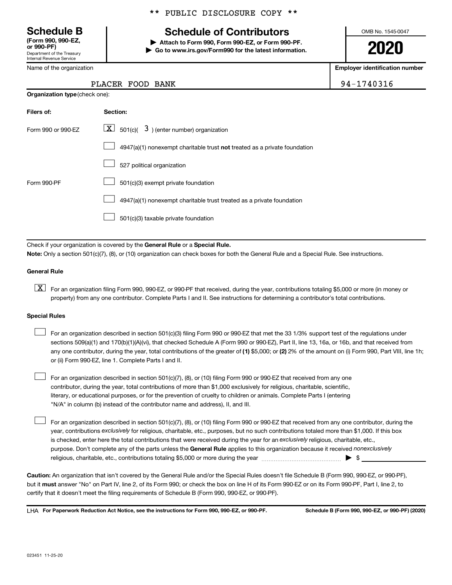Department of the Treasury Internal Revenue Service **(Form 990, 990-EZ,**

Name of the organization

# \*\* PUBLIC DISCLOSURE COPY \*\*

# **Schedule B Schedule of Contributors**

**or 990-PF) | Attach to Form 990, Form 990-EZ, or Form 990-PF. | Go to www.irs.gov/Form990 for the latest information.** OMB No. 1545-0047

**2020**

**Employer identification number**

|--|

| PLACER FOOD BANK | 94-1740316 |
|------------------|------------|
|                  |            |

| <b>Organization type (check one):</b> |                                                                           |  |  |  |
|---------------------------------------|---------------------------------------------------------------------------|--|--|--|
| Filers of:                            | Section:                                                                  |  |  |  |
| Form 990 or 990-EZ                    | $\underline{\mathbf{X}}$ 501(c)( 3) (enter number) organization           |  |  |  |
|                                       | 4947(a)(1) nonexempt charitable trust not treated as a private foundation |  |  |  |
|                                       | 527 political organization                                                |  |  |  |
| Form 990-PF                           | 501(c)(3) exempt private foundation                                       |  |  |  |
|                                       | 4947(a)(1) nonexempt charitable trust treated as a private foundation     |  |  |  |
|                                       | 501(c)(3) taxable private foundation                                      |  |  |  |

Check if your organization is covered by the General Rule or a Special Rule.

**Note:**  Only a section 501(c)(7), (8), or (10) organization can check boxes for both the General Rule and a Special Rule. See instructions.

#### **General Rule**

**K** For an organization filing Form 990, 990-EZ, or 990-PF that received, during the year, contributions totaling \$5,000 or more (in money or property) from any one contributor. Complete Parts I and II. See instructions for determining a contributor's total contributions.

#### **Special Rules**

 $\Box$ 

any one contributor, during the year, total contributions of the greater of (1) \$5,000; or (2) 2% of the amount on (i) Form 990, Part VIII, line 1h; For an organization described in section 501(c)(3) filing Form 990 or 990-EZ that met the 33 1/3% support test of the regulations under sections 509(a)(1) and 170(b)(1)(A)(vi), that checked Schedule A (Form 990 or 990-EZ), Part II, line 13, 16a, or 16b, and that received from or (ii) Form 990-EZ, line 1. Complete Parts I and II.  $\Box$ 

For an organization described in section 501(c)(7), (8), or (10) filing Form 990 or 990-EZ that received from any one contributor, during the year, total contributions of more than \$1,000 exclusively for religious, charitable, scientific, literary, or educational purposes, or for the prevention of cruelty to children or animals. Complete Parts I (entering "N/A" in column (b) instead of the contributor name and address), II, and III.  $\Box$ 

purpose. Don't complete any of the parts unless the General Rule applies to this organization because it received nonexclusively year, contributions exclusively for religious, charitable, etc., purposes, but no such contributions totaled more than \$1,000. If this box is checked, enter here the total contributions that were received during the year for an exclusively religious, charitable, etc., For an organization described in section 501(c)(7), (8), or (10) filing Form 990 or 990-EZ that received from any one contributor, during the religious, charitable, etc., contributions totaling \$5,000 or more during the year  $~\ldots\ldots\ldots\ldots\ldots\ldots\ldots\ldots\blacktriangleright~$ \$

**Caution:**  An organization that isn't covered by the General Rule and/or the Special Rules doesn't file Schedule B (Form 990, 990-EZ, or 990-PF),  **must** but it answer "No" on Part IV, line 2, of its Form 990; or check the box on line H of its Form 990-EZ or on its Form 990-PF, Part I, line 2, to certify that it doesn't meet the filing requirements of Schedule B (Form 990, 990-EZ, or 990-PF).

**For Paperwork Reduction Act Notice, see the instructions for Form 990, 990-EZ, or 990-PF. Schedule B (Form 990, 990-EZ, or 990-PF) (2020)** LHA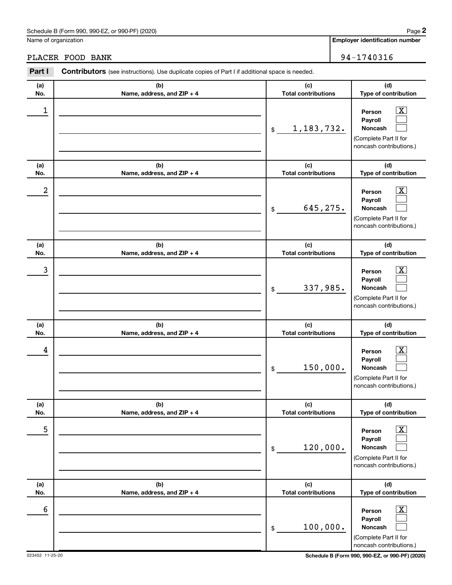Name of organization

| Part I           | <b>Contributors</b> (see instructions). Use duplicate copies of Part I if additional space is needed. |                                                                                                                                                                                          |
|------------------|-------------------------------------------------------------------------------------------------------|------------------------------------------------------------------------------------------------------------------------------------------------------------------------------------------|
| (a)<br>No.       | (b)<br>Name, address, and ZIP + 4                                                                     | (d)<br>(c)<br><b>Total contributions</b><br>Type of contribution                                                                                                                         |
| $\mathbf{1}$     |                                                                                                       | $\overline{\mathbf{X}}$<br>Person<br>Payroll<br>1, 183, 732.<br><b>Noncash</b><br>\$<br>(Complete Part II for<br>noncash contributions.)                                                 |
| (a)<br>No.       | (b)<br>Name, address, and ZIP + 4                                                                     | (c)<br>(d)<br><b>Total contributions</b><br>Type of contribution                                                                                                                         |
| $\boldsymbol{2}$ |                                                                                                       | $\overline{\text{X}}$<br>Person<br>Payroll<br>645, 275.<br><b>Noncash</b><br>\$<br>(Complete Part II for<br>noncash contributions.)                                                      |
| (a)<br>No.       | (b)<br>Name, address, and ZIP + 4                                                                     | (c)<br>(d)<br><b>Total contributions</b><br>Type of contribution                                                                                                                         |
| 3                |                                                                                                       | $\overline{\text{X}}$<br>Person<br>Payroll<br>337,985.<br><b>Noncash</b><br>\$<br>(Complete Part II for<br>noncash contributions.)                                                       |
| (a)              | (b)                                                                                                   | (c)<br>(d)                                                                                                                                                                               |
| No.<br>4         | Name, address, and ZIP + 4                                                                            | <b>Total contributions</b><br>Type of contribution<br>$\overline{\text{X}}$<br>Person<br>Payroll<br>150,000.<br><b>Noncash</b><br>\$<br>(Complete Part II for<br>noncash contributions.) |
| (a)<br>No.       | (b)<br>Name, address, and ZIP + 4                                                                     | (d)<br>(c)<br>Type of contribution<br><b>Total contributions</b>                                                                                                                         |
| 5                |                                                                                                       | $\mathbf{X}$<br>Person<br>Payroll<br>120,000.<br><b>Noncash</b><br>$\$$<br>(Complete Part II for<br>noncash contributions.)                                                              |
| (a)<br>No.       | (b)<br>Name, address, and ZIP + 4                                                                     | (c)<br>(d)<br><b>Total contributions</b><br>Type of contribution                                                                                                                         |
| 6                |                                                                                                       | $\mathbf{X}$<br>Person<br>Payroll<br>100,000.<br><b>Noncash</b><br>$\, \, \raisebox{-1.5pt}{\text{\circle*{1.5}}}\,$<br>(Complete Part II for<br>noncash contributions.)                 |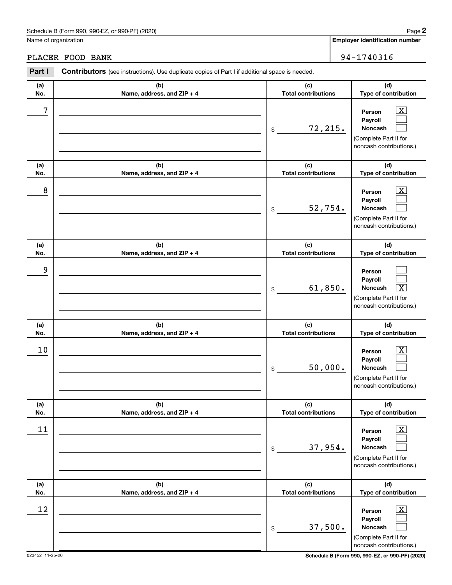Name of organization

| Part I     | <b>Contributors</b> (see instructions). Use duplicate copies of Part I if additional space is needed. |                                             |                                                                                                                                  |
|------------|-------------------------------------------------------------------------------------------------------|---------------------------------------------|----------------------------------------------------------------------------------------------------------------------------------|
| (a)        | (b)                                                                                                   | (c)                                         | (d)                                                                                                                              |
| No.        | Name, address, and ZIP + 4                                                                            | <b>Total contributions</b>                  | Type of contribution                                                                                                             |
| 7          |                                                                                                       | 72,215.<br>\$                               | $\boxed{\textbf{X}}$<br>Person<br>Payroll<br>Noncash<br>(Complete Part II for<br>noncash contributions.)                         |
| (a)<br>No. | (b)<br>Name, address, and ZIP + 4                                                                     | (c)<br><b>Total contributions</b>           | (d)<br>Type of contribution                                                                                                      |
| 8          |                                                                                                       | 52,754.<br>\$                               | $\boxed{\textbf{X}}$<br>Person<br>Payroll<br>Noncash<br>(Complete Part II for<br>noncash contributions.)                         |
| (a)<br>No. | (b)<br>Name, address, and ZIP + 4                                                                     | (c)<br><b>Total contributions</b>           | (d)<br>Type of contribution                                                                                                      |
| 9          |                                                                                                       | 61,850.<br>\$                               | Person<br>Payroll<br>$\boxed{\textbf{X}}$<br>Noncash<br>(Complete Part II for<br>noncash contributions.)                         |
| (a)        | (b)                                                                                                   | (c)                                         | (d)                                                                                                                              |
| No.<br>10  | Name, address, and ZIP + 4                                                                            | <b>Total contributions</b><br>50,000.<br>\$ | Type of contribution<br>$\boxed{\textbf{X}}$<br>Person<br>Payroll<br>Noncash<br>(Complete Part II for<br>noncash contributions.) |
| (a)<br>No. | (b)<br>Name, address, and ZIP + 4                                                                     | (c)<br><b>Total contributions</b>           | (d)<br>Type of contribution                                                                                                      |
| 11         |                                                                                                       | 37,954.<br>\$                               | $\boxed{\textbf{X}}$<br>Person<br>Payroll<br>Noncash<br>(Complete Part II for<br>noncash contributions.)                         |
| (a)<br>No. | (b)<br>Name, address, and ZIP + 4                                                                     | (c)<br><b>Total contributions</b>           | (d)<br>Type of contribution                                                                                                      |
| 12         |                                                                                                       | 37,500.<br>\$                               | $\boxed{\textbf{X}}$<br>Person<br>Payroll<br>Noncash<br>(Complete Part II for<br>noncash contributions.)                         |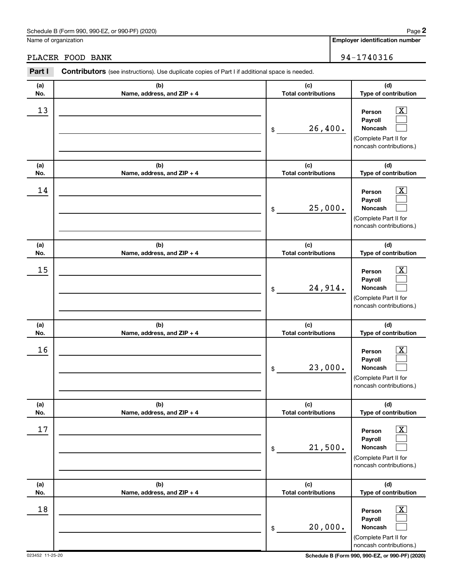Name of organization

| Part I     | <b>Contributors</b> (see instructions). Use duplicate copies of Part I if additional space is needed. |                                   |                                                                                                             |
|------------|-------------------------------------------------------------------------------------------------------|-----------------------------------|-------------------------------------------------------------------------------------------------------------|
| (a)<br>No. | (b)<br>Name, address, and ZIP + 4                                                                     | (c)<br><b>Total contributions</b> | (d)<br>Type of contribution                                                                                 |
| 13         |                                                                                                       | 26,400.<br>\$                     | $\overline{\text{X}}$<br>Person<br>Payroll<br>Noncash<br>(Complete Part II for<br>noncash contributions.)   |
| (a)<br>No. | (b)<br>Name, address, and ZIP + 4                                                                     | (c)<br><b>Total contributions</b> | (d)<br>Type of contribution                                                                                 |
| 14         |                                                                                                       | 25,000.<br>\$                     | $\overline{\text{X}}$<br>Person<br>Payroll<br>Noncash<br>(Complete Part II for<br>noncash contributions.)   |
| (a)<br>No. | (b)<br>Name, address, and ZIP + 4                                                                     | (c)<br><b>Total contributions</b> | (d)<br>Type of contribution                                                                                 |
| 15         |                                                                                                       | 24,914.<br>\$                     | $\overline{\text{X}}$<br>Person<br>Payroll<br>Noncash<br>(Complete Part II for<br>noncash contributions.)   |
| (a)<br>No. | (b)<br>Name, address, and ZIP + 4                                                                     | (c)<br><b>Total contributions</b> | (d)<br>Type of contribution                                                                                 |
| 16         |                                                                                                       | 23,000.<br>\$                     | $\overline{\text{X}}$<br>Person<br>Payroll<br>Noncash<br>(Complete Part II for<br>noncash contributions.)   |
| (a)<br>No. | (b)<br>Name, address, and ZIP + 4                                                                     | (c)<br><b>Total contributions</b> | (d)<br>Type of contribution                                                                                 |
| 17         |                                                                                                       | 21,500.<br>\$                     | $\overline{\textbf{X}}$<br>Person<br>Payroll<br>Noncash<br>(Complete Part II for<br>noncash contributions.) |
| (a)<br>No. | (b)<br>Name, address, and ZIP + 4                                                                     | (c)<br><b>Total contributions</b> | (d)<br>Type of contribution                                                                                 |
| 18         |                                                                                                       | 20,000.<br>\$                     | $\overline{\textbf{X}}$<br>Person<br>Payroll<br>Noncash<br>(Complete Part II for<br>noncash contributions.) |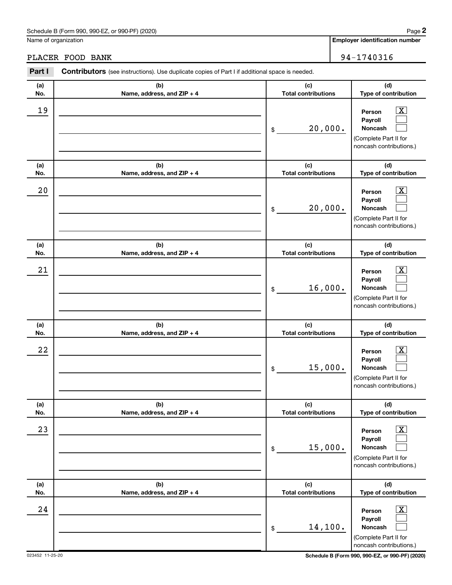Name of organization

| Part I     | <b>Contributors</b> (see instructions). Use duplicate copies of Part I if additional space is needed. |                                   |                                                                                                                    |
|------------|-------------------------------------------------------------------------------------------------------|-----------------------------------|--------------------------------------------------------------------------------------------------------------------|
| (a)<br>No. | (b)<br>Name, address, and ZIP + 4                                                                     | (c)<br><b>Total contributions</b> | (d)<br>Type of contribution                                                                                        |
| 19         |                                                                                                       | 20,000.<br>\$                     | $\overline{\text{X}}$<br>Person<br>Payroll<br>Noncash<br>(Complete Part II for<br>noncash contributions.)          |
| (a)<br>No. | (b)<br>Name, address, and ZIP + 4                                                                     | (c)<br><b>Total contributions</b> | (d)<br>Type of contribution                                                                                        |
| 20         |                                                                                                       | 20,000.<br>\$                     | $\overline{\text{X}}$<br>Person<br>Payroll<br>Noncash<br>(Complete Part II for<br>noncash contributions.)          |
| (a)<br>No. | (b)<br>Name, address, and ZIP + 4                                                                     | (c)<br><b>Total contributions</b> | (d)<br>Type of contribution                                                                                        |
| 21         |                                                                                                       | 16,000.<br>\$                     | $\overline{\mathbf{X}}$<br>Person<br>Payroll<br>Noncash<br>(Complete Part II for<br>noncash contributions.)        |
| (a)<br>No. | (b)<br>Name, address, and ZIP + 4                                                                     | (c)<br><b>Total contributions</b> | (d)<br>Type of contribution                                                                                        |
| 22         |                                                                                                       | 15,000.<br>\$                     | $\overline{\mathbf{X}}$<br>Person<br>Payroll<br><b>Noncash</b><br>(Complete Part II for<br>noncash contributions.) |
| (a)<br>No. | (b)<br>Name, address, and ZIP + 4                                                                     | (c)<br><b>Total contributions</b> | (d)<br>Type of contribution                                                                                        |
| 23         |                                                                                                       | 15,000.<br>\$                     | $\overline{\mathbf{X}}$<br>Person<br>Payroll<br>Noncash<br>(Complete Part II for<br>noncash contributions.)        |
| (a)<br>No. | (b)<br>Name, address, and ZIP + 4                                                                     | (c)<br><b>Total contributions</b> | (d)<br>Type of contribution                                                                                        |
| 24         |                                                                                                       | 14,100.<br>\$                     | $\overline{\mathbf{X}}$<br>Person<br>Payroll<br>Noncash<br>(Complete Part II for<br>noncash contributions.)        |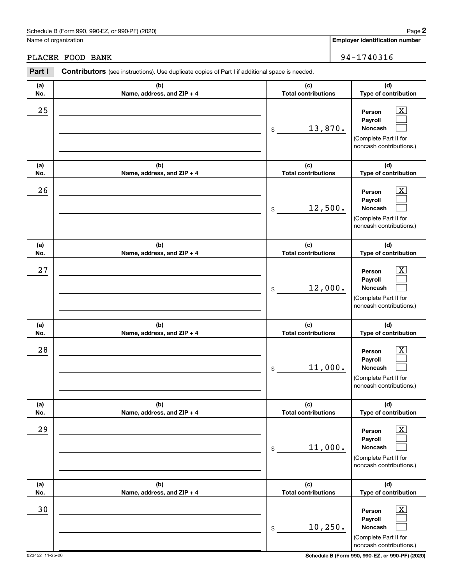Name of organization

**(d) Type of contribution**

> $\boxed{\text{X}}$  $\Box$  $\Box$

> $\boxed{\text{X}}$  $\Box$  $\Box$

> $\boxed{\text{X}}$  $\Box$  $\Box$

(Complete Part II for noncash contributions.)

**(d) Type of contribution**

(Complete Part II for noncash contributions.)

**(d) Type of contribution**

(Complete Part II for noncash contributions.)

**Person Payroll Noncash**

**Person Payroll Noncash**

|            | 94-1740316<br>PLACER FOOD BANK                                                                        |                                   |                                                                                                                         |
|------------|-------------------------------------------------------------------------------------------------------|-----------------------------------|-------------------------------------------------------------------------------------------------------------------------|
| Part I     | <b>Contributors</b> (see instructions). Use duplicate copies of Part I if additional space is needed. |                                   |                                                                                                                         |
| (a)<br>No. | (b)<br>Name, address, and ZIP + 4                                                                     | (c)<br><b>Total contributions</b> | (d)<br>Type of contribution                                                                                             |
| 25         |                                                                                                       | 13,870.<br>\$                     | $\overline{\text{X}}$<br>Person<br><b>Payroll</b><br><b>Noncash</b><br>(Complete Part II for<br>noncash contributions.) |
| (a)<br>No. | (b)<br>Name, address, and ZIP + 4                                                                     | (c)<br><b>Total contributions</b> | (d)<br><b>Type of contribution</b>                                                                                      |
| 26         |                                                                                                       | 12,500.<br>\$                     | х<br>Person<br>Payroll<br><b>Noncash</b><br>(Complete Part II for<br>noncash contributions.)                            |
| (a)<br>No. | (b)<br>Name, address, and ZIP + 4                                                                     | (c)<br><b>Total contributions</b> | (d)<br>Type of contribution                                                                                             |
| 27         |                                                                                                       | 12,000.<br>\$                     | $\overline{\textbf{X}}$<br>Person<br><b>Payroll</b><br><b>Noncash</b>                                                   |

 $28$  Person  $\overline{\text{X}}$ 

 $29$  Person  $\overline{\text{X}}$ 

 $\overline{30}$  Person  $\overline{\text{X}}$ 

**(b) Name, address, and ZIP + 4**

**(b) Name, address, and ZIP + 4**

**(b) Name, address, and ZIP + 4**

**Person Payroll Noncash**

(Complete Part II for noncash contributions.)

**(c) Total contributions**

\$

\$

\$

**(c) Total contributions**

11,000.

11,000.

10,250.

**(c) Total contributions**

**(a) No.**

**(a) No.**

**(a) No.** **2**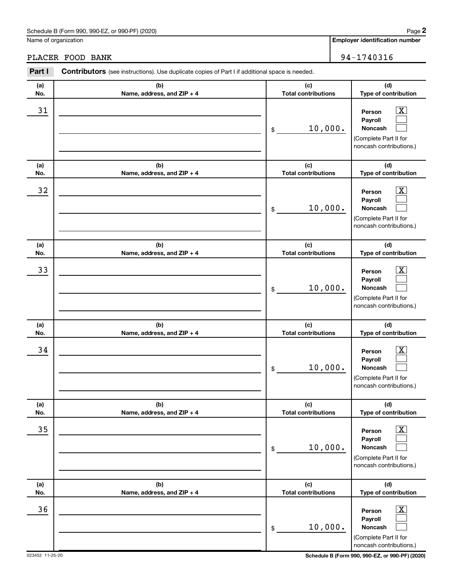Name of organization

# PLACER FOOD BANK 94-1740316

| Part I     | Contributors (see instructions). Use duplicate copies of Part I if additional space is needed. |                                   |                                                                                                             |
|------------|------------------------------------------------------------------------------------------------|-----------------------------------|-------------------------------------------------------------------------------------------------------------|
| (a)<br>No. | (b)<br>Name, address, and ZIP + 4                                                              | (c)<br><b>Total contributions</b> | (d)<br>Type of contribution                                                                                 |
| 31         |                                                                                                | 10,000.<br>\$                     | $\overline{\text{X}}$<br>Person<br>Payroll<br>Noncash<br>(Complete Part II for<br>noncash contributions.)   |
| (a)<br>No. | (b)<br>Name, address, and ZIP + 4                                                              | (c)<br><b>Total contributions</b> | (d)<br>Type of contribution                                                                                 |
| 32         |                                                                                                | 10,000.<br>\$                     | $\overline{\text{X}}$<br>Person<br>Payroll<br>Noncash<br>(Complete Part II for<br>noncash contributions.)   |
| (a)<br>No. | (b)<br>Name, address, and ZIP + 4                                                              | (c)<br><b>Total contributions</b> | (d)<br>Type of contribution                                                                                 |
| 33         |                                                                                                | 10,000.<br>\$                     | $\overline{\text{X}}$<br>Person<br>Payroll<br>Noncash<br>(Complete Part II for<br>noncash contributions.)   |
| (a)<br>No. | (b)<br>Name, address, and ZIP + 4                                                              | (c)<br><b>Total contributions</b> | (d)<br>Type of contribution                                                                                 |
| 34         |                                                                                                | 10,000.<br>\$                     | $\overline{\text{X}}$<br>Person<br>Payroll<br>Noncash<br>(Complete Part II for<br>noncash contributions.)   |
| (a)<br>No. | (b)<br>Name, address, and ZIP + 4                                                              | (c)<br><b>Total contributions</b> | (d)<br>Type of contribution                                                                                 |
| 35         |                                                                                                | 10,000.<br>\$                     | $\overline{\textbf{X}}$<br>Person<br>Payroll<br>Noncash<br>(Complete Part II for<br>noncash contributions.) |
| (a)<br>No. | (b)<br>Name, address, and ZIP + 4                                                              | (c)<br><b>Total contributions</b> | (d)<br>Type of contribution                                                                                 |
| 36         |                                                                                                | 10,000.<br>\$                     | $\overline{\textbf{X}}$<br>Person<br>Payroll<br>Noncash<br>(Complete Part II for<br>noncash contributions.) |

023452 11-25-20 **Schedule B (Form 990, 990-EZ, or 990-PF) (2020)**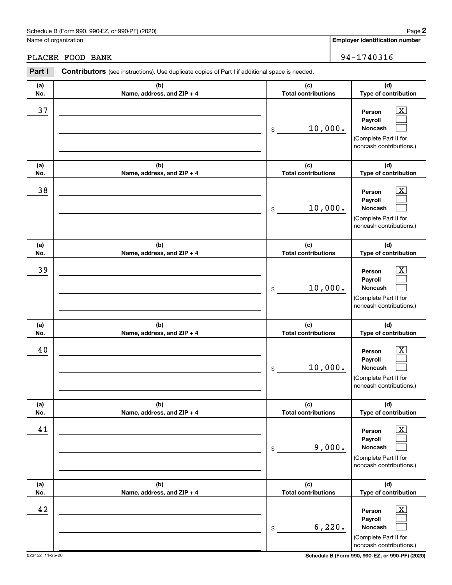Name of organization

| Part I     | <b>Contributors</b> (see instructions). Use duplicate copies of Part I if additional space is needed. |                                   |                                                                                                                    |
|------------|-------------------------------------------------------------------------------------------------------|-----------------------------------|--------------------------------------------------------------------------------------------------------------------|
| (a)<br>No. | (b)<br>Name, address, and ZIP + 4                                                                     | (c)<br><b>Total contributions</b> | (d)<br>Type of contribution                                                                                        |
| 37         |                                                                                                       | 10,000.<br>\$                     | $\overline{\mathbf{x}}$<br>Person<br>Payroll<br>Noncash<br>(Complete Part II for<br>noncash contributions.)        |
| (a)<br>No. | (b)<br>Name, address, and ZIP + 4                                                                     | (c)<br><b>Total contributions</b> | (d)<br>Type of contribution                                                                                        |
| 38         |                                                                                                       | 10,000.<br>\$                     | $\boxed{\mathbf{X}}$<br>Person<br>Payroll<br>Noncash<br>(Complete Part II for<br>noncash contributions.)           |
| (a)<br>No. | (b)<br>Name, address, and ZIP + 4                                                                     | (c)<br><b>Total contributions</b> | (d)<br>Type of contribution                                                                                        |
| 39         |                                                                                                       | 10,000.<br>\$                     | $\overline{\mathbf{x}}$<br>Person<br>Payroll<br>Noncash<br>(Complete Part II for<br>noncash contributions.)        |
| (a)<br>No. | (b)<br>Name, address, and ZIP + 4                                                                     | (c)<br><b>Total contributions</b> | (d)<br>Type of contribution                                                                                        |
| 40         |                                                                                                       | 10,000.<br>\$                     | $\overline{\text{X}}$<br>Person<br>Payroll<br>Noncash<br>(Complete Part II for<br>noncash contributions.)          |
| (a)<br>No. | (b)<br>Name, address, and ZIP + 4                                                                     | (c)<br><b>Total contributions</b> | (d)<br>Type of contribution                                                                                        |
| 41         |                                                                                                       | 9,000.<br>\$                      | $\overline{\mathbf{X}}$<br>Person<br>Payroll<br><b>Noncash</b><br>(Complete Part II for<br>noncash contributions.) |
| (a)<br>No. | (b)<br>Name, address, and ZIP + 4                                                                     | (c)<br><b>Total contributions</b> | (d)<br>Type of contribution                                                                                        |
| 42         |                                                                                                       | 6, 220.<br>\$                     | $\overline{\text{X}}$<br>Person<br>Payroll<br>Noncash<br>(Complete Part II for<br>noncash contributions.)          |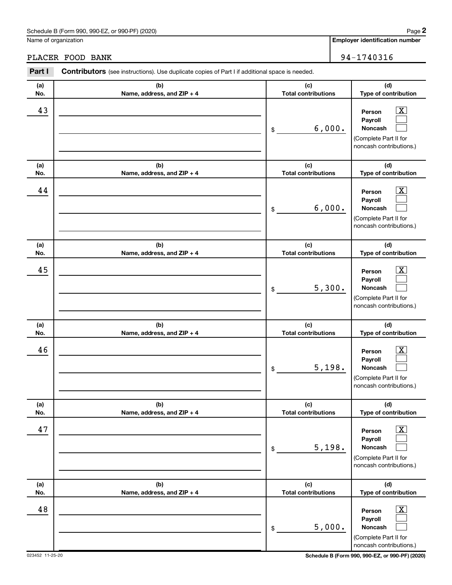**Part I** Contributors (see instructions). Use duplicate copies of Part I if additional space is needed.

Name of organization

 $\overline{\phantom{0}}$ 

# PLACER FOOD BANK 94-1740316

| (a)<br>No. | (b)<br>Name, address, and ZIP + 4 | (c)<br><b>Total contributions</b> | (d)<br>Type of contribution                                                                                        |
|------------|-----------------------------------|-----------------------------------|--------------------------------------------------------------------------------------------------------------------|
| 43         |                                   | 6,000.<br>\$                      | $\overline{\mathbf{X}}$<br>Person<br>Payroll<br>Noncash<br>(Complete Part II for<br>noncash contributions.)        |
| (a)<br>No. | (b)<br>Name, address, and ZIP + 4 | (c)<br><b>Total contributions</b> | (d)<br>Type of contribution                                                                                        |
| 44         |                                   | 6,000.<br>\$                      | $\overline{\mathbf{X}}$<br>Person<br>Payroll<br>Noncash<br>(Complete Part II for<br>noncash contributions.)        |
| (a)<br>No. | (b)<br>Name, address, and ZIP + 4 | (c)<br><b>Total contributions</b> | (d)<br>Type of contribution                                                                                        |
| 45         |                                   | 5,300.<br>\$                      | $\overline{\mathbf{X}}$<br>Person<br>Payroll<br><b>Noncash</b><br>(Complete Part II for<br>noncash contributions.) |
| (a)<br>No. | (b)<br>Name, address, and ZIP + 4 | (c)<br><b>Total contributions</b> | (d)<br>Type of contribution                                                                                        |
| 46         |                                   | 5,198.<br>\$                      | $\overline{\mathbf{X}}$<br>Person<br>Payroll<br><b>Noncash</b><br>(Complete Part II for<br>noncash contributions.) |
| (a)<br>No. | (b)<br>Name, address, and ZIP + 4 | (c)<br><b>Total contributions</b> | (d)<br>Type of contribution                                                                                        |
| 47         |                                   | 5,198.<br>\$                      | $\overline{\textbf{x}}$<br>Person<br>Payroll<br>Noncash<br>(Complete Part II for<br>noncash contributions.)        |
| (a)<br>No. | (b)<br>Name, address, and ZIP + 4 | (c)<br><b>Total contributions</b> | (d)<br>Type of contribution                                                                                        |
| 48         |                                   | 5,000.<br>\$                      | $\overline{\text{X}}$<br>Person<br>Payroll<br>Noncash<br>(Complete Part II for                                     |

023452 11-25-20 **Schedule B (Form 990, 990-EZ, or 990-PF) (2020)**

noncash contributions.)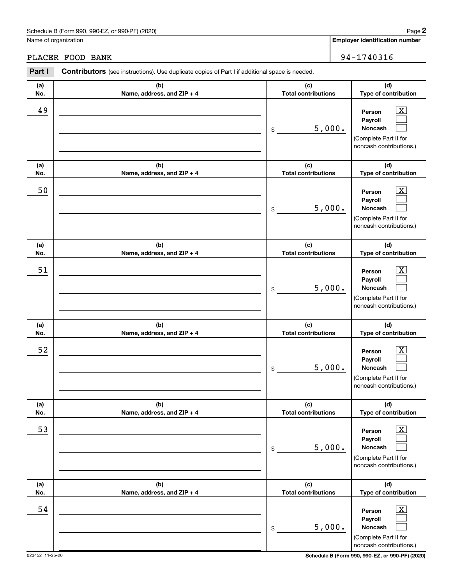Name of organization

| Part I     | <b>Contributors</b> (see instructions). Use duplicate copies of Part I if additional space is needed. |                                            |                                                                                                                                     |
|------------|-------------------------------------------------------------------------------------------------------|--------------------------------------------|-------------------------------------------------------------------------------------------------------------------------------------|
| (a)        | (b)                                                                                                   | (c)                                        | (d)                                                                                                                                 |
| No.<br>49  | Name, address, and ZIP + 4                                                                            | <b>Total contributions</b><br>5,000.<br>\$ | Type of contribution<br>$\overline{\mathbf{X}}$<br>Person<br>Payroll<br>Noncash<br>(Complete Part II for<br>noncash contributions.) |
| (a)<br>No. | (b)<br>Name, address, and ZIP + 4                                                                     | (c)<br><b>Total contributions</b>          | (d)<br>Type of contribution                                                                                                         |
| 50         |                                                                                                       | 5,000.<br>\$                               | $\overline{\mathbf{X}}$<br>Person<br>Payroll<br>Noncash<br>(Complete Part II for<br>noncash contributions.)                         |
| (a)<br>No. | (b)<br>Name, address, and ZIP + 4                                                                     | (c)<br><b>Total contributions</b>          | (d)<br>Type of contribution                                                                                                         |
| 51         |                                                                                                       | 5,000.<br>\$                               | $\overline{\mathbf{X}}$<br>Person<br>Payroll<br>Noncash<br>(Complete Part II for<br>noncash contributions.)                         |
| (a)<br>No. | (b)<br>Name, address, and ZIP + 4                                                                     | (c)<br><b>Total contributions</b>          | (d)<br>Type of contribution                                                                                                         |
| 52         |                                                                                                       | 5,000.<br>\$                               | $\overline{\mathbf{X}}$<br>Person<br>Payroll<br>Noncash<br>(Complete Part II for<br>noncash contributions.)                         |
| (a)<br>No. | (b)<br>Name, address, and ZIP + 4                                                                     | (c)<br><b>Total contributions</b>          | (d)<br>Type of contribution                                                                                                         |
| 53         |                                                                                                       | 5,000.<br>\$                               | $\overline{\text{X}}$<br>Person<br>Payroll<br>Noncash<br>(Complete Part II for<br>noncash contributions.)                           |
| (a)<br>No. | (b)<br>Name, address, and ZIP + 4                                                                     | (c)<br><b>Total contributions</b>          | (d)<br>Type of contribution                                                                                                         |
| 54         |                                                                                                       | 5,000.<br>\$                               | $\overline{\text{X}}$<br>Person<br>Payroll<br>Noncash<br>(Complete Part II for<br>noncash contributions.)                           |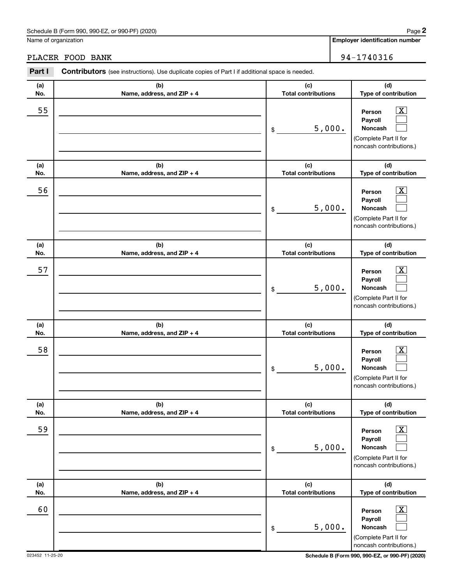Name of organization

| Part I     | <b>Contributors</b> (see instructions). Use duplicate copies of Part I if additional space is needed. |                                   |                                                                                                                  |
|------------|-------------------------------------------------------------------------------------------------------|-----------------------------------|------------------------------------------------------------------------------------------------------------------|
| (a)<br>No. | (b)<br>Name, address, and ZIP + 4                                                                     | (c)<br><b>Total contributions</b> | (d)<br>Type of contribution                                                                                      |
| 55         |                                                                                                       | 5,000.<br>\$                      | $\overline{\text{X}}$<br>Person<br>Payroll<br><b>Noncash</b><br>(Complete Part II for<br>noncash contributions.) |
| (a)<br>No. | (b)<br>Name, address, and ZIP + 4                                                                     | (c)<br><b>Total contributions</b> | (d)<br>Type of contribution                                                                                      |
| 56         |                                                                                                       | 5,000.<br>\$                      | $\overline{\text{X}}$<br>Person<br>Payroll<br>Noncash<br>(Complete Part II for<br>noncash contributions.)        |
| (a)<br>No. | (b)<br>Name, address, and ZIP + 4                                                                     | (c)<br><b>Total contributions</b> | (d)<br>Type of contribution                                                                                      |
| 57         |                                                                                                       | 5,000.<br>\$                      | $\overline{\text{X}}$<br>Person<br>Payroll<br>Noncash<br>(Complete Part II for<br>noncash contributions.)        |
| (a)<br>No. | (b)<br>Name, address, and ZIP + 4                                                                     | (c)<br><b>Total contributions</b> | (d)<br>Type of contribution                                                                                      |
| 58         |                                                                                                       | 5,000.<br>\$                      | <u>x</u><br>Person<br>Payroll<br>Noncash<br>(Complete Part II for<br>noncash contributions.)                     |
| (a)<br>No. | (b)<br>Name, address, and ZIP + 4                                                                     | (c)<br><b>Total contributions</b> | (d)<br>Type of contribution                                                                                      |
| 59         |                                                                                                       | 5,000.<br>\$                      | x<br>Person<br>Payroll<br><b>Noncash</b><br>(Complete Part II for<br>noncash contributions.)                     |
| (a)<br>No. | (b)<br>Name, address, and ZIP + 4                                                                     | (c)<br><b>Total contributions</b> | (d)<br>Type of contribution                                                                                      |
| 60         |                                                                                                       | 5,000.<br>\$                      | x<br>Person<br>Payroll<br>Noncash<br>(Complete Part II for<br>noncash contributions.)                            |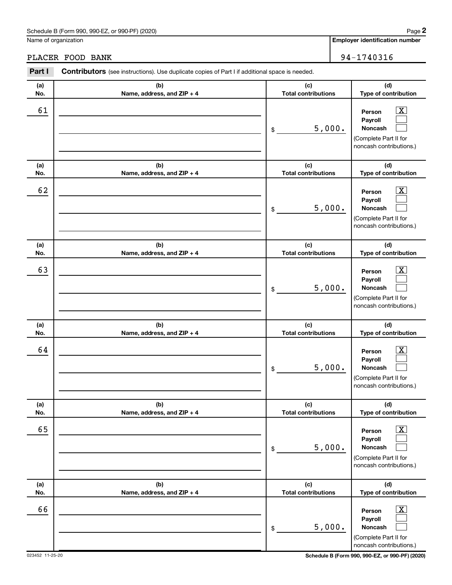Name of organization

| Part I     | <b>Contributors</b> (see instructions). Use duplicate copies of Part I if additional space is needed. |                                            |                                                                                                                                     |
|------------|-------------------------------------------------------------------------------------------------------|--------------------------------------------|-------------------------------------------------------------------------------------------------------------------------------------|
| (a)<br>No. | (b)<br>Name, address, and ZIP + 4                                                                     | (c)<br><b>Total contributions</b>          | (d)<br>Type of contribution                                                                                                         |
| 61         |                                                                                                       | 5,000.<br>\$                               | $\overline{\mathbf{X}}$<br>Person<br>Payroll<br>Noncash<br>(Complete Part II for<br>noncash contributions.)                         |
| (a)<br>No. | (b)<br>Name, address, and ZIP + 4                                                                     | (c)<br><b>Total contributions</b>          | (d)<br>Type of contribution                                                                                                         |
| 62         |                                                                                                       | 5,000.<br>\$                               | $\overline{\mathbf{X}}$<br>Person<br>Payroll<br>Noncash<br>(Complete Part II for<br>noncash contributions.)                         |
| (a)<br>No. | (b)<br>Name, address, and ZIP + 4                                                                     | (c)<br><b>Total contributions</b>          | (d)<br>Type of contribution                                                                                                         |
| 63         |                                                                                                       | 5,000.<br>\$                               | $\overline{\mathbf{X}}$<br>Person<br>Payroll<br>Noncash<br>(Complete Part II for<br>noncash contributions.)                         |
| (a)        | (b)                                                                                                   | (c)                                        | (d)                                                                                                                                 |
| No.<br>64  | Name, address, and ZIP + 4                                                                            | <b>Total contributions</b><br>5,000.<br>\$ | Type of contribution<br>$\overline{\mathbf{X}}$<br>Person<br>Payroll<br>Noncash<br>(Complete Part II for<br>noncash contributions.) |
| (a)<br>No. | (b)<br>Name, address, and ZIP + 4                                                                     | (c)<br><b>Total contributions</b>          | (d)<br>Type of contribution                                                                                                         |
| 65         |                                                                                                       | 5,000.<br>\$                               | $\overline{\mathbf{X}}$<br>Person<br>Payroll<br><b>Noncash</b><br>(Complete Part II for<br>noncash contributions.)                  |
| (a)<br>No. | (b)<br>Name, address, and ZIP + 4                                                                     | (c)<br><b>Total contributions</b>          | (d)<br>Type of contribution                                                                                                         |
| 66         |                                                                                                       | 5,000.<br>\$                               | $\overline{\mathbf{X}}$<br>Person<br>Payroll<br>Noncash<br>(Complete Part II for<br>noncash contributions.)                         |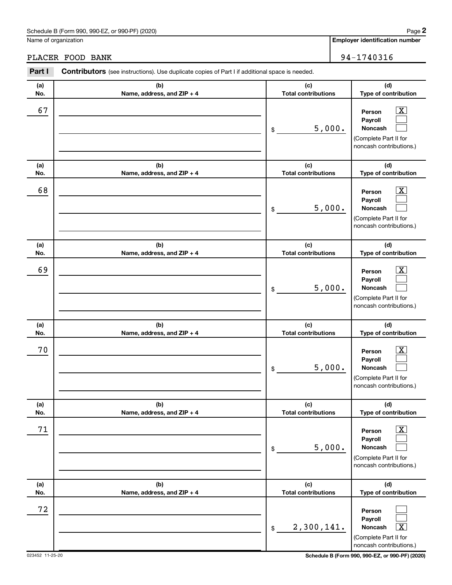Name of organization

# PLACER FOOD BANK

| $-1740316$ |
|------------|
|            |

| Part I     | <b>Contributors</b> (see instructions). Use duplicate copies of Part I if additional space is needed. |                                                                                                                                      |
|------------|-------------------------------------------------------------------------------------------------------|--------------------------------------------------------------------------------------------------------------------------------------|
| (a)<br>No. | (b)<br>Name, address, and ZIP + 4                                                                     | (d)<br>(c)<br><b>Total contributions</b><br>Type of contribution                                                                     |
| 67         |                                                                                                       | $\overline{\text{X}}$<br>Person<br>Pavroll<br>5,000.<br>Noncash<br>\$<br>(Complete Part II for<br>noncash contributions.)            |
| (a)<br>No. | (b)<br>Name, address, and ZIP + 4                                                                     | (c)<br>(d)<br><b>Total contributions</b><br>Type of contribution                                                                     |
| 68         |                                                                                                       | $\overline{\text{X}}$<br>Person<br>Payroll<br>5,000.<br>Noncash<br>\$<br>(Complete Part II for<br>noncash contributions.)            |
| (a)<br>No. | (b)<br>Name, address, and ZIP + 4                                                                     | (c)<br>(d)<br><b>Total contributions</b><br>Type of contribution                                                                     |
| 69         |                                                                                                       | $\overline{\text{X}}$<br>Person<br>Payroll<br>5,000.<br>Noncash<br>\$<br>(Complete Part II for<br>noncash contributions.)            |
| (a)<br>No. | (b)<br>Name, address, and ZIP + 4                                                                     | (c)<br>(d)<br><b>Total contributions</b><br>Type of contribution                                                                     |
| 70         |                                                                                                       | $\overline{\text{X}}$<br>Person<br>Payroll<br>5,000.<br>Noncash<br>\$<br>(Complete Part II for<br>noncash contributions.)            |
| (a)<br>No. | (b)<br>Name, address, and ZIP + 4                                                                     | (c)<br>(d)<br>Type of contribution<br><b>Total contributions</b>                                                                     |
| 71         |                                                                                                       | $\overline{\mathbf{X}}$<br>Person<br>Payroll<br>5,000.<br><b>Noncash</b><br>$\,$<br>(Complete Part II for<br>noncash contributions.) |
| (a)<br>No. | (b)<br>Name, address, and ZIP + 4                                                                     | (c)<br>(d)<br><b>Total contributions</b><br>Type of contribution                                                                     |
| 72         |                                                                                                       | Person<br>Payroll<br>2,300,141.<br>$\overline{\textbf{x}}$<br>Noncash<br>\$<br>(Complete Part II for<br>noncash contributions.)      |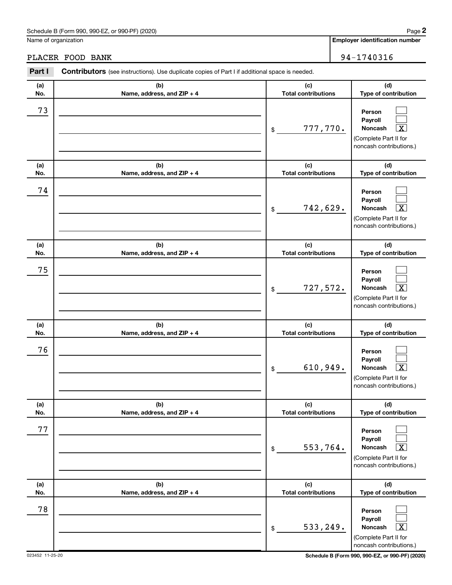Name of organization

**Part I** Contributors (see instructions). Use duplicate copies of Part I if additional space is needed. PLACER FOOD BANK 94-1740316

| (a)<br>No. | (b)<br>Name, address, and ZIP + 4 | (c)<br><b>Total contributions</b> | (d)<br>Type of contribution                                                                                 |
|------------|-----------------------------------|-----------------------------------|-------------------------------------------------------------------------------------------------------------|
| 73         |                                   | 777,770.<br>\$                    | Person<br>Payroll<br>Noncash<br>х<br>(Complete Part II for<br>noncash contributions.)                       |
| (a)<br>No. | (b)<br>Name, address, and ZIP + 4 | (c)<br><b>Total contributions</b> | (d)<br>Type of contribution                                                                                 |
| 74         |                                   | 742,629.<br>\$                    | Person<br>Payroll<br>Noncash<br>х<br>(Complete Part II for<br>noncash contributions.)                       |
| (a)<br>No. | (b)<br>Name, address, and ZIP + 4 | (c)<br><b>Total contributions</b> | (d)<br>Type of contribution                                                                                 |
| 75         |                                   | 727,572.<br>\$                    | Person<br>Payroll<br>Noncash<br>х<br>(Complete Part II for<br>noncash contributions.)                       |
| (a)<br>No. | (b)<br>Name, address, and ZIP + 4 | (c)<br><b>Total contributions</b> | (d)<br>Type of contribution                                                                                 |
| 76         |                                   | 610,949.<br>\$                    | Person<br>Payroll<br>$\overline{\text{x}}$<br>Noncash<br>(Complete Part II for<br>noncash contributions.)   |
| (a)<br>No. | (b)<br>Name, address, and ZIP + 4 | (c)<br><b>Total contributions</b> | (d)<br>Type of contribution                                                                                 |
| 77         |                                   | 553,764.<br>\$                    | Person<br>Payroll<br>$\overline{\textbf{X}}$<br>Noncash<br>(Complete Part II for<br>noncash contributions.) |
| (a)<br>No. | (b)<br>Name, address, and ZIP + 4 | (c)<br><b>Total contributions</b> | (d)<br>Type of contribution                                                                                 |
| 78         |                                   | 533,249.<br>\$                    | Person<br>Payroll<br>$\overline{\textbf{X}}$<br>Noncash<br>(Complete Part II for<br>noncash contributions.) |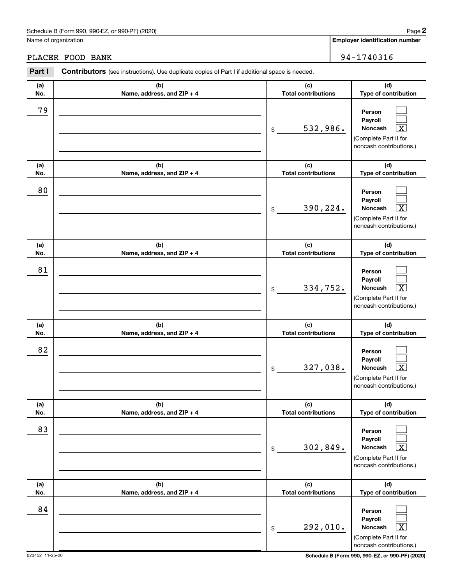Name of organization

| PLACER FOOD BANK |                                                                                                       | 94-1740316                        |                                                                                                                    |
|------------------|-------------------------------------------------------------------------------------------------------|-----------------------------------|--------------------------------------------------------------------------------------------------------------------|
| Part I           | <b>Contributors</b> (see instructions). Use duplicate copies of Part I if additional space is needed. |                                   |                                                                                                                    |
| (a)<br>No.       | (b)<br>Name, address, and $ZIP + 4$                                                                   | (c)<br><b>Total contributions</b> | (d)<br><b>Type of contribution</b>                                                                                 |
| 79               |                                                                                                       | 532,986.<br>\$.                   | Person<br>Payroll<br>$\overline{\mathbf{x}}$<br><b>Noncash</b><br>(Complete Part II for<br>noncash contributions.) |
| (a)              | (b)                                                                                                   | (c)                               | (d)                                                                                                                |
| No.              | Name, address, and $ZIP + 4$                                                                          | <b>Total contributions</b>        | Type of contribution                                                                                               |

| (a) | (b)                        | (c)                        | (d)                                                                                                         |
|-----|----------------------------|----------------------------|-------------------------------------------------------------------------------------------------------------|
| No. | Name, address, and ZIP + 4 | <b>Total contributions</b> | Type of contribution                                                                                        |
| 80  |                            | 390,224.<br>\$             | Person<br>Payroll<br>Noncash<br>(Complete Part II for<br>noncash contributions.)                            |
| (a) | (b)                        | (c)                        | (d)                                                                                                         |
| No. | Name, address, and ZIP + 4 | <b>Total contributions</b> | Type of contribution                                                                                        |
| 81  |                            | 334,752.<br>\$             | Person<br>Payroll<br>Noncash<br>х<br>(Complete Part II for<br>noncash contributions.)                       |
| (a) | (b)                        | (c)                        | (d)                                                                                                         |
| No. | Name, address, and ZIP + 4 | <b>Total contributions</b> | Type of contribution                                                                                        |
| 82  |                            | 327,038.<br>\$             | Person<br>Payroll<br>Noncash<br>х<br>(Complete Part II for<br>noncash contributions.)                       |
| (a) | (b)                        | (c)                        | (d)                                                                                                         |
| No. | Name, address, and ZIP + 4 | <b>Total contributions</b> | Type of contribution                                                                                        |
| 83  |                            | 302,849.<br>\$             | Person<br>Payroll<br>$\overline{\textbf{x}}$<br>Noncash<br>(Complete Part II for<br>noncash contributions.) |
| (a) | (b)                        | (c)                        | (d)                                                                                                         |
| No. | Name, address, and ZIP + 4 | <b>Total contributions</b> | Type of contribution                                                                                        |
| 84  |                            | 292,010.<br>\$             | Person<br>Payroll<br>$\overline{\textbf{x}}$<br>Noncash<br>(Complete Part II for<br>noncash contributions.) |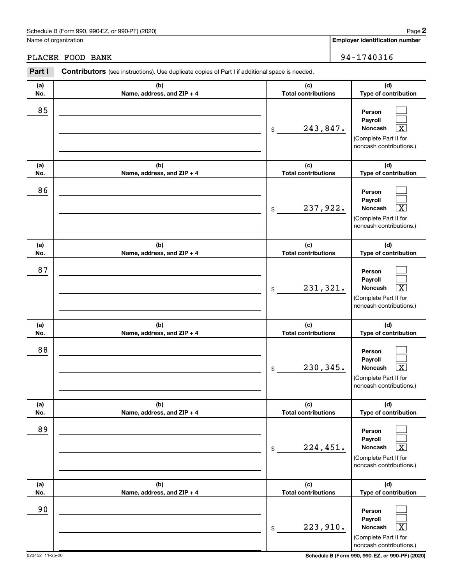Name of organization

**(c) (d) Part I** Contributors (see instructions). Use duplicate copies of Part I if additional space is needed. PLACER FOOD BANK 94-1740316

| (a) | (b)                        | (c)                        | (d)                                                                                                         |
|-----|----------------------------|----------------------------|-------------------------------------------------------------------------------------------------------------|
| No. | Name, address, and ZIP + 4 | <b>Total contributions</b> | Type of contribution                                                                                        |
| 85  |                            | 243,847.<br>\$             | Person<br>Payroll<br>Noncash<br>$\overline{\textbf{x}}$<br>(Complete Part II for<br>noncash contributions.) |
| (a) | (b)                        | (c)                        | (d)                                                                                                         |
| No. | Name, address, and ZIP + 4 | <b>Total contributions</b> | Type of contribution                                                                                        |
| 86  |                            | 237,922.<br>\$             | Person<br>Payroll<br>Noncash<br>$\overline{\textbf{x}}$<br>(Complete Part II for<br>noncash contributions.) |
| (a) | (b)                        | (c)                        | (d)                                                                                                         |
| No. | Name, address, and ZIP + 4 | <b>Total contributions</b> | Type of contribution                                                                                        |
| 87  |                            | 231,321.<br>\$             | Person<br>Payroll<br>$\overline{\textbf{x}}$<br>Noncash<br>(Complete Part II for<br>noncash contributions.) |
| (a) | (b)                        | (c)                        | (d)                                                                                                         |
| No. | Name, address, and ZIP + 4 | <b>Total contributions</b> | Type of contribution                                                                                        |
| 88  |                            | 230,345.<br>$\$$           | Person<br>Payroll<br>$\overline{\textbf{X}}$<br>Noncash<br>(Complete Part II for<br>noncash contributions.) |
| (a) | (b)                        | (c)                        | (d)                                                                                                         |
| No. | Name, address, and ZIP + 4 | <b>Total contributions</b> | Type of contribution                                                                                        |
| 89  |                            | 224,451.<br>\$             | Person<br>Payroll<br>Noncash<br>х<br>(Complete Part II for<br>noncash contributions.)                       |
| (a) | (b)                        | (c)                        | (d)                                                                                                         |
| No. | Name, address, and ZIP + 4 | <b>Total contributions</b> | Type of contribution                                                                                        |
| 90  |                            | 223,910.<br>$\,$           | Person<br>Payroll<br>Noncash<br>х<br>(Complete Part II for<br>noncash contributions.)                       |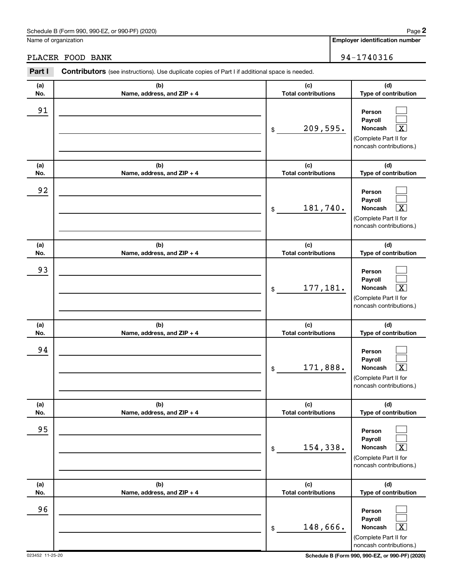Name of organization

|            | PLACER FOOD BANK                                                                                      |                                   | 94-1740316                                                                                                         |
|------------|-------------------------------------------------------------------------------------------------------|-----------------------------------|--------------------------------------------------------------------------------------------------------------------|
| Part I     | <b>Contributors</b> (see instructions). Use duplicate copies of Part I if additional space is needed. |                                   |                                                                                                                    |
| (a)<br>No. | (b)<br>Name, address, and ZIP + 4                                                                     | (c)<br><b>Total contributions</b> | (d)<br>Type of contribution                                                                                        |
| 91         |                                                                                                       | 209,595.<br>\$                    | Person<br>Payroll<br>$\overline{\mathbf{x}}$<br><b>Noncash</b><br>(Complete Part II for<br>noncash contributions.) |
| (a)<br>No. | (b)<br>Name, address, and $ZIP + 4$                                                                   | (c)<br><b>Total contributions</b> | (d)<br>Type of contribution                                                                                        |
| 92         |                                                                                                       | 181,740.<br>\$                    | Person<br><b>Payroll</b><br>$\overline{\mathbf{X}}$<br><b>Noncash</b><br>Complete Part II for                      |

|            |                                   | Φ<br>⊥∪⊥, , <del>⊥</del> ∪∙       | <b>ITURICANI</b><br>$\sqrt{2}$<br>(Complete Part II for<br>noncash contributions.)                                 |
|------------|-----------------------------------|-----------------------------------|--------------------------------------------------------------------------------------------------------------------|
| (a)<br>No. | (b)<br>Name, address, and ZIP + 4 | (c)<br><b>Total contributions</b> | (d)<br>Type of contribution                                                                                        |
| 93         |                                   | 177,181.<br>$$\mathbb{S}$$        | Person<br>Payroll<br>Noncash<br>$\overline{\textbf{x}}$<br>(Complete Part II for<br>noncash contributions.)        |
| (a)<br>No. | (b)<br>Name, address, and ZIP + 4 | (c)<br><b>Total contributions</b> | (d)<br>Type of contribution                                                                                        |
| 94         |                                   | 171,888.<br>$$\mathbb{S}$$        | Person<br>Payroll<br>$\overline{\textbf{X}}$<br><b>Noncash</b><br>(Complete Part II for<br>noncash contributions.) |
| (a)<br>No. | (b)<br>Name, address, and ZIP + 4 | (c)<br><b>Total contributions</b> | (d)<br>Type of contribution                                                                                        |
| 95         |                                   | 154,338.<br>$$\mathbb{S}$$        | Person<br>Payroll<br>$\overline{\textbf{X}}$<br>Noncash<br>(Complete Part II for<br>noncash contributions.)        |
| (a)<br>No. | (b)<br>Name, address, and ZIP + 4 | (c)<br><b>Total contributions</b> | (d)<br>Type of contribution                                                                                        |
| 96         |                                   | 148,666.<br>\$                    | Person<br>Payroll<br>$\overline{\textbf{x}}$<br>Noncash<br>(Complete Part II for<br>noncash contributions.)        |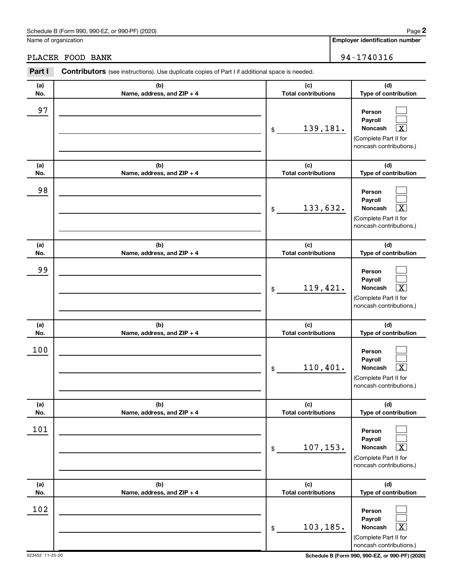Name of organization

**(a) No.**

### PLACER FOOD BANK 94-1740316

**(b) Name, address, and ZIP + 4 (c) Total contributions (d) Type of contribution Person Payroll Part I** Contributors (see instructions). Use duplicate copies of Part I if additional space is needed.  $\Box$  $\Box$ 

| 97         |                                   | 139,181.<br>\$                    | Person<br>Payroll<br>$\overline{\textbf{x}}$<br>Noncash<br>(Complete Part II for<br>noncash contributions.) |
|------------|-----------------------------------|-----------------------------------|-------------------------------------------------------------------------------------------------------------|
| (a)<br>No. | (b)<br>Name, address, and ZIP + 4 | (c)<br><b>Total contributions</b> | (d)<br>Type of contribution                                                                                 |
| 98         |                                   | 133,632.<br>\$                    | Person<br>Payroll<br>$\overline{\texttt{x}}$<br>Noncash<br>(Complete Part II for<br>noncash contributions.) |
| (a)<br>No. | (b)<br>Name, address, and ZIP + 4 | (c)<br><b>Total contributions</b> | (d)<br>Type of contribution                                                                                 |
| 99         |                                   | 119,421.<br>\$                    | Person<br>Payroll<br>$\overline{\texttt{x}}$<br>Noncash<br>(Complete Part II for<br>noncash contributions.) |
| (a)<br>No. | (b)<br>Name, address, and ZIP + 4 | (c)<br><b>Total contributions</b> | (d)<br>Type of contribution                                                                                 |
| 100        |                                   | 110,401.<br>\$                    | Person<br>Payroll<br>$\overline{\textbf{x}}$<br>Noncash<br>(Complete Part II for<br>noncash contributions.) |
| (a)<br>No. | (b)<br>Name, address, and ZIP + 4 | (c)<br><b>Total contributions</b> | (d)<br>Type of contribution                                                                                 |
| 101        |                                   | 107,153.<br>\$                    | Person<br>Payroll<br>$\overline{\mathbf{X}}$<br>Noncash<br>(Complete Part II for<br>noncash contributions.) |
| (a)<br>No. | (b)<br>Name, address, and ZIP + 4 | (c)<br><b>Total contributions</b> | (d)<br>Type of contribution                                                                                 |
| 102        |                                   | 103,185.<br>\$                    | Person<br>Payroll<br>$\overline{\textbf{x}}$<br>Noncash<br>(Complete Part II for<br>noncash contributions.) |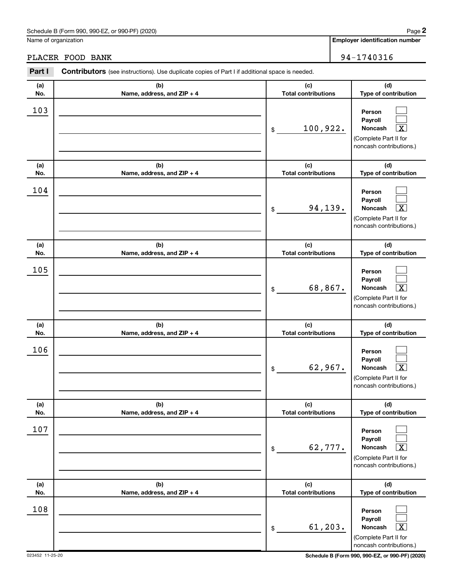Name of organization

| Part I     | <b>Contributors</b> (see instructions). Use duplicate copies of Part I if additional space is needed. |                                             |                                                                                                                                     |
|------------|-------------------------------------------------------------------------------------------------------|---------------------------------------------|-------------------------------------------------------------------------------------------------------------------------------------|
| (a)<br>No. | (b)<br>Name, address, and ZIP + 4                                                                     | (c)<br><b>Total contributions</b>           | (d)<br>Type of contribution                                                                                                         |
| 103        |                                                                                                       | 100,922.<br>\$                              | Person<br>Payroll<br>$\overline{\mathbf{X}}$<br>Noncash<br>(Complete Part II for<br>noncash contributions.)                         |
| (a)<br>No. | (b)<br>Name, address, and ZIP + 4                                                                     | (c)<br><b>Total contributions</b>           | (d)<br>Type of contribution                                                                                                         |
| 104        |                                                                                                       | 94,139.<br>\$                               | Person<br>Payroll<br>$\overline{\mathbf{X}}$<br>Noncash<br>(Complete Part II for<br>noncash contributions.)                         |
| (a)<br>No. | (b)<br>Name, address, and ZIP + 4                                                                     | (c)<br><b>Total contributions</b>           | (d)<br>Type of contribution                                                                                                         |
| 105        |                                                                                                       | 68,867.<br>\$                               | Person<br>Payroll<br>$\overline{\mathbf{X}}$<br>Noncash<br>(Complete Part II for<br>noncash contributions.)                         |
| (a)        | (b)                                                                                                   | (c)                                         | (d)                                                                                                                                 |
| No.<br>106 | Name, address, and ZIP + 4                                                                            | <b>Total contributions</b><br>62,967.<br>\$ | Type of contribution<br>Person<br>Payroll<br>$\overline{\mathbf{X}}$<br>Noncash<br>(Complete Part II for<br>noncash contributions.) |
| (a)<br>No. | (b)<br>Name, address, and ZIP + 4                                                                     | (c)<br><b>Total contributions</b>           | (d)<br>Type of contribution                                                                                                         |
| 107        |                                                                                                       | 62,777.<br>\$                               | Person<br>Payroll<br>$\overline{\textbf{X}}$<br>Noncash<br>(Complete Part II for<br>noncash contributions.)                         |
| (a)<br>No. | (b)<br>Name, address, and ZIP + 4                                                                     | (c)<br><b>Total contributions</b>           | (d)<br>Type of contribution                                                                                                         |
| 108        |                                                                                                       | 61,203.<br>\$                               | Person<br>Payroll<br>$\overline{\textbf{X}}$<br>Noncash<br>(Complete Part II for<br>noncash contributions.)                         |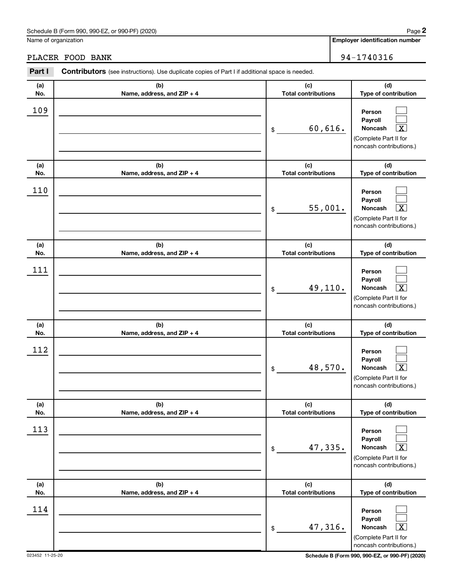Name of organization

| Part I     | <b>Contributors</b> (see instructions). Use duplicate copies of Part I if additional space is needed. |                                                                                                                              |
|------------|-------------------------------------------------------------------------------------------------------|------------------------------------------------------------------------------------------------------------------------------|
| (a)<br>No. | (b)<br>Name, address, and ZIP + 4                                                                     | (d)<br>(c)<br><b>Total contributions</b><br>Type of contribution                                                             |
| 109        |                                                                                                       | Person<br>Payroll<br>60,616.<br>$\overline{\textbf{x}}$<br>Noncash<br>\$<br>(Complete Part II for<br>noncash contributions.) |
| (a)<br>No. | (b)<br>Name, address, and ZIP + 4                                                                     | (c)<br>(d)<br><b>Total contributions</b><br>Type of contribution                                                             |
| 110        |                                                                                                       | Person<br>Payroll<br>55,001.<br>$\overline{\mathbf{X}}$<br>Noncash<br>\$<br>(Complete Part II for<br>noncash contributions.) |
| (a)<br>No. | (b)<br>Name, address, and ZIP + 4                                                                     | (c)<br>(d)<br><b>Total contributions</b><br>Type of contribution                                                             |
| 111        |                                                                                                       | Person<br>Payroll<br>49,110.<br>$\overline{\mathbf{X}}$<br>Noncash<br>\$<br>(Complete Part II for<br>noncash contributions.) |
| (a)<br>No. | (b)<br>Name, address, and ZIP + 4                                                                     | (c)<br>(d)<br><b>Total contributions</b><br>Type of contribution                                                             |
| 112        |                                                                                                       | Person<br>Payroll<br>48,570.<br>$\overline{\mathbf{X}}$<br>Noncash<br>\$<br>(Complete Part II for<br>noncash contributions.) |
| (a)<br>No. | (b)<br>Name, address, and ZIP + 4                                                                     | (c)<br>(d)<br>Type of contribution<br><b>Total contributions</b>                                                             |
| 113        |                                                                                                       | Person<br>Payroll<br>47,335.<br>$\overline{\textbf{x}}$<br>Noncash<br>\$<br>(Complete Part II for<br>noncash contributions.) |
| (a)<br>No. | (b)<br>Name, address, and ZIP + 4                                                                     | (c)<br>(d)<br><b>Total contributions</b><br>Type of contribution                                                             |
| 114        |                                                                                                       | Person<br>Payroll<br>47,316.<br>$\overline{\textbf{x}}$<br>Noncash<br>\$<br>(Complete Part II for<br>noncash contributions.) |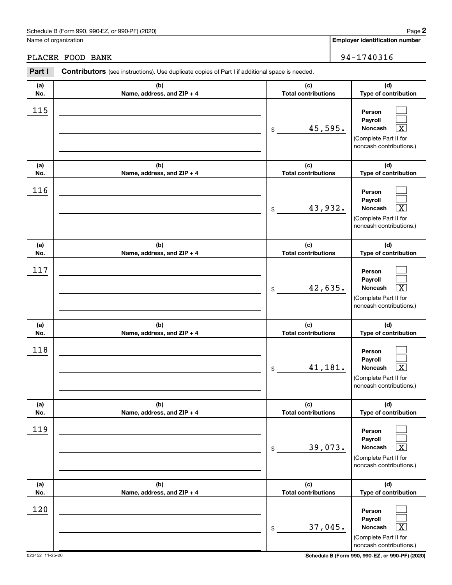Name of organization

| Part I     | <b>Contributors</b> (see instructions). Use duplicate copies of Part I if additional space is needed. |                                   |                                                                                                             |
|------------|-------------------------------------------------------------------------------------------------------|-----------------------------------|-------------------------------------------------------------------------------------------------------------|
| (a)<br>No. | (b)<br>Name, address, and ZIP + 4                                                                     | (c)<br><b>Total contributions</b> | (d)<br>Type of contribution                                                                                 |
| 115        |                                                                                                       | 45,595.<br>\$                     | Person<br>Payroll<br>$\overline{\mathbf{X}}$<br>Noncash<br>(Complete Part II for<br>noncash contributions.) |
| (a)<br>No. | (b)<br>Name, address, and ZIP + 4                                                                     | (c)<br><b>Total contributions</b> | (d)<br>Type of contribution                                                                                 |
| 116        |                                                                                                       | 43,932.<br>\$                     | Person<br>Payroll<br>$\overline{\mathbf{X}}$<br>Noncash<br>(Complete Part II for<br>noncash contributions.) |
| (a)<br>No. | (b)<br>Name, address, and ZIP + 4                                                                     | (c)<br><b>Total contributions</b> | (d)<br>Type of contribution                                                                                 |
| 117        |                                                                                                       | 42,635.<br>\$                     | Person<br>Payroll<br>$\overline{\mathbf{X}}$<br>Noncash<br>(Complete Part II for<br>noncash contributions.) |
| (a)<br>No. | (b)<br>Name, address, and ZIP + 4                                                                     | (c)<br><b>Total contributions</b> | (d)<br>Type of contribution                                                                                 |
| 118        |                                                                                                       | 41,181.<br>\$                     | Person<br>Payroll<br>$\overline{\mathbf{X}}$<br>Noncash<br>(Complete Part II for<br>noncash contributions.) |
| (a)<br>No. | (b)<br>Name, address, and ZIP + 4                                                                     | (c)<br><b>Total contributions</b> | (d)<br>Type of contribution                                                                                 |
| 119        |                                                                                                       | 39,073.<br>\$                     | Person<br>Payroll<br>$\overline{\textbf{X}}$<br>Noncash<br>(Complete Part II for<br>noncash contributions.) |
| (a)<br>No. | (b)<br>Name, address, and ZIP + 4                                                                     | (c)<br><b>Total contributions</b> | (d)<br>Type of contribution                                                                                 |
| 120        |                                                                                                       | 37,045.<br>\$                     | Person<br>Payroll<br>$\overline{\textbf{X}}$<br>Noncash<br>(Complete Part II for<br>noncash contributions.) |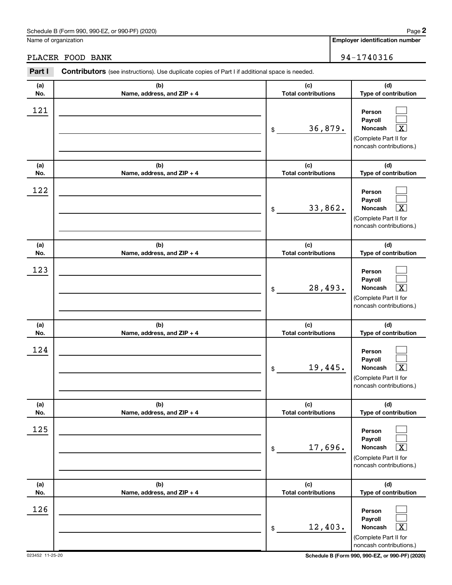Name of organization

| Part I     | <b>Contributors</b> (see instructions). Use duplicate copies of Part I if additional space is needed. |                                             |                                                                                                                                     |
|------------|-------------------------------------------------------------------------------------------------------|---------------------------------------------|-------------------------------------------------------------------------------------------------------------------------------------|
| (a)        | (b)                                                                                                   | (c)                                         | (d)                                                                                                                                 |
| No.        | Name, address, and ZIP + 4                                                                            | <b>Total contributions</b>                  | Type of contribution                                                                                                                |
| 121        |                                                                                                       | 36,879.<br>\$                               | Person<br>Payroll<br>Noncash<br>$\overline{\text{X}}$<br>(Complete Part II for<br>noncash contributions.)                           |
| (a)<br>No. | (b)<br>Name, address, and ZIP + 4                                                                     | (c)<br><b>Total contributions</b>           | (d)<br>Type of contribution                                                                                                         |
| 122        |                                                                                                       | 33,862.<br>\$                               | Person<br>Payroll<br>$\overline{\textbf{x}}$<br>Noncash<br>(Complete Part II for<br>noncash contributions.)                         |
| (a)<br>No. | (b)<br>Name, address, and ZIP + 4                                                                     | (c)<br><b>Total contributions</b>           | (d)<br>Type of contribution                                                                                                         |
| 123        |                                                                                                       | 28,493.<br>\$                               | Person<br>Payroll<br>$\overline{\textbf{X}}$<br>Noncash<br>(Complete Part II for<br>noncash contributions.)                         |
| (a)        | (b)                                                                                                   | (c)                                         | (d)                                                                                                                                 |
| No.<br>124 | Name, address, and ZIP + 4                                                                            | <b>Total contributions</b><br>19,445.<br>\$ | Type of contribution<br>Person<br>Payroll<br>$\overline{\textbf{X}}$<br>Noncash<br>(Complete Part II for<br>noncash contributions.) |
| (a)<br>No. | (b)<br>Name, address, and ZIP + 4                                                                     | (c)<br><b>Total contributions</b>           | (d)<br>Type of contribution                                                                                                         |
| 125        |                                                                                                       | 17,696.<br>\$                               | Person<br>Payroll<br>Noncash<br>$\overline{\text{X}}$<br>(Complete Part II for<br>noncash contributions.)                           |
| (a)<br>No. | (b)<br>Name, address, and ZIP + 4                                                                     | (c)<br><b>Total contributions</b>           | (d)<br>Type of contribution                                                                                                         |
| 126        |                                                                                                       | 12,403.<br>\$                               | Person<br>Payroll<br>Noncash<br>$\overline{\textbf{x}}$<br>(Complete Part II for<br>noncash contributions.)                         |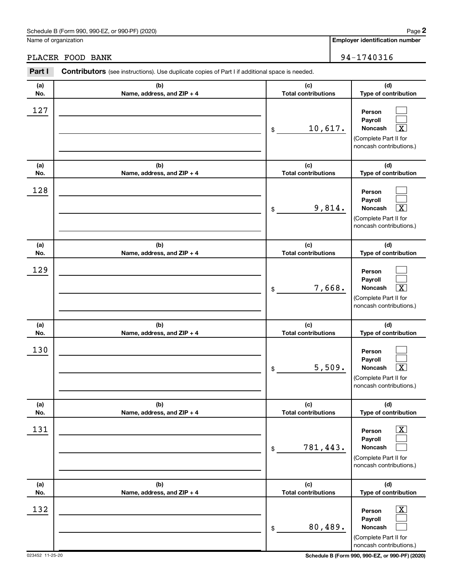Name of organization

| Part I     | Contributors (see instructions). Use duplicate copies of Part I if additional space is needed. |                                             |                                                                                                                                     |
|------------|------------------------------------------------------------------------------------------------|---------------------------------------------|-------------------------------------------------------------------------------------------------------------------------------------|
| (a)        | (b)                                                                                            | (c)                                         | (d)                                                                                                                                 |
| No.<br>127 | Name, address, and ZIP + 4                                                                     | <b>Total contributions</b><br>10,617.<br>\$ | Type of contribution<br>Person<br>Payroll<br>Noncash<br>$\overline{\textbf{x}}$<br>(Complete Part II for<br>noncash contributions.) |
| (a)<br>No. | (b)<br>Name, address, and ZIP + 4                                                              | (c)<br><b>Total contributions</b>           | (d)<br>Type of contribution                                                                                                         |
| 128        |                                                                                                | 9,814.<br>\$                                | Person<br>Payroll<br>Noncash<br>$\overline{\textbf{x}}$<br>(Complete Part II for<br>noncash contributions.)                         |
| (a)<br>No. | (b)<br>Name, address, and ZIP + 4                                                              | (c)<br><b>Total contributions</b>           | (d)<br>Type of contribution                                                                                                         |
| 129        |                                                                                                | 7,668.<br>\$                                | Person<br>Payroll<br>$\overline{\textbf{x}}$<br>Noncash<br>(Complete Part II for<br>noncash contributions.)                         |
| (a)<br>No. | (b)<br>Name, address, and ZIP + 4                                                              | (c)<br><b>Total contributions</b>           | (d)<br>Type of contribution                                                                                                         |
| 130        |                                                                                                | 5,509.<br>\$                                | Person<br>Payroll<br>$\overline{\textbf{x}}$<br>Noncash<br>(Complete Part II for<br>noncash contributions.)                         |
| (a)<br>No. | (b)<br>Name, address, and ZIP + 4                                                              | (c)<br><b>Total contributions</b>           | (d)<br>Type of contribution                                                                                                         |
| 131        |                                                                                                | 781,443.<br>\$                              | $\overline{\text{X}}$<br>Person<br>Payroll<br>Noncash<br>(Complete Part II for<br>noncash contributions.)                           |
| (a)<br>No. | (b)<br>Name, address, and ZIP + 4                                                              | (c)<br><b>Total contributions</b>           | (d)<br>Type of contribution                                                                                                         |
| 132        |                                                                                                | 80,489.<br>\$                               | $\overline{\text{X}}$<br>Person<br>Payroll<br>Noncash<br>(Complete Part II for<br>noncash contributions.)                           |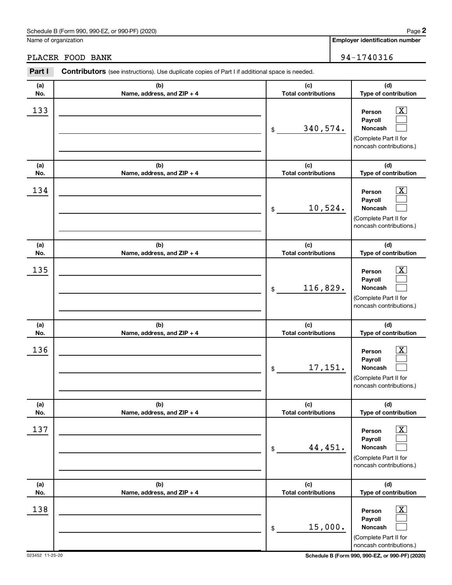Name of organization

| Part I     | <b>Contributors</b> (see instructions). Use duplicate copies of Part I if additional space is needed. |                                             |                                                                                                                                          |
|------------|-------------------------------------------------------------------------------------------------------|---------------------------------------------|------------------------------------------------------------------------------------------------------------------------------------------|
| (a)<br>No. | (b)<br>Name, address, and ZIP + 4                                                                     | (c)<br><b>Total contributions</b>           | (d)<br>Type of contribution                                                                                                              |
| 133        |                                                                                                       | 340,574.<br>\$                              | $\overline{\mathbf{X}}$<br>Person<br>Payroll<br>Noncash<br>(Complete Part II for<br>noncash contributions.)                              |
| (a)<br>No. | (b)<br>Name, address, and ZIP + 4                                                                     | (c)<br><b>Total contributions</b>           | (d)<br>Type of contribution                                                                                                              |
| 134        |                                                                                                       | 10,524.<br>\$                               | $\boxed{\mathbf{X}}$<br>Person<br>Payroll<br>Noncash<br>(Complete Part II for<br>noncash contributions.)                                 |
| (a)<br>No. | (b)<br>Name, address, and ZIP + 4                                                                     | (c)<br><b>Total contributions</b>           | (d)<br>Type of contribution                                                                                                              |
| 135        |                                                                                                       | 116,829.<br>\$                              | $\mathbf{X}$<br>Person<br>Payroll<br>Noncash<br>(Complete Part II for<br>noncash contributions.)                                         |
| (a)        | (b)                                                                                                   | (c)                                         | (d)                                                                                                                                      |
| No.<br>136 | Name, address, and ZIP + 4                                                                            | <b>Total contributions</b><br>17,151.<br>\$ | Type of contribution<br>$\overline{\text{X}}$<br>Person<br>Payroll<br><b>Noncash</b><br>(Complete Part II for<br>noncash contributions.) |
| (a)<br>No. | (b)<br>Name, address, and ZIP + 4                                                                     | (c)<br><b>Total contributions</b>           | (d)<br>Type of contribution                                                                                                              |
| 137        |                                                                                                       | 44,451.<br>$\,$                             | $\boxed{\textbf{X}}$<br>Person<br>Payroll<br>Noncash<br>(Complete Part II for<br>noncash contributions.)                                 |
| (a)<br>No. | (b)<br>Name, address, and ZIP + 4                                                                     | (c)<br><b>Total contributions</b>           | (d)<br>Type of contribution                                                                                                              |
| 138        |                                                                                                       | 15,000.<br>\$                               | $\boxed{\mathbf{X}}$<br>Person<br>Payroll<br>Noncash<br>(Complete Part II for<br>noncash contributions.)                                 |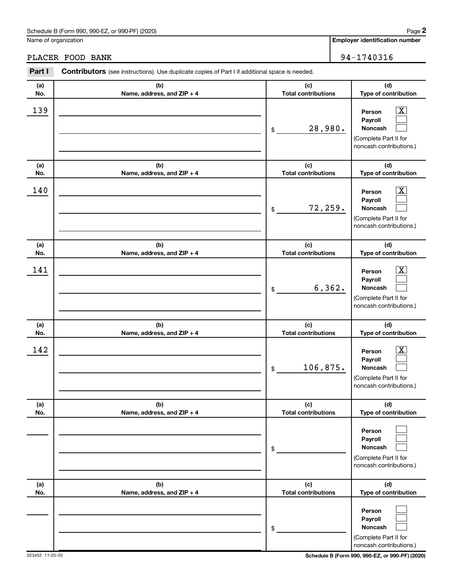Name of organization

**Employer identification number**

**(d)**

 $\boxed{\textbf{X}}$  $\Box$  $\Box$ 

 $\boxed{\textbf{X}}$  $\Box$  $\Box$ 

 $\boxed{\textbf{X}}$  $\Box$  $\Box$ 

 $\boxed{\textbf{X}}$  $\Box$  $\Box$ 

 $\Box$  $\Box$  $\Box$ 

 $\Box$  $\Box$  $\Box$ 

**(d)**

**(d)**

**(d)**

**(d)**

**(d)**

noncash contributions.)

### **(a) No. (b) Name, address, and ZIP + 4 (c) Total contributions Type of contribution Person Payroll Noncash (a) No. (b) Name, address, and ZIP + 4 (c) Total contributions Type of contribution Person Payroll Noncash (a) No. (b) Name, address, and ZIP + 4 (c) Total contributions Type of contribution Person Payroll Noncash (a) No. (b) Name, address, and ZIP + 4 (c) Total contributions Type of contribution Person Payroll Noncash (a) No. (b) Name, address, and ZIP + 4 (c) Total contributions Type of contribution Person Payroll Noncash (a) No. (b) Name, address, and ZIP + 4 (c) Total contributions Type of contribution Person Payroll Noncash Part I** Contributors (see instructions). Use duplicate copies of Part I if additional space is needed. \$ (Complete Part II for noncash contributions.) \$ (Complete Part II for noncash contributions.) \$ (Complete Part II for noncash contributions.) \$ (Complete Part II for noncash contributions.) \$ (Complete Part II for noncash contributions.) \$ (Complete Part II for 139 X 28,980. 140 X 72,259.  $141$  Person  $\overline{\text{X}}$ 6,362.  $142$  Person  $\overline{\text{X}}$ 106,875.

**2**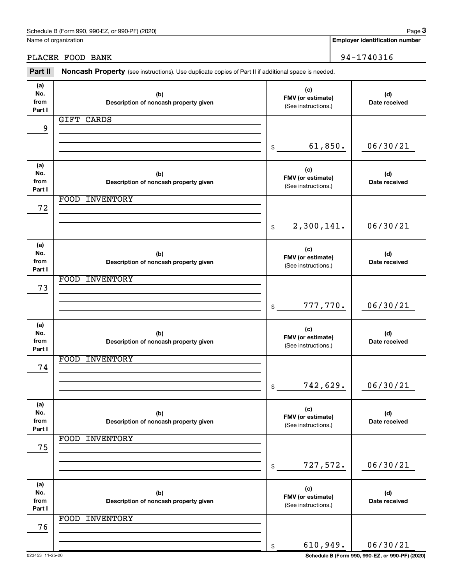|                              | PLACER FOOD BANK                                                                                    |                                                 | 94-1740316           |
|------------------------------|-----------------------------------------------------------------------------------------------------|-------------------------------------------------|----------------------|
| Part II                      | Noncash Property (see instructions). Use duplicate copies of Part II if additional space is needed. |                                                 |                      |
| (a)<br>No.<br>from<br>Part I | (b)<br>Description of noncash property given                                                        | (c)<br>FMV (or estimate)<br>(See instructions.) | (d)<br>Date received |
| 9                            | <b>GIFT CARDS</b>                                                                                   |                                                 |                      |
|                              |                                                                                                     | 61,850.<br>\$                                   | 06/30/21             |
| (a)<br>No.<br>from<br>Part I | (b)<br>Description of noncash property given                                                        | (c)<br>FMV (or estimate)<br>(See instructions.) | (d)<br>Date received |
| 72                           | <b>FOOD INVENTORY</b>                                                                               |                                                 |                      |
|                              |                                                                                                     | 2,300,141.<br>$\$\$                             | 06/30/21             |
| (a)<br>No.<br>from<br>Part I | (b)<br>Description of noncash property given                                                        | (c)<br>FMV (or estimate)<br>(See instructions.) | (d)<br>Date received |
| 73                           | <b>FOOD INVENTORY</b>                                                                               |                                                 |                      |
|                              |                                                                                                     | 777,770.<br>\$                                  | 06/30/21             |
| (a)<br>No.<br>from<br>Part I | (b)<br>Description of noncash property given                                                        | (c)<br>FMV (or estimate)<br>(See instructions.) | (d)<br>Date received |
| 74                           | <b>INVENTORY</b><br>FOOD                                                                            |                                                 |                      |
|                              |                                                                                                     | 742,629.<br>\$                                  | 06/30/21             |
| (a)<br>No.<br>from<br>Part I | (b)<br>Description of noncash property given                                                        | (c)<br>FMV (or estimate)<br>(See instructions.) | (d)<br>Date received |
| 75                           | FOOD<br><b>INVENTORY</b>                                                                            |                                                 |                      |
|                              |                                                                                                     | 727,572.<br>\$                                  | 06/30/21             |
| (a)<br>No.<br>from<br>Part I | (b)<br>Description of noncash property given                                                        | (c)<br>FMV (or estimate)<br>(See instructions.) | (d)<br>Date received |
| 76                           | <b>INVENTORY</b><br>FOOD                                                                            |                                                 |                      |
|                              |                                                                                                     | 610,949.<br>\$                                  | 06/30/21             |

**Employer identification number**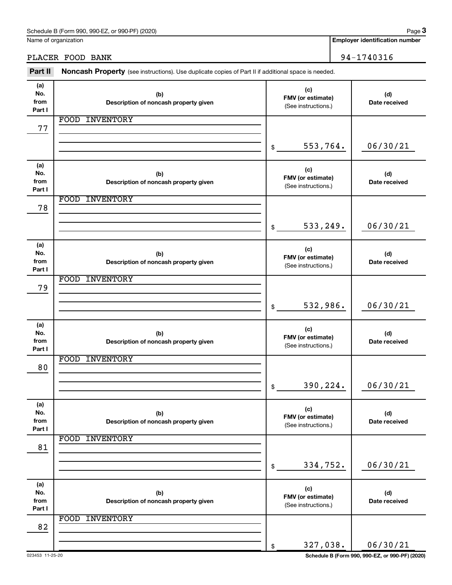| (2020)<br>990-EZ<br>Schedule<br>. or 990-PF)<br>B (Form 990. | Paɑe |
|--------------------------------------------------------------|------|
|                                                              |      |

**Employer identification number**

PLACER FOOD BANK 94-1740316

Part II Noncash Property (see instructions). Use duplicate copies of Part II if additional space is needed.

| (a)            |                                              | (c)                      |                      |
|----------------|----------------------------------------------|--------------------------|----------------------|
| No.            | (b)                                          | FMV (or estimate)        | (d)                  |
| from           | Description of noncash property given        | (See instructions.)      | Date received        |
| Part I         |                                              |                          |                      |
|                | <b>INVENTORY</b><br>FOOD                     |                          |                      |
| 77             |                                              |                          |                      |
|                |                                              |                          |                      |
|                |                                              | 553,764.<br>\$           | 06/30/21             |
|                |                                              |                          |                      |
| (a)            |                                              | (c)                      |                      |
| No.            | (b)                                          | FMV (or estimate)        | (d)                  |
| from<br>Part I | Description of noncash property given        | (See instructions.)      | Date received        |
|                | FOOD<br><b>INVENTORY</b>                     |                          |                      |
| 78             |                                              |                          |                      |
|                |                                              |                          |                      |
|                |                                              | 533,249.                 | 06/30/21             |
|                |                                              | \$                       |                      |
|                |                                              |                          |                      |
| (a)<br>No.     |                                              | (c)                      |                      |
| from           | (b)<br>Description of noncash property given | FMV (or estimate)        | (d)<br>Date received |
| Part I         |                                              | (See instructions.)      |                      |
|                | <b>INVENTORY</b><br>FOOD                     |                          |                      |
| 79             |                                              |                          |                      |
|                |                                              |                          |                      |
|                |                                              | 532,986.<br>\$           | 06/30/21             |
|                |                                              |                          |                      |
| (a)            |                                              |                          |                      |
| No.            | (b)                                          | (c)                      | (d)                  |
| from           | Description of noncash property given        | FMV (or estimate)        | Date received        |
| Part I         |                                              | (See instructions.)      |                      |
|                | <b>INVENTORY</b><br>FOOD                     |                          |                      |
| 80             |                                              |                          |                      |
|                |                                              |                          |                      |
|                |                                              | 390,224.<br>\$           | 06/30/21             |
|                |                                              |                          |                      |
| (a)            |                                              |                          |                      |
| No.            | (b)                                          | (c)<br>FMV (or estimate) | (d)                  |
| from           | Description of noncash property given        | (See instructions.)      | Date received        |
| Part I         |                                              |                          |                      |
|                | <b>FOOD INVENTORY</b>                        |                          |                      |
| 81             |                                              |                          |                      |
|                |                                              |                          |                      |
|                |                                              | 334,752.<br>\$           | 06/30/21             |
|                |                                              |                          |                      |
| (a)            |                                              | (c)                      |                      |
| No.            | (b)                                          | FMV (or estimate)        | (d)                  |
| from<br>Part I | Description of noncash property given        | (See instructions.)      | Date received        |
|                | <b>INVENTORY</b><br>FOOD                     |                          |                      |
| 82             |                                              |                          |                      |
|                |                                              |                          |                      |
|                |                                              | 327,038.                 | 06/30/21             |
|                |                                              | \$                       |                      |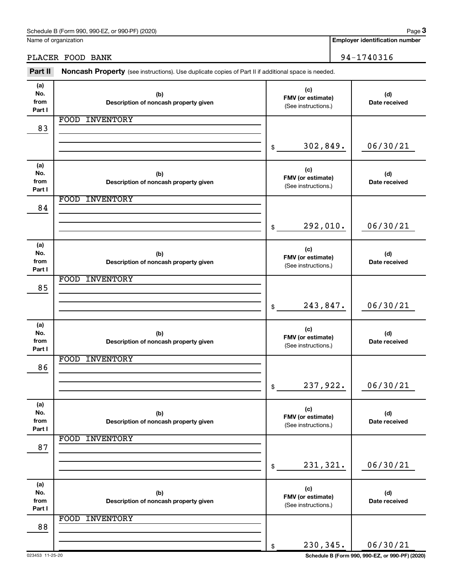| (2020)<br>990-EZ.<br>Schedule<br>. or 990-PF)<br>: B (Form 990. | Paɑe |
|-----------------------------------------------------------------|------|
|                                                                 |      |

**Employer identification number**

### PLACER FOOD BANK 94-1740316

Part II Noncash Property (see instructions). Use duplicate copies of Part II if additional space is needed.

| (a)        |                                       | (c)                        |               |
|------------|---------------------------------------|----------------------------|---------------|
| No.        | (b)                                   | FMV (or estimate)          | (d)           |
| from       | Description of noncash property given | (See instructions.)        | Date received |
| Part I     |                                       |                            |               |
|            | <b>INVENTORY</b><br>FOOD              |                            |               |
| 83         |                                       |                            |               |
|            |                                       |                            |               |
|            |                                       | 302,849.<br>$\mathfrak{S}$ | 06/30/21      |
|            |                                       |                            |               |
| (a)        |                                       |                            |               |
| No.        | (b)                                   | (c)                        | (d)           |
| from       | Description of noncash property given | FMV (or estimate)          | Date received |
| Part I     |                                       | (See instructions.)        |               |
|            | FOOD<br><b>INVENTORY</b>              |                            |               |
| 84         |                                       |                            |               |
|            |                                       |                            |               |
|            |                                       | 292,010.<br>$\mathfrak{S}$ | 06/30/21      |
|            |                                       |                            |               |
| (a)        |                                       |                            |               |
| No.        | (b)                                   | (c)                        | (d)           |
| from       | Description of noncash property given | FMV (or estimate)          | Date received |
| Part I     |                                       | (See instructions.)        |               |
|            | <b>INVENTORY</b><br>FOOD              |                            |               |
| 85         |                                       |                            |               |
|            |                                       |                            |               |
|            |                                       | 243,847.<br>$$\mathbb{S}$$ | 06/30/21      |
|            |                                       |                            |               |
|            |                                       |                            |               |
| (a)<br>No. |                                       | (c)                        |               |
| from       | (b)                                   | FMV (or estimate)          | (d)           |
| Part I     | Description of noncash property given | (See instructions.)        | Date received |
|            | <b>INVENTORY</b><br>FOOD              |                            |               |
|            |                                       |                            |               |
| 86         |                                       |                            |               |
|            |                                       |                            |               |
|            |                                       | 237,922.<br>\$             | 06/30/21      |
|            |                                       |                            |               |
| (a)        |                                       | (c)                        |               |
| No.        | (b)                                   | FMV (or estimate)          | (d)           |
| from       | Description of noncash property given | (See instructions.)        | Date received |
| Part I     |                                       |                            |               |
|            | <b>INVENTORY</b><br>FOOD              |                            |               |
| 87         |                                       |                            |               |
|            |                                       |                            |               |
|            |                                       | 231,321.<br>\$             | 06/30/21      |
|            |                                       |                            |               |
| (a)        |                                       | (c)                        |               |
| No.        | (b)                                   | FMV (or estimate)          | (d)           |
| from       | Description of noncash property given | (See instructions.)        | Date received |
| Part I     |                                       |                            |               |
|            | <b>INVENTORY</b><br>FOOD              |                            |               |
| 88         |                                       |                            |               |
|            |                                       |                            |               |
|            |                                       | 230, 345.<br>\$            | 06/30/21      |
|            |                                       |                            |               |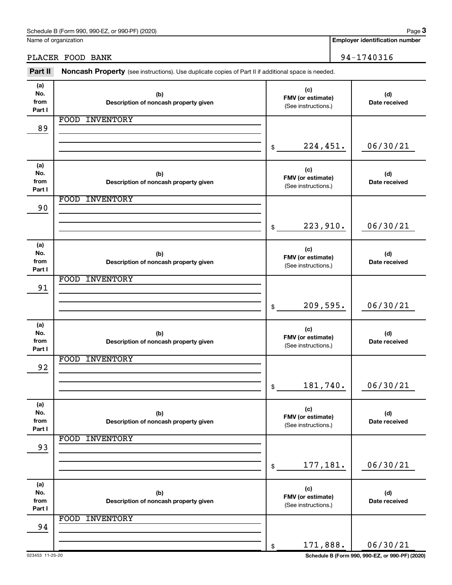| (2020)<br>990-EZ<br>Schedule<br>. or 990-PF)<br>B (Form 990. | Paɑe |
|--------------------------------------------------------------|------|
|                                                              |      |

**Employer identification number**

### PLACER FOOD BANK 94-1740316

Part II Noncash Property (see instructions). Use duplicate copies of Part II if additional space is needed.

| (a)    |                                              | (c)                        |                      |
|--------|----------------------------------------------|----------------------------|----------------------|
| No.    | (b)                                          | FMV (or estimate)          | (d)                  |
| from   | Description of noncash property given        | (See instructions.)        | Date received        |
| Part I |                                              |                            |                      |
|        | <b>INVENTORY</b><br>FOOD                     |                            |                      |
| 89     |                                              |                            |                      |
|        |                                              |                            |                      |
|        |                                              | 224,451.<br>$$\mathbb{S}$$ | 06/30/21             |
|        |                                              |                            |                      |
| (a)    |                                              |                            |                      |
| No.    | (b)                                          | (c)                        | (d)                  |
| from   | Description of noncash property given        | FMV (or estimate)          | Date received        |
| Part I |                                              | (See instructions.)        |                      |
|        | FOOD<br><b>INVENTORY</b>                     |                            |                      |
| 90     |                                              |                            |                      |
|        |                                              |                            |                      |
|        |                                              | 223,910.<br>$\mathfrak{S}$ | 06/30/21             |
|        |                                              |                            |                      |
| (a)    |                                              |                            |                      |
| No.    |                                              | (c)                        |                      |
| from   | (b)<br>Description of noncash property given | FMV (or estimate)          | (d)<br>Date received |
| Part I |                                              | (See instructions.)        |                      |
|        | <b>INVENTORY</b><br>FOOD                     |                            |                      |
| 91     |                                              |                            |                      |
|        |                                              |                            |                      |
|        |                                              |                            |                      |
|        |                                              | 209,595.<br>$$\mathbb{S}$$ | 06/30/21             |
|        |                                              |                            |                      |
| (a)    |                                              | (c)                        |                      |
| No.    | (b)                                          | FMV (or estimate)          | (d)                  |
| from   | Description of noncash property given        | (See instructions.)        | Date received        |
| Part I |                                              |                            |                      |
|        | <b>INVENTORY</b><br>FOOD                     |                            |                      |
| 92     |                                              |                            |                      |
|        |                                              |                            |                      |
|        |                                              | 181,740.<br>\$             | 06/30/21             |
|        |                                              |                            |                      |
| (a)    |                                              | (c)                        |                      |
| No.    | (b)                                          | FMV (or estimate)          | (d)                  |
| from   | Description of noncash property given        | (See instructions.)        | Date received        |
| Part I |                                              |                            |                      |
|        | <b>INVENTORY</b><br>FOOD                     |                            |                      |
| 93     |                                              |                            |                      |
|        |                                              |                            |                      |
|        |                                              | 177,181.<br>\$             | 06/30/21             |
|        |                                              |                            |                      |
| (a)    |                                              |                            |                      |
| No.    | (b)                                          | (c)<br>FMV (or estimate)   | (d)                  |
| from   | Description of noncash property given        | (See instructions.)        | Date received        |
| Part I |                                              |                            |                      |
|        | <b>INVENTORY</b><br>FOOD                     |                            |                      |
| 94     |                                              |                            |                      |
|        |                                              |                            |                      |
|        |                                              | 171,888.<br>\$             | 06/30/21             |
|        |                                              |                            |                      |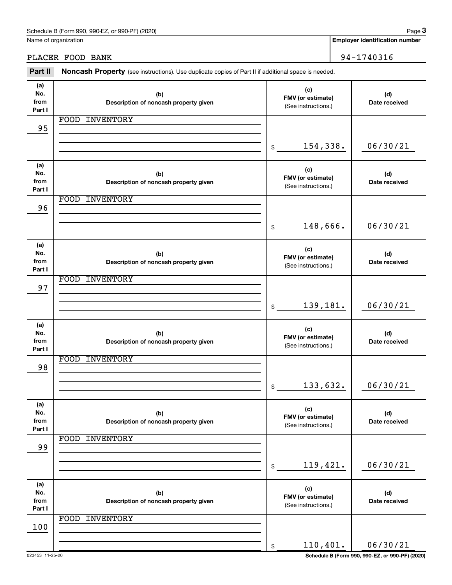| Part II              | <b>Noncash Property</b> (see instructions). Use duplicate c |
|----------------------|-------------------------------------------------------------|
|                      | PLACER FOOD BANK                                            |
| Name of organization |                                                             |

| Part II                      | Noncash Property (see instructions). Use duplicate copies of Part II if additional space is needed. |                                                 |                      |
|------------------------------|-----------------------------------------------------------------------------------------------------|-------------------------------------------------|----------------------|
| (a)<br>No.<br>from<br>Part I | (b)<br>Description of noncash property given                                                        | (c)<br>FMV (or estimate)<br>(See instructions.) | (d)<br>Date received |
|                              | <b>FOOD INVENTORY</b>                                                                               |                                                 |                      |
| 95                           |                                                                                                     |                                                 |                      |
|                              |                                                                                                     | 154,338.<br>\$                                  | 06/30/21             |
| (a)<br>No.<br>from<br>Part I | (b)<br>Description of noncash property given                                                        | (c)<br>FMV (or estimate)<br>(See instructions.) | (d)<br>Date received |
| 96                           | <b>FOOD INVENTORY</b>                                                                               |                                                 |                      |
|                              |                                                                                                     | 148,666.<br>\$                                  | 06/30/21             |
| (a)<br>No.<br>from<br>Part I | (b)<br>Description of noncash property given                                                        | (c)<br>FMV (or estimate)<br>(See instructions.) | (d)<br>Date received |
| 97                           | FOOD INVENTORY                                                                                      |                                                 |                      |
|                              |                                                                                                     |                                                 |                      |
|                              |                                                                                                     | 139,181.<br>\$                                  | 06/30/21             |
| (a)<br>No.<br>from<br>Part I | (b)<br>Description of noncash property given                                                        | (c)<br>FMV (or estimate)<br>(See instructions.) | (d)<br>Date received |
| 98                           | <b>FOOD INVENTORY</b>                                                                               |                                                 |                      |
|                              |                                                                                                     | 133,632.<br>\$                                  | 06/30/21             |
| (a)<br>No.<br>from<br>Part I | (b)<br>Description of noncash property given                                                        | (c)<br>FMV (or estimate)<br>(See instructions.) | (d)<br>Date received |
| 99                           | FOOD INVENTORY                                                                                      |                                                 |                      |
|                              |                                                                                                     |                                                 |                      |
|                              |                                                                                                     | 119,421.<br>\$                                  | 06/30/21             |
| (a)<br>No.<br>from<br>Part I | (b)<br>Description of noncash property given                                                        | (c)<br>FMV (or estimate)<br>(See instructions.) | (d)<br>Date received |
| 100                          | FOOD INVENTORY                                                                                      |                                                 |                      |
|                              |                                                                                                     | 110,401.<br>\$                                  | 06/30/21             |

**Employer identification number**

94-1740316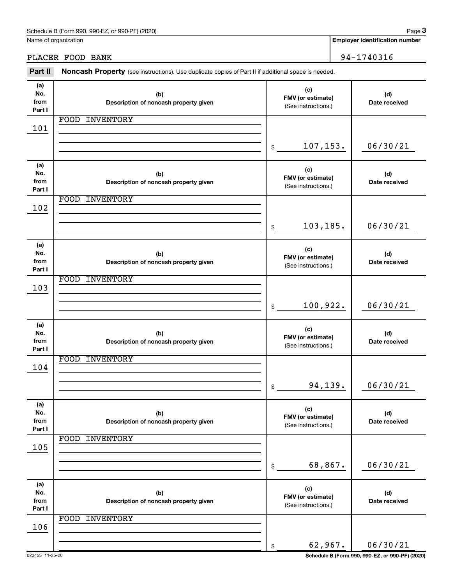| (2020)<br>990-EZ.<br>Schedule<br>. or 990-PF)<br>: B (Form 990. | Paɑe |
|-----------------------------------------------------------------|------|
|                                                                 |      |

**Employer identification number**

### PLACER FOOD BANK 94-1740316

Part II Noncash Property (see instructions). Use duplicate copies of Part II if additional space is needed.

| (a)<br>(c)<br>No.<br>(b)<br>FMV (or estimate)<br>from<br>Description of noncash property given<br>(See instructions.)<br>Part I<br><b>INVENTORY</b><br>FOOD<br>101 | (d)<br>Date received<br>06/30/21 |
|--------------------------------------------------------------------------------------------------------------------------------------------------------------------|----------------------------------|
|                                                                                                                                                                    |                                  |
|                                                                                                                                                                    |                                  |
|                                                                                                                                                                    |                                  |
| 107,153.<br>$$\mathbb{S}$$                                                                                                                                         |                                  |
|                                                                                                                                                                    |                                  |
| (a)<br>(c)                                                                                                                                                         |                                  |
| No.<br>(b)<br>FMV (or estimate)<br>from                                                                                                                            | (d)<br>Date received             |
| Description of noncash property given<br>(See instructions.)<br>Part I                                                                                             |                                  |
| <b>INVENTORY</b><br>FOOD                                                                                                                                           |                                  |
| 102                                                                                                                                                                |                                  |
|                                                                                                                                                                    |                                  |
| 103,185.<br>\$                                                                                                                                                     | 06/30/21                         |
|                                                                                                                                                                    |                                  |
| (a)                                                                                                                                                                |                                  |
| (c)<br>No.<br>(b)                                                                                                                                                  | (d)                              |
| FMV (or estimate)<br>from<br>Description of noncash property given                                                                                                 | Date received                    |
| (See instructions.)<br>Part I                                                                                                                                      |                                  |
| <b>INVENTORY</b><br>FOOD                                                                                                                                           |                                  |
| 103                                                                                                                                                                |                                  |
|                                                                                                                                                                    |                                  |
| 100,922.<br>\$                                                                                                                                                     | 06/30/21                         |
|                                                                                                                                                                    |                                  |
| (a)<br>(c)                                                                                                                                                         |                                  |
| No.<br>(b)<br>FMV (or estimate)                                                                                                                                    | (d)                              |
| from<br>Description of noncash property given<br>(See instructions.)                                                                                               | Date received                    |
| Part I                                                                                                                                                             |                                  |
| <b>INVENTORY</b><br>FOOD                                                                                                                                           |                                  |
| 104                                                                                                                                                                |                                  |
| 94,139.                                                                                                                                                            | 06/30/21                         |
| \$                                                                                                                                                                 |                                  |
|                                                                                                                                                                    |                                  |
| (a)<br>(c)<br>No.<br>(b)                                                                                                                                           | (d)                              |
| FMV (or estimate)<br>from<br>Description of noncash property given                                                                                                 | Date received                    |
| (See instructions.)<br>Part I                                                                                                                                      |                                  |
| <b>INVENTORY</b><br>FOOD                                                                                                                                           |                                  |
| 105                                                                                                                                                                |                                  |
|                                                                                                                                                                    |                                  |
| 68,867.<br>$\$$                                                                                                                                                    | 06/30/21                         |
|                                                                                                                                                                    |                                  |
| (a)                                                                                                                                                                |                                  |
| (c)<br>No.<br>(b)                                                                                                                                                  | (d)                              |
| FMV (or estimate)<br>from<br>Description of noncash property given<br>(See instructions.)                                                                          | Date received                    |
| Part I                                                                                                                                                             |                                  |
| <b>INVENTORY</b><br>FOOD                                                                                                                                           |                                  |
| 106                                                                                                                                                                |                                  |
|                                                                                                                                                                    |                                  |
| 62,967.<br>\$                                                                                                                                                      | 06/30/21                         |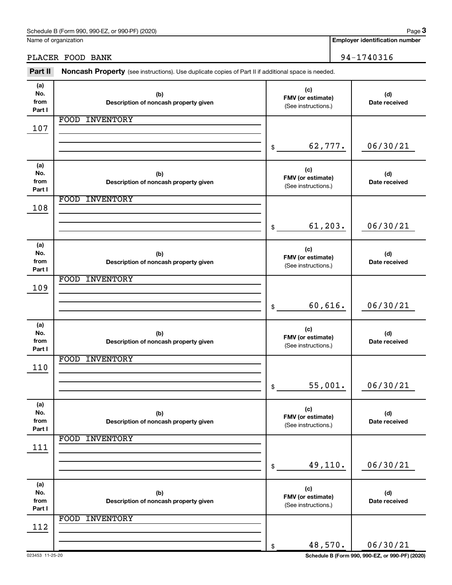| (2020)<br>990-EZ<br>Schedule<br>. or 990-PF)<br>B (Form 990. | Paɑe |
|--------------------------------------------------------------|------|
|                                                              |      |

**Employer identification number**

PLACER FOOD BANK 94-1740316

Part II Noncash Property (see instructions). Use duplicate copies of Part II if additional space is needed.

| (a)    |                                       |                           |               |
|--------|---------------------------------------|---------------------------|---------------|
| No.    | (b)                                   | (c)                       | (d)           |
| from   |                                       | FMV (or estimate)         |               |
|        | Description of noncash property given | (See instructions.)       | Date received |
| Part I |                                       |                           |               |
|        | <b>FOOD INVENTORY</b>                 |                           |               |
| 107    |                                       |                           |               |
|        |                                       |                           |               |
|        |                                       |                           |               |
|        |                                       | 62,777.<br>\$             | 06/30/21      |
|        |                                       |                           |               |
| (a)    |                                       |                           |               |
| No.    | (b)                                   | (c)                       |               |
| from   |                                       | FMV (or estimate)         | (d)           |
|        | Description of noncash property given | (See instructions.)       | Date received |
| Part I |                                       |                           |               |
|        | <b>FOOD INVENTORY</b>                 |                           |               |
| 108    |                                       |                           |               |
|        |                                       |                           |               |
|        |                                       |                           |               |
|        |                                       | 61,203.<br>$$\mathbb{S}$$ | 06/30/21      |
|        |                                       |                           |               |
| (a)    |                                       |                           |               |
| No.    |                                       | (c)                       |               |
|        | (b)                                   | FMV (or estimate)         | (d)           |
| from   | Description of noncash property given | (See instructions.)       | Date received |
| Part I |                                       |                           |               |
|        | <b>FOOD INVENTORY</b>                 |                           |               |
| 109    |                                       |                           |               |
|        |                                       |                           |               |
|        |                                       |                           |               |
|        |                                       | 60,616.<br>\$             | 06/30/21      |
|        |                                       |                           |               |
| (a)    |                                       |                           |               |
|        |                                       | (c)                       |               |
| No.    | (b)                                   | FMV (or estimate)         | (d)           |
| from   | Description of noncash property given | (See instructions.)       | Date received |
| Part I |                                       |                           |               |
|        | <b>FOOD INVENTORY</b>                 |                           |               |
| 110    |                                       |                           |               |
|        |                                       |                           |               |
|        |                                       |                           |               |
|        |                                       | 55,001.<br>\$             | 06/30/21      |
|        |                                       |                           |               |
| (a)    |                                       |                           |               |
| No.    |                                       | (c)                       |               |
|        | (b)                                   | FMV (or estimate)         | (d)           |
| from   | Description of noncash property given | (See instructions.)       | Date received |
| Part I |                                       |                           |               |
|        | <b>INVENTORY</b><br>FOOD              |                           |               |
| 111    |                                       |                           |               |
|        |                                       |                           |               |
|        |                                       |                           |               |
|        |                                       | 49,110.<br>$\$$           | 06/30/21      |
|        |                                       |                           |               |
| (a)    |                                       |                           |               |
| No.    |                                       | (c)                       |               |
|        | (b)                                   | FMV (or estimate)         | (d)           |
| from   | Description of noncash property given | (See instructions.)       | Date received |
| Part I |                                       |                           |               |
|        | <b>INVENTORY</b><br>FOOD              |                           |               |
| 112    |                                       |                           |               |
|        |                                       |                           |               |
|        |                                       |                           |               |
|        |                                       | 48,570.<br>\$             | 06/30/21      |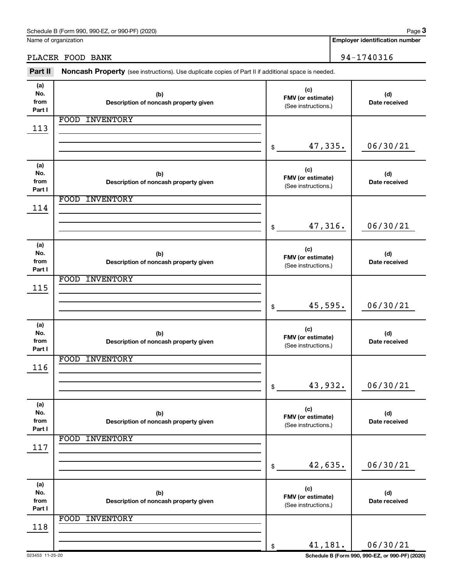| (2020)<br>990-EZ<br>Schedule<br>. or 990-PF)<br>B (Form 990. | Paɑe |
|--------------------------------------------------------------|------|
|                                                              |      |

**Employer identification number**

### PLACER FOOD BANK 94-1740316

Part II Noncash Property (see instructions). Use duplicate copies of Part II if additional space is needed.

| (a)<br>No.<br>from<br>Part I | (b)<br>Description of noncash property given | (c)<br>FMV (or estimate)<br>(See instructions.) | (d)<br>Date received |
|------------------------------|----------------------------------------------|-------------------------------------------------|----------------------|
| 113                          | <b>INVENTORY</b><br>FOOD                     |                                                 |                      |
|                              |                                              | 47,335.<br>\$                                   | 06/30/21             |
| (a)<br>No.<br>from<br>Part I | (b)<br>Description of noncash property given | (c)<br>FMV (or estimate)<br>(See instructions.) | (d)<br>Date received |
| 114                          | <b>INVENTORY</b><br>FOOD                     |                                                 |                      |
|                              |                                              | 47,316.<br>\$                                   | 06/30/21             |
| (a)<br>No.<br>from<br>Part I | (b)<br>Description of noncash property given | (c)<br>FMV (or estimate)<br>(See instructions.) | (d)<br>Date received |
| 115                          | <b>INVENTORY</b><br>FOOD                     |                                                 |                      |
|                              |                                              | 45,595.<br>\$                                   | 06/30/21             |
| (a)<br>No.<br>from<br>Part I | (b)<br>Description of noncash property given | (c)<br>FMV (or estimate)<br>(See instructions.) | (d)<br>Date received |
| 116                          | <b>FOOD INVENTORY</b>                        |                                                 |                      |
|                              |                                              | 43,932.<br>$\$$                                 | 06/30/21             |
| (a)<br>No.<br>from<br>Part I | (b)<br>Description of noncash property given | (c)<br>FMV (or estimate)<br>(See instructions.) | (d)<br>Date received |
| 117                          | <b>INVENTORY</b><br>FOOD                     |                                                 |                      |
|                              |                                              | 42,635.<br>$\,$                                 | 06/30/21             |
| (a)<br>No.<br>from<br>Part I | (b)<br>Description of noncash property given | (c)<br>FMV (or estimate)<br>(See instructions.) | (d)<br>Date received |
| 118                          | <b>INVENTORY</b><br>FOOD                     |                                                 |                      |
|                              |                                              | 41,181.<br>\$                                   | 06/30/21             |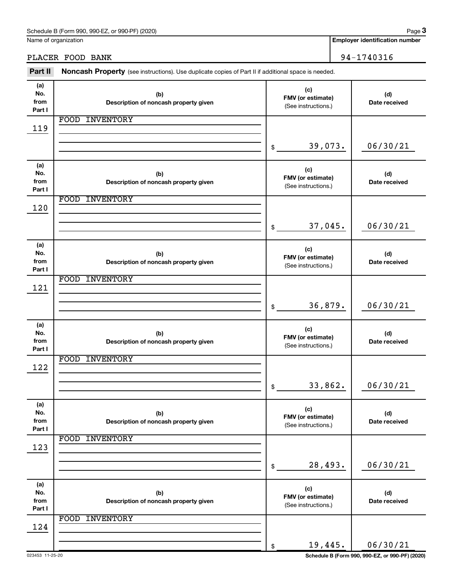| (2020)<br>990-EZ<br>Schedule<br>. or 990-PF)<br>B (Form 990. | Paɑe |
|--------------------------------------------------------------|------|
|                                                              |      |

**Employer identification number**

### PLACER FOOD BANK 94-1740316

Part II Noncash Property (see instructions). Use duplicate copies of Part II if additional space is needed.

| (a)    |                                       |                     |               |  |
|--------|---------------------------------------|---------------------|---------------|--|
| No.    | (b)                                   | (c)                 | (d)           |  |
| from   |                                       | FMV (or estimate)   |               |  |
|        | Description of noncash property given | (See instructions.) | Date received |  |
| Part I |                                       |                     |               |  |
|        | <b>FOOD INVENTORY</b>                 |                     |               |  |
| 119    |                                       |                     |               |  |
|        |                                       |                     |               |  |
|        |                                       |                     |               |  |
|        |                                       | 39,073.<br>\$       | 06/30/21      |  |
|        |                                       |                     |               |  |
| (a)    |                                       |                     |               |  |
| No.    |                                       | (c)                 |               |  |
|        | (b)                                   | FMV (or estimate)   | (d)           |  |
| from   | Description of noncash property given | (See instructions.) | Date received |  |
| Part I |                                       |                     |               |  |
|        | <b>FOOD INVENTORY</b>                 |                     |               |  |
| 120    |                                       |                     |               |  |
|        |                                       |                     |               |  |
|        |                                       |                     |               |  |
|        |                                       | 37,045.<br>$\$$     | 06/30/21      |  |
|        |                                       |                     |               |  |
| (a)    |                                       |                     |               |  |
|        |                                       | (c)                 |               |  |
| No.    | (b)                                   | FMV (or estimate)   | (d)           |  |
| from   | Description of noncash property given | (See instructions.) | Date received |  |
| Part I |                                       |                     |               |  |
|        | <b>FOOD INVENTORY</b>                 |                     |               |  |
| 121    |                                       |                     |               |  |
|        |                                       |                     |               |  |
|        |                                       |                     |               |  |
|        |                                       | 36,879.<br>\$       | 06/30/21      |  |
|        |                                       |                     |               |  |
|        |                                       |                     |               |  |
| (a)    |                                       | (c)                 |               |  |
| No.    | (b)                                   | FMV (or estimate)   | (d)           |  |
| from   | Description of noncash property given | (See instructions.) | Date received |  |
| Part I |                                       |                     |               |  |
|        | <b>FOOD INVENTORY</b>                 |                     |               |  |
| 122    |                                       |                     |               |  |
|        |                                       |                     |               |  |
|        |                                       |                     |               |  |
|        |                                       | 33,862.<br>$\$$     | 06/30/21      |  |
|        |                                       |                     |               |  |
|        |                                       |                     |               |  |
| (a)    |                                       | (c)                 |               |  |
| No.    | (b)                                   | FMV (or estimate)   | (d)           |  |
| from   | Description of noncash property given | (See instructions.) | Date received |  |
| Part I |                                       |                     |               |  |
|        | <b>INVENTORY</b><br>FOOD              |                     |               |  |
| 123    |                                       |                     |               |  |
|        |                                       |                     |               |  |
|        |                                       |                     |               |  |
|        |                                       | 28,493.<br>$\$$     | 06/30/21      |  |
|        |                                       |                     |               |  |
|        |                                       |                     |               |  |
| (a)    |                                       | (c)                 |               |  |
| No.    | (b)                                   | FMV (or estimate)   | (d)           |  |
| from   | Description of noncash property given |                     | Date received |  |
| Part I |                                       | (See instructions.) |               |  |
|        | <b>FOOD INVENTORY</b>                 |                     |               |  |
|        |                                       |                     |               |  |
| 124    |                                       |                     |               |  |
|        |                                       |                     |               |  |
|        |                                       |                     |               |  |
|        |                                       | 19,445.<br>\$       | 06/30/21      |  |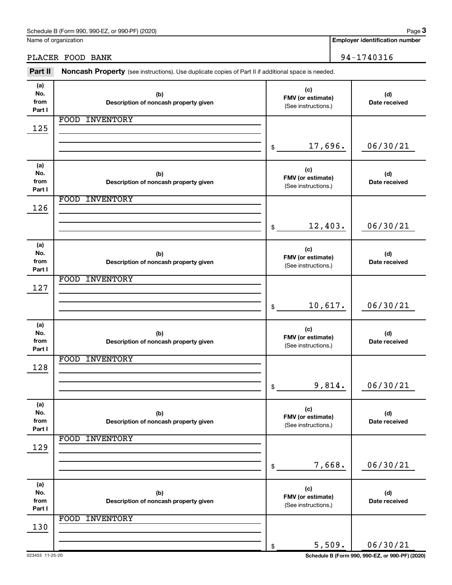| (2020)<br>990-EZ<br>Schedule<br>. or 990-PF)<br>B (Form 990. | Paɑe |
|--------------------------------------------------------------|------|
|                                                              |      |

**Employer identification number**

### PLACER FOOD BANK 94-1740316

Part II Noncash Property (see instructions). Use duplicate copies of Part II if additional space is needed.

| (a)<br>No.<br>from<br>Part I | (b)<br>Description of noncash property given | (c)<br>FMV (or estimate)<br>(See instructions.) | (d)<br>Date received |
|------------------------------|----------------------------------------------|-------------------------------------------------|----------------------|
| 125                          | <b>INVENTORY</b><br>FOOD                     |                                                 |                      |
|                              |                                              | 17,696.<br>\$                                   | 06/30/21             |
| (a)<br>No.<br>from<br>Part I | (b)<br>Description of noncash property given | (c)<br>FMV (or estimate)<br>(See instructions.) | (d)<br>Date received |
| 126                          | <b>FOOD INVENTORY</b>                        |                                                 |                      |
|                              |                                              | 12,403.<br>\$                                   | 06/30/21             |
| (a)<br>No.<br>from<br>Part I | (b)<br>Description of noncash property given | (c)<br>FMV (or estimate)<br>(See instructions.) | (d)<br>Date received |
| 127                          | <b>INVENTORY</b><br>FOOD                     |                                                 |                      |
|                              |                                              | 10,617.<br>\$                                   | 06/30/21             |
| (a)<br>No.<br>from<br>Part I | (b)<br>Description of noncash property given | (c)<br>FMV (or estimate)<br>(See instructions.) | (d)<br>Date received |
| 128                          | <b>INVENTORY</b><br>FOOD                     |                                                 |                      |
|                              |                                              | 9,814.<br>\$                                    | 06/30/21             |
| (a)<br>No.<br>from<br>Part I | (b)<br>Description of noncash property given | (c)<br>FMV (or estimate)<br>(See instructions.) | (d)<br>Date received |
| 129                          | <b>INVENTORY</b><br>FOOD                     |                                                 |                      |
|                              |                                              | 7,668.<br>$\,$                                  | 06/30/21             |
| (a)<br>No.<br>from<br>Part I | (b)<br>Description of noncash property given | (c)<br>FMV (or estimate)<br>(See instructions.) | (d)<br>Date received |
| 130                          | <b>INVENTORY</b><br>FOOD                     |                                                 |                      |
|                              |                                              | 5,509.<br>\$                                    | 06/30/21             |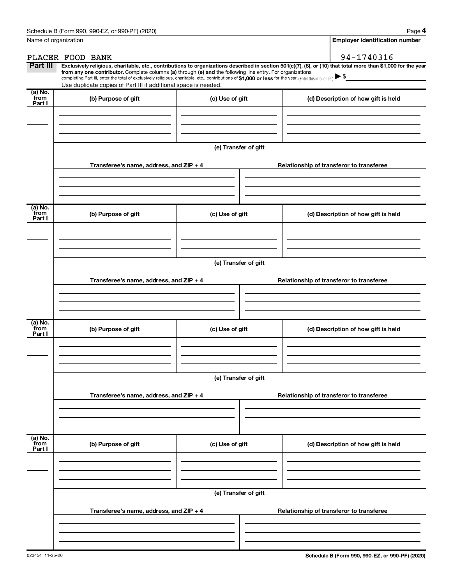| Name of organization        |                                                                                                                                                                                                                                                                                                                                                                    |                      | <b>Employer identification number</b>                                                                                                                          |
|-----------------------------|--------------------------------------------------------------------------------------------------------------------------------------------------------------------------------------------------------------------------------------------------------------------------------------------------------------------------------------------------------------------|----------------------|----------------------------------------------------------------------------------------------------------------------------------------------------------------|
|                             | PLACER FOOD BANK                                                                                                                                                                                                                                                                                                                                                   |                      | 94-1740316                                                                                                                                                     |
| Part III                    | from any one contributor. Complete columns (a) through (e) and the following line entry. For organizations<br>completing Part III, enter the total of exclusively religious, charitable, etc., contributions of \$1,000 or less for the year. (Enter this info. once.) $\blacktriangleright$ \$<br>Use duplicate copies of Part III if additional space is needed. |                      | Exclusively religious, charitable, etc., contributions to organizations described in section 501(c)(7), (8), or (10) that total more than \$1,000 for the year |
| $(a)$ No.<br>from<br>Part I | (b) Purpose of gift                                                                                                                                                                                                                                                                                                                                                | (c) Use of gift      | (d) Description of how gift is held                                                                                                                            |
|                             |                                                                                                                                                                                                                                                                                                                                                                    | (e) Transfer of gift |                                                                                                                                                                |
|                             | Transferee's name, address, and $ZIP + 4$                                                                                                                                                                                                                                                                                                                          |                      | Relationship of transferor to transferee                                                                                                                       |
| (a) No.<br>from<br>Part I   | (b) Purpose of gift                                                                                                                                                                                                                                                                                                                                                | (c) Use of gift      | (d) Description of how gift is held                                                                                                                            |
|                             | Transferee's name, address, and $ZIP + 4$                                                                                                                                                                                                                                                                                                                          | (e) Transfer of gift | Relationship of transferor to transferee                                                                                                                       |
| $(a)$ No.<br>from<br>Part I | (b) Purpose of gift                                                                                                                                                                                                                                                                                                                                                | (c) Use of gift      | (d) Description of how gift is held                                                                                                                            |
|                             |                                                                                                                                                                                                                                                                                                                                                                    | (e) Transfer of gift |                                                                                                                                                                |
|                             | Transferee's name, address, and ZIP + 4                                                                                                                                                                                                                                                                                                                            |                      | Relationship of transferor to transferee                                                                                                                       |
| (a) No.<br>from<br>Part I   | (b) Purpose of gift                                                                                                                                                                                                                                                                                                                                                | (c) Use of gift      | (d) Description of how gift is held                                                                                                                            |
|                             |                                                                                                                                                                                                                                                                                                                                                                    |                      |                                                                                                                                                                |
|                             | Transferee's name, address, and $ZIP + 4$                                                                                                                                                                                                                                                                                                                          | (e) Transfer of gift | Relationship of transferor to transferee                                                                                                                       |
|                             |                                                                                                                                                                                                                                                                                                                                                                    |                      |                                                                                                                                                                |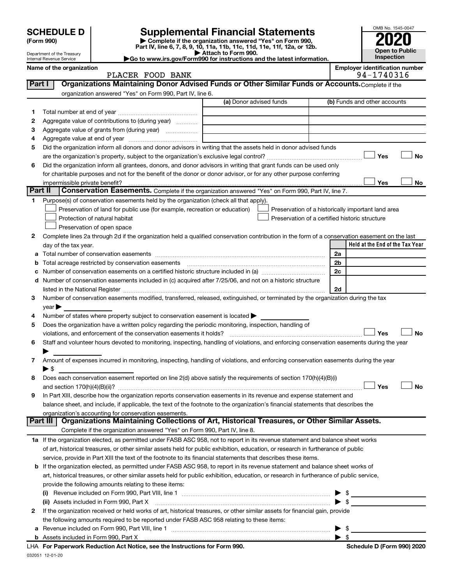| <b>SCHEDULE D</b> |  |
|-------------------|--|
|-------------------|--|

# **SCHEDULE D Supplemental Financial Statements**<br> **Form 990 2020**<br> **Part IV** line 6.7.8.9.10, 11a, 11b, 11d, 11d, 11d, 11d, 11d, 12a, 0r, 12b

**(Form 990) | Complete if the organization answered "Yes" on Form 990, Part IV, line 6, 7, 8, 9, 10, 11a, 11b, 11c, 11d, 11e, 11f, 12a, or 12b.**

**| Attach to Form 990. |Go to www.irs.gov/Form990 for instructions and the latest information.**



Department of the Treasury Internal Revenue Service

| PLACER FOOD BANK           |  |
|----------------------------|--|
| ne Maintaining Donor Advic |  |

| Name of the organization |        |      |             | <b>Employer identification number</b> |
|--------------------------|--------|------|-------------|---------------------------------------|
|                          | PLACER | FOOD | <b>BANK</b> | 740316<br>94–                         |

| Part I  | Organizations Maintaining Donor Advised Funds or Other Similar Funds or Accounts. Complete if the                                                                                                 |                         |                                                    |
|---------|---------------------------------------------------------------------------------------------------------------------------------------------------------------------------------------------------|-------------------------|----------------------------------------------------|
|         | organization answered "Yes" on Form 990, Part IV, line 6.                                                                                                                                         |                         |                                                    |
|         |                                                                                                                                                                                                   | (a) Donor advised funds | (b) Funds and other accounts                       |
| 1       |                                                                                                                                                                                                   |                         |                                                    |
| 2       | Aggregate value of contributions to (during year)                                                                                                                                                 |                         |                                                    |
| з       | Aggregate value of grants from (during year)                                                                                                                                                      |                         |                                                    |
| 4       |                                                                                                                                                                                                   |                         |                                                    |
| 5       | Did the organization inform all donors and donor advisors in writing that the assets held in donor advised funds                                                                                  |                         |                                                    |
|         |                                                                                                                                                                                                   |                         | Yes<br>No                                          |
| 6       | Did the organization inform all grantees, donors, and donor advisors in writing that grant funds can be used only                                                                                 |                         |                                                    |
|         | for charitable purposes and not for the benefit of the donor or donor advisor, or for any other purpose conferring                                                                                |                         |                                                    |
|         | impermissible private benefit?                                                                                                                                                                    |                         | Yes<br>No                                          |
| Part II | Conservation Easements. Complete if the organization answered "Yes" on Form 990, Part IV, line 7.                                                                                                 |                         |                                                    |
| 1       | Purpose(s) of conservation easements held by the organization (check all that apply).                                                                                                             |                         |                                                    |
|         | Preservation of land for public use (for example, recreation or education)                                                                                                                        |                         | Preservation of a historically important land area |
|         | Protection of natural habitat                                                                                                                                                                     |                         | Preservation of a certified historic structure     |
|         | Preservation of open space                                                                                                                                                                        |                         |                                                    |
| 2       | Complete lines 2a through 2d if the organization held a qualified conservation contribution in the form of a conservation easement on the last                                                    |                         |                                                    |
|         | day of the tax year.                                                                                                                                                                              |                         | Held at the End of the Tax Year                    |
| а       |                                                                                                                                                                                                   |                         | 2a                                                 |
|         | Total acreage restricted by conservation easements                                                                                                                                                |                         | 2 <sub>b</sub>                                     |
|         | Number of conservation easements on a certified historic structure included in (a) manufacture included in (a)                                                                                    |                         | 2c                                                 |
|         | Number of conservation easements included in (c) acquired after 7/25/06, and not on a historic structure                                                                                          |                         |                                                    |
|         |                                                                                                                                                                                                   |                         | 2d                                                 |
| 3       | Number of conservation easements modified, transferred, released, extinguished, or terminated by the organization during the tax                                                                  |                         |                                                    |
|         | vear                                                                                                                                                                                              |                         |                                                    |
| 4       | Number of states where property subject to conservation easement is located >                                                                                                                     |                         |                                                    |
| 5       | Does the organization have a written policy regarding the periodic monitoring, inspection, handling of                                                                                            |                         |                                                    |
|         | violations, and enforcement of the conservation easements it holds?                                                                                                                               |                         | Yes<br>No                                          |
| 6       | Staff and volunteer hours devoted to monitoring, inspecting, handling of violations, and enforcing conservation easements during the year                                                         |                         |                                                    |
|         |                                                                                                                                                                                                   |                         |                                                    |
| 7       | Amount of expenses incurred in monitoring, inspecting, handling of violations, and enforcing conservation easements during the year                                                               |                         |                                                    |
|         | $\blacktriangleright$ \$                                                                                                                                                                          |                         |                                                    |
| 8       | Does each conservation easement reported on line 2(d) above satisfy the requirements of section 170(h)(4)(B)(i)                                                                                   |                         |                                                    |
|         |                                                                                                                                                                                                   |                         | Yes<br>No                                          |
| 9       | In Part XIII, describe how the organization reports conservation easements in its revenue and expense statement and                                                                               |                         |                                                    |
|         | balance sheet, and include, if applicable, the text of the footnote to the organization's financial statements that describes the                                                                 |                         |                                                    |
|         | organization's accounting for conservation easements.<br>Organizations Maintaining Collections of Art, Historical Treasures, or Other Similar Assets.<br>Part III                                 |                         |                                                    |
|         | Complete if the organization answered "Yes" on Form 990, Part IV, line 8.                                                                                                                         |                         |                                                    |
|         |                                                                                                                                                                                                   |                         |                                                    |
|         | 1a If the organization elected, as permitted under FASB ASC 958, not to report in its revenue statement and balance sheet works                                                                   |                         |                                                    |
|         | of art, historical treasures, or other similar assets held for public exhibition, education, or research in furtherance of public                                                                 |                         |                                                    |
|         | service, provide in Part XIII the text of the footnote to its financial statements that describes these items.                                                                                    |                         |                                                    |
| b       | If the organization elected, as permitted under FASB ASC 958, to report in its revenue statement and balance sheet works of                                                                       |                         |                                                    |
|         | art, historical treasures, or other similar assets held for public exhibition, education, or research in furtherance of public service,<br>provide the following amounts relating to these items: |                         |                                                    |
|         |                                                                                                                                                                                                   |                         | \$                                                 |
|         |                                                                                                                                                                                                   |                         | $\mathfrak{L}$                                     |
|         | (ii) Assets included in Form 990, Part X                                                                                                                                                          |                         |                                                    |
| 2       | If the organization received or held works of art, historical treasures, or other similar assets for financial gain, provide                                                                      |                         |                                                    |
|         | the following amounts required to be reported under FASB ASC 958 relating to these items:                                                                                                         |                         |                                                    |
| а       |                                                                                                                                                                                                   |                         | - \$<br>▶                                          |
|         |                                                                                                                                                                                                   |                         |                                                    |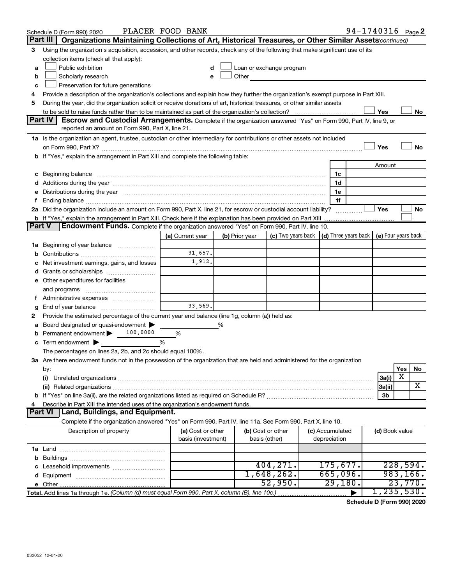|               | Schedule D (Form 990) 2020                                                                                                                                                                                                     | PLACER FOOD BANK   |                |                                                                                                                                                                                                                                |                                              | 94-1740316 <sub>Page</sub> 2 |         |           |
|---------------|--------------------------------------------------------------------------------------------------------------------------------------------------------------------------------------------------------------------------------|--------------------|----------------|--------------------------------------------------------------------------------------------------------------------------------------------------------------------------------------------------------------------------------|----------------------------------------------|------------------------------|---------|-----------|
|               | Part III   Organizations Maintaining Collections of Art, Historical Treasures, or Other Similar Assets (continued)                                                                                                             |                    |                |                                                                                                                                                                                                                                |                                              |                              |         |           |
| 3             | Using the organization's acquisition, accession, and other records, check any of the following that make significant use of its                                                                                                |                    |                |                                                                                                                                                                                                                                |                                              |                              |         |           |
|               | collection items (check all that apply):                                                                                                                                                                                       |                    |                |                                                                                                                                                                                                                                |                                              |                              |         |           |
| a             | Public exhibition                                                                                                                                                                                                              | d                  |                | Loan or exchange program                                                                                                                                                                                                       |                                              |                              |         |           |
| b             | Scholarly research                                                                                                                                                                                                             | e                  |                | Other and the control of the control of the control of the control of the control of the control of the control of the control of the control of the control of the control of the control of the control of the control of th |                                              |                              |         |           |
| c             | Preservation for future generations                                                                                                                                                                                            |                    |                |                                                                                                                                                                                                                                |                                              |                              |         |           |
|               | Provide a description of the organization's collections and explain how they further the organization's exempt purpose in Part XIII.                                                                                           |                    |                |                                                                                                                                                                                                                                |                                              |                              |         |           |
| 5             | During the year, did the organization solicit or receive donations of art, historical treasures, or other similar assets                                                                                                       |                    |                |                                                                                                                                                                                                                                |                                              |                              |         |           |
|               |                                                                                                                                                                                                                                |                    |                |                                                                                                                                                                                                                                |                                              | Yes                          |         | No        |
|               | <b>Part IV</b><br>Escrow and Custodial Arrangements. Complete if the organization answered "Yes" on Form 990, Part IV, line 9, or                                                                                              |                    |                |                                                                                                                                                                                                                                |                                              |                              |         |           |
|               | reported an amount on Form 990, Part X, line 21.                                                                                                                                                                               |                    |                |                                                                                                                                                                                                                                |                                              |                              |         |           |
|               | 1a Is the organization an agent, trustee, custodian or other intermediary for contributions or other assets not included                                                                                                       |                    |                |                                                                                                                                                                                                                                |                                              |                              |         |           |
|               |                                                                                                                                                                                                                                |                    |                |                                                                                                                                                                                                                                |                                              | Yes                          |         | <b>No</b> |
|               | b If "Yes," explain the arrangement in Part XIII and complete the following table:                                                                                                                                             |                    |                |                                                                                                                                                                                                                                |                                              |                              |         |           |
|               |                                                                                                                                                                                                                                |                    |                |                                                                                                                                                                                                                                |                                              | Amount                       |         |           |
|               |                                                                                                                                                                                                                                |                    |                |                                                                                                                                                                                                                                | 1c                                           |                              |         |           |
|               |                                                                                                                                                                                                                                |                    |                |                                                                                                                                                                                                                                | 1d                                           |                              |         |           |
|               |                                                                                                                                                                                                                                |                    |                |                                                                                                                                                                                                                                |                                              |                              |         |           |
|               | Distributions during the year manufactured and an account of the state of the state of the state of the state of the state of the state of the state of the state of the state of the state of the state of the state of the s |                    |                |                                                                                                                                                                                                                                | 1e                                           |                              |         |           |
|               |                                                                                                                                                                                                                                |                    |                |                                                                                                                                                                                                                                | 1f                                           | Yes                          |         |           |
|               | 2a Did the organization include an amount on Form 990, Part X, line 21, for escrow or custodial account liability?                                                                                                             |                    |                |                                                                                                                                                                                                                                |                                              |                              |         | No        |
| <b>Part V</b> | <b>b</b> If "Yes," explain the arrangement in Part XIII. Check here if the explanation has been provided on Part XIII<br>Endowment Funds. Complete if the organization answered "Yes" on Form 990, Part IV, line 10.           |                    |                |                                                                                                                                                                                                                                |                                              |                              |         |           |
|               |                                                                                                                                                                                                                                |                    | (b) Prior year | (c) Two years back                                                                                                                                                                                                             | (d) Three years back $ $ (e) Four years back |                              |         |           |
|               |                                                                                                                                                                                                                                | (a) Current year   |                |                                                                                                                                                                                                                                |                                              |                              |         |           |
| 1a            | Beginning of year balance                                                                                                                                                                                                      |                    |                |                                                                                                                                                                                                                                |                                              |                              |         |           |
|               |                                                                                                                                                                                                                                | 31,657.            |                |                                                                                                                                                                                                                                |                                              |                              |         |           |
|               | Net investment earnings, gains, and losses                                                                                                                                                                                     | 1,912.             |                |                                                                                                                                                                                                                                |                                              |                              |         |           |
|               | Grants or scholarships                                                                                                                                                                                                         |                    |                |                                                                                                                                                                                                                                |                                              |                              |         |           |
|               | e Other expenditures for facilities                                                                                                                                                                                            |                    |                |                                                                                                                                                                                                                                |                                              |                              |         |           |
|               |                                                                                                                                                                                                                                |                    |                |                                                                                                                                                                                                                                |                                              |                              |         |           |
|               |                                                                                                                                                                                                                                |                    |                |                                                                                                                                                                                                                                |                                              |                              |         |           |
|               | End of year balance                                                                                                                                                                                                            | 33,569.            |                |                                                                                                                                                                                                                                |                                              |                              |         |           |
| 2             | Provide the estimated percentage of the current year end balance (line 1g, column (a)) held as:                                                                                                                                |                    |                |                                                                                                                                                                                                                                |                                              |                              |         |           |
|               | Board designated or quasi-endowment                                                                                                                                                                                            |                    | %              |                                                                                                                                                                                                                                |                                              |                              |         |           |
|               | Permanent endowment > 100.0000                                                                                                                                                                                                 | $\%$               |                |                                                                                                                                                                                                                                |                                              |                              |         |           |
|               | Term endowment $\blacktriangleright$                                                                                                                                                                                           | %                  |                |                                                                                                                                                                                                                                |                                              |                              |         |           |
|               | The percentages on lines 2a, 2b, and 2c should equal 100%.                                                                                                                                                                     |                    |                |                                                                                                                                                                                                                                |                                              |                              |         |           |
|               | 3a Are there endowment funds not in the possession of the organization that are held and administered for the organization                                                                                                     |                    |                |                                                                                                                                                                                                                                |                                              |                              |         |           |
|               | by:                                                                                                                                                                                                                            |                    |                |                                                                                                                                                                                                                                |                                              |                              | Yes     | No        |
|               | (i)                                                                                                                                                                                                                            |                    |                |                                                                                                                                                                                                                                |                                              | 3a(i)                        | X       |           |
|               |                                                                                                                                                                                                                                |                    |                |                                                                                                                                                                                                                                |                                              | 3a(ii)                       |         | X         |
|               |                                                                                                                                                                                                                                |                    |                |                                                                                                                                                                                                                                |                                              | 3b                           |         |           |
|               | Describe in Part XIII the intended uses of the organization's endowment funds.                                                                                                                                                 |                    |                |                                                                                                                                                                                                                                |                                              |                              |         |           |
|               | <b>Land, Buildings, and Equipment.</b><br><b>Part VI</b>                                                                                                                                                                       |                    |                |                                                                                                                                                                                                                                |                                              |                              |         |           |
|               | Complete if the organization answered "Yes" on Form 990, Part IV, line 11a. See Form 990, Part X, line 10.                                                                                                                     |                    |                |                                                                                                                                                                                                                                |                                              |                              |         |           |
|               | Description of property                                                                                                                                                                                                        | (a) Cost or other  |                | (b) Cost or other                                                                                                                                                                                                              | (c) Accumulated                              | (d) Book value               |         |           |
|               |                                                                                                                                                                                                                                | basis (investment) |                | basis (other)                                                                                                                                                                                                                  | depreciation                                 |                              |         |           |
|               |                                                                                                                                                                                                                                |                    |                |                                                                                                                                                                                                                                |                                              |                              |         |           |
|               |                                                                                                                                                                                                                                |                    |                |                                                                                                                                                                                                                                |                                              |                              |         |           |
|               |                                                                                                                                                                                                                                |                    |                | 404, 271.                                                                                                                                                                                                                      | 175,677.                                     |                              |         | 228,594.  |
|               |                                                                                                                                                                                                                                |                    |                | 1,648,262.                                                                                                                                                                                                                     | 665,096.                                     | 983, 166.                    |         |           |
|               |                                                                                                                                                                                                                                |                    |                | 52,950.                                                                                                                                                                                                                        | 29,180.                                      |                              | 23,770. |           |
|               | Total. Add lines 1a through 1e. (Column (d) must equal Form 990, Part X, column (B), line 10c.)                                                                                                                                |                    |                |                                                                                                                                                                                                                                |                                              | 1, 235, 530.                 |         |           |
|               |                                                                                                                                                                                                                                |                    |                |                                                                                                                                                                                                                                |                                              |                              |         |           |

**Schedule D (Form 990) 2020**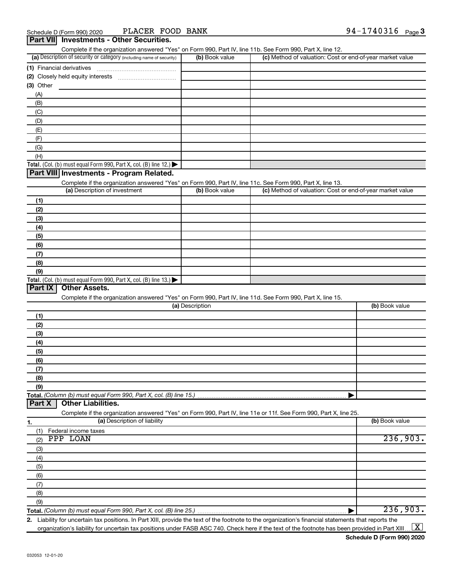| Complete if the organization answered "Yes" on Form 990, Part IV, line 11b. See Form 990, Part X, line 12.                                  |                 |                                                           |                |
|---------------------------------------------------------------------------------------------------------------------------------------------|-----------------|-----------------------------------------------------------|----------------|
| (a) Description of security or category (including name of security)                                                                        | (b) Book value  | (c) Method of valuation: Cost or end-of-year market value |                |
|                                                                                                                                             |                 |                                                           |                |
|                                                                                                                                             |                 |                                                           |                |
| $(3)$ Other                                                                                                                                 |                 |                                                           |                |
| (A)                                                                                                                                         |                 |                                                           |                |
| (B)                                                                                                                                         |                 |                                                           |                |
| (C)                                                                                                                                         |                 |                                                           |                |
| (D)                                                                                                                                         |                 |                                                           |                |
| (E)                                                                                                                                         |                 |                                                           |                |
| (F)                                                                                                                                         |                 |                                                           |                |
| (G)                                                                                                                                         |                 |                                                           |                |
| (H)                                                                                                                                         |                 |                                                           |                |
| Total. (Col. (b) must equal Form 990, Part X, col. (B) line 12.) $\blacktriangleright$                                                      |                 |                                                           |                |
| Part VIII Investments - Program Related.                                                                                                    |                 |                                                           |                |
|                                                                                                                                             |                 |                                                           |                |
| Complete if the organization answered "Yes" on Form 990, Part IV, line 11c. See Form 990, Part X, line 13.<br>(a) Description of investment | (b) Book value  | (c) Method of valuation: Cost or end-of-year market value |                |
|                                                                                                                                             |                 |                                                           |                |
| (1)                                                                                                                                         |                 |                                                           |                |
| (2)                                                                                                                                         |                 |                                                           |                |
| (3)                                                                                                                                         |                 |                                                           |                |
| (4)                                                                                                                                         |                 |                                                           |                |
| (5)                                                                                                                                         |                 |                                                           |                |
| (6)                                                                                                                                         |                 |                                                           |                |
| (7)                                                                                                                                         |                 |                                                           |                |
| (8)                                                                                                                                         |                 |                                                           |                |
| (9)                                                                                                                                         |                 |                                                           |                |
| Total. (Col. (b) must equal Form 990, Part X, col. (B) line 13.) $\blacktriangleright$                                                      |                 |                                                           |                |
| Part IX<br><b>Other Assets.</b>                                                                                                             |                 |                                                           |                |
| Complete if the organization answered "Yes" on Form 990, Part IV, line 11d. See Form 990, Part X, line 15.                                  |                 |                                                           |                |
|                                                                                                                                             | (a) Description |                                                           | (b) Book value |
| (1)                                                                                                                                         |                 |                                                           |                |
| (2)                                                                                                                                         |                 |                                                           |                |
| (3)                                                                                                                                         |                 |                                                           |                |
| (4)                                                                                                                                         |                 |                                                           |                |
| (5)                                                                                                                                         |                 |                                                           |                |
| (6)                                                                                                                                         |                 |                                                           |                |
| (7)                                                                                                                                         |                 |                                                           |                |
| (8)                                                                                                                                         |                 |                                                           |                |
| (9)                                                                                                                                         |                 |                                                           |                |
| Total. (Column (b) must equal Form 990, Part X, col. (B) line 15.).                                                                         |                 |                                                           |                |
| <b>Other Liabilities.</b><br>Part X                                                                                                         |                 |                                                           |                |
| Complete if the organization answered "Yes" on Form 990, Part IV, line 11e or 11f. See Form 990, Part X, line 25.                           |                 |                                                           |                |
| (a) Description of liability<br>1.                                                                                                          |                 |                                                           | (b) Book value |
| (1)<br>Federal income taxes                                                                                                                 |                 |                                                           |                |
| PPP LOAN<br>(2)                                                                                                                             |                 |                                                           | 236,903.       |
| (3)                                                                                                                                         |                 |                                                           |                |
| (4)                                                                                                                                         |                 |                                                           |                |
|                                                                                                                                             |                 |                                                           |                |
| (5)                                                                                                                                         |                 |                                                           |                |
| (6)                                                                                                                                         |                 |                                                           |                |
| (7)                                                                                                                                         |                 |                                                           |                |
| (8)                                                                                                                                         |                 |                                                           |                |
| (9)                                                                                                                                         |                 |                                                           |                |
|                                                                                                                                             |                 |                                                           | 236,903.       |

**2.** Liability for uncertain tax positions. In Part XIII, provide the text of the footnote to the organization's financial statements that reports the organization's liability for uncertain tax positions under FASB ASC 740. Check here if the text of the footnote has been provided in Part XIII..  $\boxed{\text{X}}$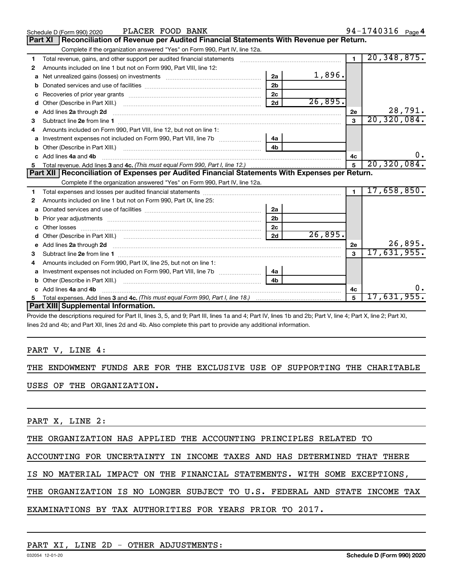|    | Schedule D (Form 990) 2020<br>PLACER FOOD BANK                                                                  |                |         |                | $94 - 1/40310$ Page 4 |
|----|-----------------------------------------------------------------------------------------------------------------|----------------|---------|----------------|-----------------------|
|    | Part XI   Reconciliation of Revenue per Audited Financial Statements With Revenue per Return.                   |                |         |                |                       |
|    | Complete if the organization answered "Yes" on Form 990, Part IV, line 12a.                                     |                |         |                |                       |
| 1  | Total revenue, gains, and other support per audited financial statements                                        |                |         | $\blacksquare$ | 20, 348, 875.         |
| 2  | Amounts included on line 1 but not on Form 990, Part VIII, line 12:                                             |                |         |                |                       |
| a  |                                                                                                                 | 2a             | 1,896.  |                |                       |
| b  |                                                                                                                 | 2 <sub>b</sub> |         |                |                       |
| с  |                                                                                                                 | 2c             |         |                |                       |
| d  |                                                                                                                 | 2d             | 26,895. |                |                       |
| е  | Add lines 2a through 2d                                                                                         |                |         | 2e             | 28,791.               |
| 3  |                                                                                                                 |                |         | 3              | 20, 320, 084.         |
| 4  | Amounts included on Form 990, Part VIII, line 12, but not on line 1:                                            |                |         |                |                       |
| a  |                                                                                                                 | 4a             |         |                |                       |
|    | Other (Describe in Part XIII.) (2000) (2000) (2000) (2010) (2010) (2010) (2010) (2010) (2010) (2010) (2010) (20 | 4 <sub>h</sub> |         |                |                       |
|    | Add lines 4a and 4b                                                                                             |                |         | 4c             | 0.                    |
|    |                                                                                                                 |                |         |                |                       |
| 5  |                                                                                                                 |                |         |                | 20, 320, 084.         |
|    | Part XII   Reconciliation of Expenses per Audited Financial Statements With Expenses per Return.                |                |         |                |                       |
|    | Complete if the organization answered "Yes" on Form 990, Part IV, line 12a.                                     |                |         |                |                       |
| 1  |                                                                                                                 |                |         | $\blacksquare$ | 17,658,850.           |
| 2  | Amounts included on line 1 but not on Form 990, Part IX, line 25:                                               |                |         |                |                       |
| a  |                                                                                                                 | 2a             |         |                |                       |
| b  |                                                                                                                 | 2 <sub>b</sub> |         |                |                       |
|    |                                                                                                                 | 2 <sub>c</sub> |         |                |                       |
| d  |                                                                                                                 | 2d             | 26,895. |                |                       |
| е  | Add lines 2a through 2d                                                                                         |                |         | 2e             | 26,895.               |
| з  |                                                                                                                 |                |         | $\mathbf{a}$   | 17,631,955.           |
| 4  | Amounts included on Form 990, Part IX, line 25, but not on line 1:                                              |                |         |                |                       |
| a  | Investment expenses not included on Form 990, Part VIII, line 7b [                                              | 4a             |         |                |                       |
| b  | Other (Describe in Part XIII.)                                                                                  | 4b             |         |                |                       |
| c. | Add lines 4a and 4b                                                                                             |                |         | 4c             | 0.                    |
| 5  |                                                                                                                 |                |         | 5              | 17,631,955 <b>.</b>   |
|    | Part XIII Supplemental Information.                                                                             |                |         |                |                       |

PLACER FOOD BANK

Provide the descriptions required for Part II, lines 3, 5, and 9; Part III, lines 1a and 4; Part IV, lines 1b and 2b; Part V, line 4; Part X, line 2; Part XI, lines 2d and 4b; and Part XII, lines 2d and 4b. Also complete this part to provide any additional information.

### PART V, LINE 4:

THE ENDOWMENT FUNDS ARE FOR THE EXCLUSIVE USE OF SUPPORTING THE CHARITABLE USES OF THE ORGANIZATION.

PART X, LINE 2:

THE ORGANIZATION HAS APPLIED THE ACCOUNTING PRINCIPLES RELATED TO

ACCOUNTING FOR UNCERTAINTY IN INCOME TAXES AND HAS DETERMINED THAT THERE

IS NO MATERIAL IMPACT ON THE FINANCIAL STATEMENTS. WITH SOME EXCEPTIONS,

THE ORGANIZATION IS NO LONGER SUBJECT TO U.S. FEDERAL AND STATE INCOME TAX

### EXAMINATIONS BY TAX AUTHORITIES FOR YEARS PRIOR TO 2017.

 $94 - 1740316$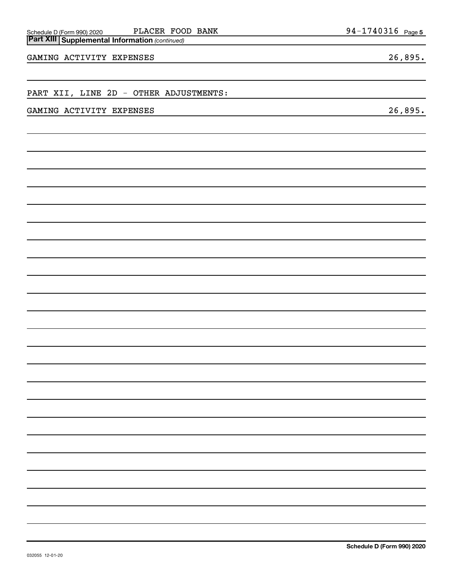## PART XII, LINE 2D - OTHER ADJUSTMENTS: GAMING ACTIVITY EXPENSES 26, 2008.

*(continued)* **Part XIII Supplemental Information** 

| Schedule D (Form 990) 2020 | PLACER FOOD BANK |  |
|----------------------------|------------------|--|

**FLACER FOOD BANK** 94-1740316 Page 5

GAMING ACTIVITY EXPENSES 26,895.

**Schedule D (Form 990) 2020**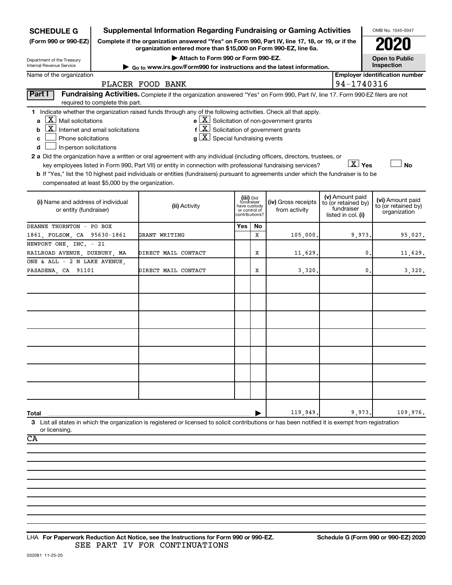| <b>SCHEDULE G</b>                                                       |                                  | <b>Supplemental Information Regarding Fundraising or Gaming Activities</b>                                                                                          |     |                               |                                                                         |                                   | OMB No. 1545-0047                     |
|-------------------------------------------------------------------------|----------------------------------|---------------------------------------------------------------------------------------------------------------------------------------------------------------------|-----|-------------------------------|-------------------------------------------------------------------------|-----------------------------------|---------------------------------------|
| (Form 990 or 990-EZ)                                                    |                                  | Complete if the organization answered "Yes" on Form 990, Part IV, line 17, 18, or 19, or if the<br>organization entered more than \$15,000 on Form 990-EZ, line 6a. |     |                               |                                                                         |                                   |                                       |
| Department of the Treasury                                              |                                  | Attach to Form 990 or Form 990-EZ.                                                                                                                                  |     |                               |                                                                         |                                   | <b>Open to Public</b>                 |
| <b>Internal Revenue Service</b>                                         |                                  | ► Go to www.irs.gov/Form990 for instructions and the latest information.                                                                                            |     |                               |                                                                         |                                   | Inspection                            |
| Name of the organization                                                |                                  |                                                                                                                                                                     |     |                               |                                                                         |                                   | <b>Employer identification number</b> |
|                                                                         |                                  | PLACER FOOD BANK                                                                                                                                                    |     |                               |                                                                         | 94-1740316                        |                                       |
| <b>Part I</b>                                                           |                                  | Fundraising Activities. Complete if the organization answered "Yes" on Form 990, Part IV, line 17. Form 990-EZ filers are not                                       |     |                               |                                                                         |                                   |                                       |
|                                                                         | required to complete this part.  |                                                                                                                                                                     |     |                               |                                                                         |                                   |                                       |
|                                                                         |                                  | 1 Indicate whether the organization raised funds through any of the following activities. Check all that apply.                                                     |     |                               |                                                                         |                                   |                                       |
| $\lfloor \underline{X} \rfloor$ Mail solicitations<br>a<br>$\mathbf{X}$ |                                  |                                                                                                                                                                     |     |                               | $\mathbf{e}$ $\boxed{\mathbf{X}}$ Solicitation of non-government grants |                                   |                                       |
| b                                                                       | Internet and email solicitations | $f\left[\frac{X}{X}\right]$ Solicitation of government grants<br>$g\mid X$ Special fundraising events                                                               |     |                               |                                                                         |                                   |                                       |
| Phone solicitations<br>c<br>In-person solicitations<br>d                |                                  |                                                                                                                                                                     |     |                               |                                                                         |                                   |                                       |
|                                                                         |                                  | 2 a Did the organization have a written or oral agreement with any individual (including officers, directors, trustees, or                                          |     |                               |                                                                         |                                   |                                       |
|                                                                         |                                  | key employees listed in Form 990, Part VII) or entity in connection with professional fundraising services?                                                         |     |                               |                                                                         | $\boxed{\text{X}}$ Yes            | <b>No</b>                             |
|                                                                         |                                  | <b>b</b> If "Yes," list the 10 highest paid individuals or entities (fundraisers) pursuant to agreements under which the fundraiser is to be                        |     |                               |                                                                         |                                   |                                       |
| compensated at least \$5,000 by the organization.                       |                                  |                                                                                                                                                                     |     |                               |                                                                         |                                   |                                       |
|                                                                         |                                  |                                                                                                                                                                     |     |                               |                                                                         |                                   |                                       |
| (i) Name and address of individual                                      |                                  |                                                                                                                                                                     |     | (iii) Did<br>fundraiser       | (iv) Gross receipts                                                     | (v) Amount paid                   | (vi) Amount paid                      |
| or entity (fundraiser)                                                  |                                  | (ii) Activity                                                                                                                                                       |     | have custody<br>or control of | from activity                                                           | to (or retained by)<br>fundraiser | to (or retained by)<br>organization   |
|                                                                         |                                  |                                                                                                                                                                     |     | contributions?                |                                                                         | listed in col. (i)                |                                       |
| DEANNE THORNTON - PO BOX                                                |                                  |                                                                                                                                                                     | Yes | No                            |                                                                         |                                   |                                       |
| 1861, FOLSOM, CA 95630-1861                                             |                                  | GRANT WRITING                                                                                                                                                       |     | x                             | 105,000                                                                 | 9,973                             | 95,027.                               |
| NEWPORT ONE, INC. - 21                                                  |                                  |                                                                                                                                                                     |     |                               |                                                                         |                                   |                                       |
| RAILROAD AVENUE, DUXBURY, MA                                            |                                  | DIRECT MAIL CONTACT                                                                                                                                                 |     | х                             | 11,629                                                                  | 0.                                | 11,629.                               |
| ONE & ALL - 2 N LAKE AVENUE,                                            |                                  |                                                                                                                                                                     |     |                               |                                                                         |                                   |                                       |
| PASADENA, CA 91101                                                      |                                  | DIRECT MAIL CONTACT                                                                                                                                                 |     | х                             | 3,320                                                                   | 0.                                | 3,320.                                |
|                                                                         |                                  |                                                                                                                                                                     |     |                               |                                                                         |                                   |                                       |
|                                                                         |                                  |                                                                                                                                                                     |     |                               |                                                                         |                                   |                                       |
|                                                                         |                                  |                                                                                                                                                                     |     |                               |                                                                         |                                   |                                       |
|                                                                         |                                  |                                                                                                                                                                     |     |                               |                                                                         |                                   |                                       |
|                                                                         |                                  |                                                                                                                                                                     |     |                               |                                                                         |                                   |                                       |
|                                                                         |                                  |                                                                                                                                                                     |     |                               |                                                                         |                                   |                                       |
|                                                                         |                                  |                                                                                                                                                                     |     |                               |                                                                         |                                   |                                       |
|                                                                         |                                  |                                                                                                                                                                     |     |                               |                                                                         |                                   |                                       |
|                                                                         |                                  |                                                                                                                                                                     |     |                               |                                                                         |                                   |                                       |
|                                                                         |                                  |                                                                                                                                                                     |     |                               |                                                                         |                                   |                                       |
|                                                                         |                                  |                                                                                                                                                                     |     |                               |                                                                         |                                   |                                       |
|                                                                         |                                  |                                                                                                                                                                     |     |                               |                                                                         |                                   |                                       |
|                                                                         |                                  |                                                                                                                                                                     |     |                               |                                                                         |                                   |                                       |
|                                                                         |                                  |                                                                                                                                                                     |     |                               |                                                                         |                                   |                                       |
| Total                                                                   |                                  |                                                                                                                                                                     |     |                               | 119,949.                                                                | 9,973.                            | 109.976.                              |
|                                                                         |                                  | 3 List all states in which the organization is registered or licensed to solicit contributions or has been notified it is exempt from registration                  |     |                               |                                                                         |                                   |                                       |
| or licensing.                                                           |                                  |                                                                                                                                                                     |     |                               |                                                                         |                                   |                                       |
| CA                                                                      |                                  |                                                                                                                                                                     |     |                               |                                                                         |                                   |                                       |
|                                                                         |                                  |                                                                                                                                                                     |     |                               |                                                                         |                                   |                                       |
|                                                                         |                                  |                                                                                                                                                                     |     |                               |                                                                         |                                   |                                       |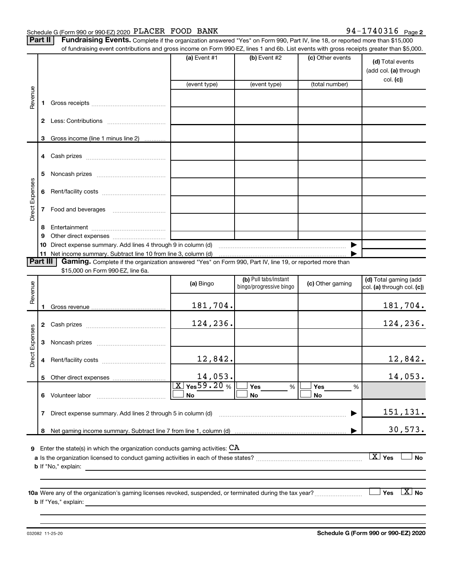| <b>Part II</b> Fundraising Events. Complete if the organization answered "Yes" on Form 990, Part IV, line 18, or reported more than \$15,000 |
|----------------------------------------------------------------------------------------------------------------------------------------------|
| of fundraising event contributions and gross income on Form 990.F7 lines 1 and 6b List events with gross receipts greater than \$5,000.      |

|                 |    |                                                                                                                                                                       |                                |                         |                  | of fundraising event contributions and gross income on Form 990-EZ, lines 1 and 6b. List events with gross receipts greater than \$5,000. |
|-----------------|----|-----------------------------------------------------------------------------------------------------------------------------------------------------------------------|--------------------------------|-------------------------|------------------|-------------------------------------------------------------------------------------------------------------------------------------------|
|                 |    |                                                                                                                                                                       | (a) Event $#1$                 | (b) Event #2            | (c) Other events | (d) Total events                                                                                                                          |
|                 |    |                                                                                                                                                                       |                                |                         |                  | (add col. (a) through                                                                                                                     |
|                 |    |                                                                                                                                                                       |                                |                         |                  | col. (c)                                                                                                                                  |
|                 |    |                                                                                                                                                                       | (event type)                   | (event type)            | (total number)   |                                                                                                                                           |
| Revenue         |    |                                                                                                                                                                       |                                |                         |                  |                                                                                                                                           |
|                 | 1. |                                                                                                                                                                       |                                |                         |                  |                                                                                                                                           |
|                 |    |                                                                                                                                                                       |                                |                         |                  |                                                                                                                                           |
|                 |    |                                                                                                                                                                       |                                |                         |                  |                                                                                                                                           |
|                 |    |                                                                                                                                                                       |                                |                         |                  |                                                                                                                                           |
|                 | 3  | Gross income (line 1 minus line 2)                                                                                                                                    |                                |                         |                  |                                                                                                                                           |
|                 |    |                                                                                                                                                                       |                                |                         |                  |                                                                                                                                           |
|                 |    |                                                                                                                                                                       |                                |                         |                  |                                                                                                                                           |
|                 |    |                                                                                                                                                                       |                                |                         |                  |                                                                                                                                           |
|                 | 5  |                                                                                                                                                                       |                                |                         |                  |                                                                                                                                           |
|                 |    |                                                                                                                                                                       |                                |                         |                  |                                                                                                                                           |
| Direct Expenses | 6  |                                                                                                                                                                       |                                |                         |                  |                                                                                                                                           |
|                 |    |                                                                                                                                                                       |                                |                         |                  |                                                                                                                                           |
|                 |    |                                                                                                                                                                       |                                |                         |                  |                                                                                                                                           |
|                 | 7  |                                                                                                                                                                       |                                |                         |                  |                                                                                                                                           |
|                 |    |                                                                                                                                                                       |                                |                         |                  |                                                                                                                                           |
|                 | 8  |                                                                                                                                                                       |                                |                         |                  |                                                                                                                                           |
|                 | 9  |                                                                                                                                                                       |                                |                         |                  |                                                                                                                                           |
|                 | 10 |                                                                                                                                                                       |                                |                         |                  |                                                                                                                                           |
|                 |    |                                                                                                                                                                       |                                |                         |                  |                                                                                                                                           |
|                 |    |                                                                                                                                                                       |                                |                         |                  |                                                                                                                                           |
|                 |    | <b>Part III</b><br>Gaming. Complete if the organization answered "Yes" on Form 990, Part IV, line 19, or reported more than                                           |                                |                         |                  |                                                                                                                                           |
|                 |    | \$15,000 on Form 990-EZ, line 6a.                                                                                                                                     |                                |                         |                  |                                                                                                                                           |
|                 |    |                                                                                                                                                                       | (a) Bingo                      | (b) Pull tabs/instant   | (c) Other gaming | (d) Total gaming (add                                                                                                                     |
|                 |    |                                                                                                                                                                       |                                | bingo/progressive bingo |                  | col. (a) through col. (c))                                                                                                                |
|                 |    |                                                                                                                                                                       |                                |                         |                  |                                                                                                                                           |
| Revenue         |    |                                                                                                                                                                       | 181,704.                       |                         |                  | 181,704.                                                                                                                                  |
|                 |    |                                                                                                                                                                       |                                |                         |                  |                                                                                                                                           |
|                 |    |                                                                                                                                                                       | 124,236.                       |                         |                  | 124,236.                                                                                                                                  |
|                 |    |                                                                                                                                                                       |                                |                         |                  |                                                                                                                                           |
|                 | 3  |                                                                                                                                                                       |                                |                         |                  |                                                                                                                                           |
|                 |    |                                                                                                                                                                       |                                |                         |                  |                                                                                                                                           |
|                 | 4  |                                                                                                                                                                       | 12,842.                        |                         |                  | 12,842.                                                                                                                                   |
| Direct Expenses |    |                                                                                                                                                                       |                                |                         |                  |                                                                                                                                           |
|                 |    |                                                                                                                                                                       | 14,053.                        |                         |                  |                                                                                                                                           |
|                 |    | 5 Other direct expenses                                                                                                                                               |                                |                         |                  | 14,053.                                                                                                                                   |
|                 |    |                                                                                                                                                                       | $\boxed{\text{X}}$ Yes 59.20 % | Yes<br>$\%$             | Yes<br>%         |                                                                                                                                           |
|                 | 6. | Volunteer labor                                                                                                                                                       | No                             | No                      | No               |                                                                                                                                           |
|                 |    |                                                                                                                                                                       |                                |                         |                  |                                                                                                                                           |
|                 | 7  | Direct expense summary. Add lines 2 through 5 in column (d)                                                                                                           |                                |                         |                  | 151,131.                                                                                                                                  |
|                 |    |                                                                                                                                                                       |                                |                         |                  |                                                                                                                                           |
|                 | 8  |                                                                                                                                                                       |                                |                         |                  | 30,573.                                                                                                                                   |
|                 |    |                                                                                                                                                                       |                                |                         |                  |                                                                                                                                           |
| 9               |    | Enter the state(s) in which the organization conducts gaming activities: $CA$<br>a Is the organization licensed to conduct gaming activities in each of these states? |                                |                         |                  | $\overline{X}$ Yes<br>No                                                                                                                  |

**b** If "No," explain:

**10a** Were any of the organization's gaming licenses revoked, suspended, or terminated during the tax year? **Were any of the organization's** gaming licenses revoked, suspended, or terminated during the tax year? **Were all b** If "Yes," explain:

032082 11-25-20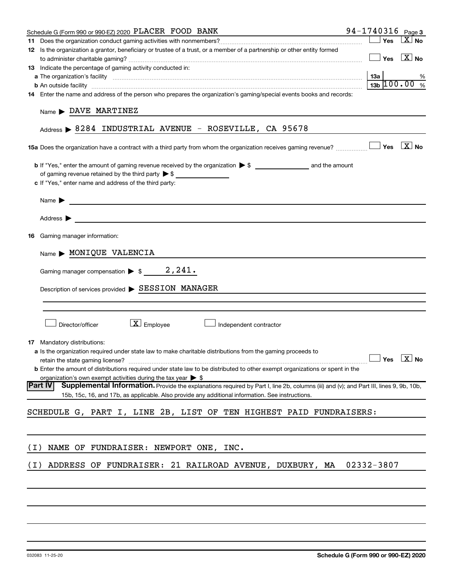|       | Schedule G (Form 990 or 990-EZ) 2020 PLACER FOOD BANK                                                                                                         |            |            | 94-1740316 Page 3                               |
|-------|---------------------------------------------------------------------------------------------------------------------------------------------------------------|------------|------------|-------------------------------------------------|
|       |                                                                                                                                                               |            | $\Box$ Yes | ∣X∣No                                           |
|       | 12 Is the organization a grantor, beneficiary or trustee of a trust, or a member of a partnership or other entity formed                                      |            |            |                                                 |
|       |                                                                                                                                                               |            |            | $\boxed{\phantom{1}}$ Yes $\boxed{\text{X}}$ No |
|       | 13 Indicate the percentage of gaming activity conducted in:                                                                                                   |            |            |                                                 |
|       |                                                                                                                                                               |            | <b>13a</b> | %                                               |
|       | <b>b</b> An outside facility <i>www.communicality www.communicality.communicality www.communicality www.communicality.communicality www.communicality.com</i> |            |            | $13b$ 100.00 %                                  |
|       | 14 Enter the name and address of the person who prepares the organization's gaming/special events books and records:                                          |            |            |                                                 |
|       | Name > DAVE MARTINEZ                                                                                                                                          |            |            |                                                 |
|       | Address > 8284 INDUSTRIAL AVENUE - ROSEVILLE, CA 95678                                                                                                        |            |            |                                                 |
|       |                                                                                                                                                               |            |            |                                                 |
|       |                                                                                                                                                               |            |            |                                                 |
|       | of gaming revenue retained by the third party $\triangleright$ \$                                                                                             |            |            |                                                 |
|       | c If "Yes," enter name and address of the third party:                                                                                                        |            |            |                                                 |
|       |                                                                                                                                                               |            |            |                                                 |
|       | Name $\blacktriangleright$<br><u> 1989 - Andrea Andrew Maria (h. 1989).</u>                                                                                   |            |            |                                                 |
|       | Address $\blacktriangleright$                                                                                                                                 |            |            |                                                 |
|       | <b>16</b> Gaming manager information:                                                                                                                         |            |            |                                                 |
|       | Name > MONIQUE VALENCIA                                                                                                                                       |            |            |                                                 |
|       | Gaming manager compensation $\triangleright$ \$ 2, 241.                                                                                                       |            |            |                                                 |
|       | Description of services provided > SESSION MANAGER                                                                                                            |            |            |                                                 |
|       |                                                                                                                                                               |            |            |                                                 |
|       | $\boxed{\mathbf{X}}$ Employee<br>Director/officer<br>Independent contractor                                                                                   |            |            |                                                 |
|       | <b>17</b> Mandatory distributions:                                                                                                                            |            |            |                                                 |
|       | a Is the organization required under state law to make charitable distributions from the gaming proceeds to                                                   |            |            |                                                 |
|       | retain the state gaming license?                                                                                                                              |            |            | $\Box$ Yes $\boxed{\text{X}}$ No                |
|       | <b>b</b> Enter the amount of distributions required under state law to be distributed to other exempt organizations or spent in the                           |            |            |                                                 |
|       | organization's own exempt activities during the tax year $\triangleright$ \$                                                                                  |            |            |                                                 |
|       | <b>Part IV</b><br>Supplemental Information. Provide the explanations required by Part I, line 2b, columns (iii) and (v); and Part III, lines 9, 9b, 10b,      |            |            |                                                 |
|       | 15b, 15c, 16, and 17b, as applicable. Also provide any additional information. See instructions.                                                              |            |            |                                                 |
|       |                                                                                                                                                               |            |            |                                                 |
|       | SCHEDULE G, PART I, LINE 2B, LIST OF TEN HIGHEST PAID FUNDRAISERS:                                                                                            |            |            |                                                 |
|       |                                                                                                                                                               |            |            |                                                 |
|       |                                                                                                                                                               |            |            |                                                 |
| ( I ) | NAME OF FUNDRAISER: NEWPORT ONE, INC.                                                                                                                         |            |            |                                                 |
| ( I ) | ADDRESS OF FUNDRAISER: 21 RAILROAD AVENUE, DUXBURY, MA                                                                                                        | 02332-3807 |            |                                                 |
|       |                                                                                                                                                               |            |            |                                                 |
|       |                                                                                                                                                               |            |            |                                                 |
|       |                                                                                                                                                               |            |            |                                                 |
|       |                                                                                                                                                               |            |            |                                                 |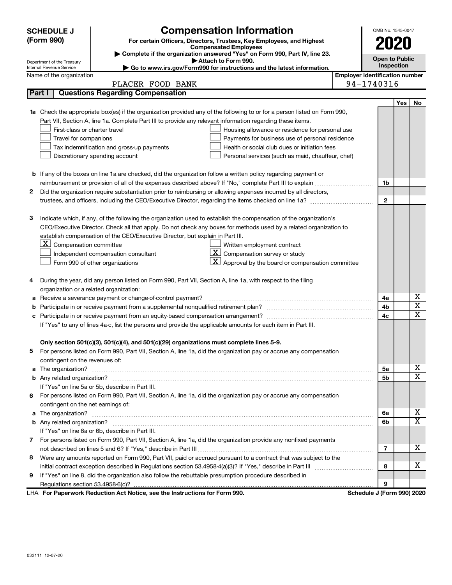|    | <b>Compensation Information</b><br><b>SCHEDULE J</b>                                                                                                    |                                       | OMB No. 1545-0047                   |     |                         |  |  |
|----|---------------------------------------------------------------------------------------------------------------------------------------------------------|---------------------------------------|-------------------------------------|-----|-------------------------|--|--|
|    | (Form 990)<br>For certain Officers, Directors, Trustees, Key Employees, and Highest<br><b>Compensated Employees</b>                                     |                                       | <b>2020</b>                         |     |                         |  |  |
|    | Complete if the organization answered "Yes" on Form 990, Part IV, line 23.                                                                              |                                       |                                     |     |                         |  |  |
|    | Attach to Form 990.<br>Department of the Treasury<br>Internal Revenue Service<br>Go to www.irs.gov/Form990 for instructions and the latest information. |                                       | <b>Open to Public</b><br>Inspection |     |                         |  |  |
|    | Name of the organization                                                                                                                                | <b>Employer identification number</b> |                                     |     |                         |  |  |
|    | PLACER FOOD BANK                                                                                                                                        | 94-1740316                            |                                     |     |                         |  |  |
|    | <b>Questions Regarding Compensation</b><br>Part I                                                                                                       |                                       |                                     |     |                         |  |  |
|    |                                                                                                                                                         |                                       |                                     | Yes | No                      |  |  |
|    | 1a Check the appropriate box(es) if the organization provided any of the following to or for a person listed on Form 990,                               |                                       |                                     |     |                         |  |  |
|    | Part VII, Section A, line 1a. Complete Part III to provide any relevant information regarding these items.                                              |                                       |                                     |     |                         |  |  |
|    | First-class or charter travel<br>Housing allowance or residence for personal use                                                                        |                                       |                                     |     |                         |  |  |
|    | Travel for companions<br>Payments for business use of personal residence                                                                                |                                       |                                     |     |                         |  |  |
|    | Tax indemnification and gross-up payments<br>Health or social club dues or initiation fees                                                              |                                       |                                     |     |                         |  |  |
|    | Discretionary spending account<br>Personal services (such as maid, chauffeur, chef)                                                                     |                                       |                                     |     |                         |  |  |
|    |                                                                                                                                                         |                                       |                                     |     |                         |  |  |
|    | <b>b</b> If any of the boxes on line 1a are checked, did the organization follow a written policy regarding payment or                                  |                                       |                                     |     |                         |  |  |
|    | reimbursement or provision of all of the expenses described above? If "No," complete Part III to explain                                                |                                       | 1b                                  |     |                         |  |  |
| 2  | Did the organization require substantiation prior to reimbursing or allowing expenses incurred by all directors,                                        |                                       |                                     |     |                         |  |  |
|    |                                                                                                                                                         |                                       | $\mathbf{2}$                        |     |                         |  |  |
|    |                                                                                                                                                         |                                       |                                     |     |                         |  |  |
| з  | Indicate which, if any, of the following the organization used to establish the compensation of the organization's                                      |                                       |                                     |     |                         |  |  |
|    | CEO/Executive Director. Check all that apply. Do not check any boxes for methods used by a related organization to                                      |                                       |                                     |     |                         |  |  |
|    | establish compensation of the CEO/Executive Director, but explain in Part III.                                                                          |                                       |                                     |     |                         |  |  |
|    | $ \mathbf{X} $ Compensation committee<br>Written employment contract                                                                                    |                                       |                                     |     |                         |  |  |
|    | $ \mathbf{X} $ Compensation survey or study<br>Independent compensation consultant                                                                      |                                       |                                     |     |                         |  |  |
|    | $\underline{\mathbf{X}}$ Approval by the board or compensation committee<br>Form 990 of other organizations                                             |                                       |                                     |     |                         |  |  |
| 4  | During the year, did any person listed on Form 990, Part VII, Section A, line 1a, with respect to the filing                                            |                                       |                                     |     |                         |  |  |
|    | organization or a related organization:                                                                                                                 |                                       |                                     |     |                         |  |  |
| а  | Receive a severance payment or change-of-control payment?                                                                                               |                                       | 4a                                  |     | x                       |  |  |
| b  |                                                                                                                                                         |                                       | 4b                                  |     | $\overline{\textbf{x}}$ |  |  |
| с  |                                                                                                                                                         |                                       | 4с                                  |     | $\overline{\textbf{X}}$ |  |  |
|    | If "Yes" to any of lines 4a-c, list the persons and provide the applicable amounts for each item in Part III.                                           |                                       |                                     |     |                         |  |  |
|    |                                                                                                                                                         |                                       |                                     |     |                         |  |  |
|    | Only section 501(c)(3), 501(c)(4), and 501(c)(29) organizations must complete lines 5-9.                                                                |                                       |                                     |     |                         |  |  |
|    | For persons listed on Form 990, Part VII, Section A, line 1a, did the organization pay or accrue any compensation                                       |                                       |                                     |     |                         |  |  |
|    | contingent on the revenues of:                                                                                                                          |                                       |                                     |     |                         |  |  |
|    |                                                                                                                                                         |                                       | 5a                                  |     | x                       |  |  |
|    |                                                                                                                                                         |                                       | 5b                                  |     | $\overline{\mathtt{x}}$ |  |  |
|    | If "Yes" on line 5a or 5b, describe in Part III.                                                                                                        |                                       |                                     |     |                         |  |  |
| 6. | For persons listed on Form 990, Part VII, Section A, line 1a, did the organization pay or accrue any compensation                                       |                                       |                                     |     |                         |  |  |
|    | contingent on the net earnings of:                                                                                                                      |                                       |                                     |     |                         |  |  |
|    |                                                                                                                                                         |                                       | 6a                                  |     | x                       |  |  |
|    |                                                                                                                                                         |                                       | 6b                                  |     | $\overline{\mathtt{x}}$ |  |  |
|    | If "Yes" on line 6a or 6b, describe in Part III.                                                                                                        |                                       |                                     |     |                         |  |  |
|    | 7 For persons listed on Form 990, Part VII, Section A, line 1a, did the organization provide any nonfixed payments                                      |                                       |                                     |     |                         |  |  |
|    |                                                                                                                                                         |                                       | 7                                   |     | x                       |  |  |
| 8  | Were any amounts reported on Form 990, Part VII, paid or accrued pursuant to a contract that was subject to the                                         |                                       |                                     |     |                         |  |  |
|    |                                                                                                                                                         |                                       | 8                                   |     | x                       |  |  |
| 9  | If "Yes" on line 8, did the organization also follow the rebuttable presumption procedure described in                                                  |                                       |                                     |     |                         |  |  |
|    |                                                                                                                                                         |                                       | 9                                   |     |                         |  |  |
|    | LHA For Paperwork Reduction Act Notice, see the Instructions for Form 990.                                                                              | Schedule J (Form 990) 2020            |                                     |     |                         |  |  |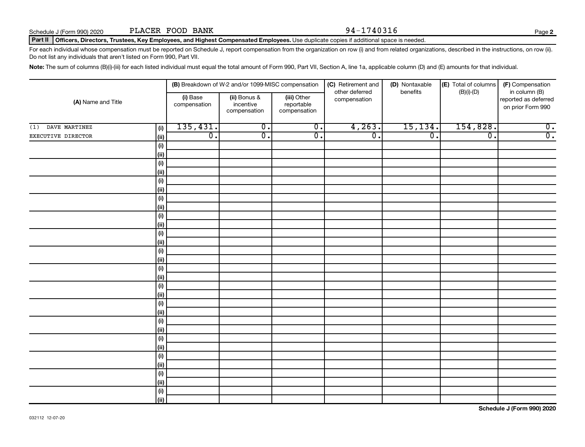**2**

### Part II | Officers, Directors, Trustees, Key Employees, and Highest Compensated Employees. Use duplicate copies if additional space is needed.

For each individual whose compensation must be reported on Schedule J, report compensation from the organization on row (i) and from related organizations, described in the instructions, on row (ii). Do not list any individuals that aren't listed on Form 990, Part VII.

Note: The sum of columns (B)(i)-(iii) for each listed individual must equal the total amount of Form 990, Part VII, Section A, line 1a, applicable column (D) and (E) amounts for that individual.

| (A) Name and Title   |                              |                          | (B) Breakdown of W-2 and/or 1099-MISC compensation |                                           | (C) Retirement and             | (D) Nontaxable   | (E) Total of columns        | (F) Compensation                                           |
|----------------------|------------------------------|--------------------------|----------------------------------------------------|-------------------------------------------|--------------------------------|------------------|-----------------------------|------------------------------------------------------------|
|                      |                              | (i) Base<br>compensation | (ii) Bonus &<br>incentive<br>compensation          | (iii) Other<br>reportable<br>compensation | other deferred<br>compensation | benefits         | $(B)(i)$ - $(D)$            | in column (B)<br>reported as deferred<br>on prior Form 990 |
| DAVE MARTINEZ<br>(1) | (i)                          | 135,431.                 | $\overline{\mathfrak{o}}$ .                        | $\overline{0}$ .                          | 4, 263.                        | 15, 134.         | 154,828.                    | $\overline{0}$ .                                           |
| EXECUTIVE DIRECTOR   | (ii)                         | $\overline{0}$ .         | $\overline{0}$ .                                   | $\overline{0}$ .                          | $\overline{0}$ .               | $\overline{0}$ . | $\overline{\mathfrak{o}}$ . | $\overline{0}$ .                                           |
|                      | $\qquad \qquad \textbf{(i)}$ |                          |                                                    |                                           |                                |                  |                             |                                                            |
|                      | $\vert$ (ii)                 |                          |                                                    |                                           |                                |                  |                             |                                                            |
|                      | $(\sf{i})$                   |                          |                                                    |                                           |                                |                  |                             |                                                            |
|                      | (ii)                         |                          |                                                    |                                           |                                |                  |                             |                                                            |
|                      | $(\sf{i})$                   |                          |                                                    |                                           |                                |                  |                             |                                                            |
|                      | (ii)                         |                          |                                                    |                                           |                                |                  |                             |                                                            |
|                      | (i)                          |                          |                                                    |                                           |                                |                  |                             |                                                            |
|                      | (ii)                         |                          |                                                    |                                           |                                |                  |                             |                                                            |
|                      | (i)                          |                          |                                                    |                                           |                                |                  |                             |                                                            |
|                      | (ii)                         |                          |                                                    |                                           |                                |                  |                             |                                                            |
|                      | (i)                          |                          |                                                    |                                           |                                |                  |                             |                                                            |
|                      | (ii)                         |                          |                                                    |                                           |                                |                  |                             |                                                            |
|                      | (i)                          |                          |                                                    |                                           |                                |                  |                             |                                                            |
|                      | (ii)                         |                          |                                                    |                                           |                                |                  |                             |                                                            |
|                      | $(\sf{i})$                   |                          |                                                    |                                           |                                |                  |                             |                                                            |
|                      | (ii)                         |                          |                                                    |                                           |                                |                  |                             |                                                            |
|                      | $(\sf{i})$<br>(ii)           |                          |                                                    |                                           |                                |                  |                             |                                                            |
|                      | (i)                          |                          |                                                    |                                           |                                |                  |                             |                                                            |
|                      | (ii)                         |                          |                                                    |                                           |                                |                  |                             |                                                            |
|                      | (i)                          |                          |                                                    |                                           |                                |                  |                             |                                                            |
|                      | (ii)                         |                          |                                                    |                                           |                                |                  |                             |                                                            |
|                      | (i)                          |                          |                                                    |                                           |                                |                  |                             |                                                            |
|                      | (ii)                         |                          |                                                    |                                           |                                |                  |                             |                                                            |
|                      | (i)                          |                          |                                                    |                                           |                                |                  |                             |                                                            |
|                      | (ii)                         |                          |                                                    |                                           |                                |                  |                             |                                                            |
|                      | (i)                          |                          |                                                    |                                           |                                |                  |                             |                                                            |
|                      | (ii)                         |                          |                                                    |                                           |                                |                  |                             |                                                            |
|                      | $(\sf{i})$                   |                          |                                                    |                                           |                                |                  |                             |                                                            |
|                      | (ii)                         |                          |                                                    |                                           |                                |                  |                             |                                                            |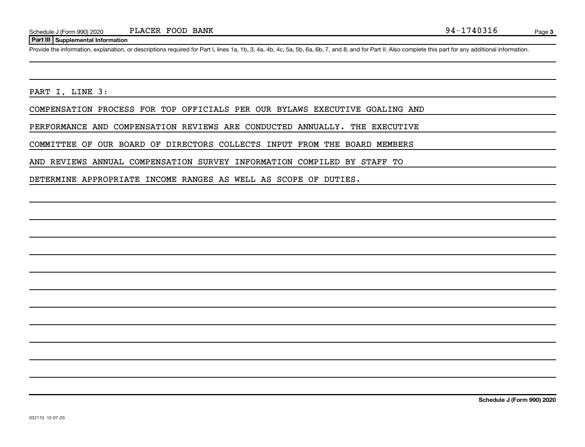### **Part III Supplemental Information**

Provide the information, explanation, or descriptions required for Part I, lines 1a, 1b, 3, 4a, 4b, 4c, 5a, 5b, 6a, 6b, 7, and 8, and for Part II. Also complete this part for any additional information.

PART I, LINE 3:

COMPENSATION PROCESS FOR TOP OFFICIALS PER OUR BYLAWS EXECUTIVE GOALING AND

PERFORMANCE AND COMPENSATION REVIEWS ARE CONDUCTED ANNUALLY. THE EXECUTIVE

COMMITTEE OF OUR BOARD OF DIRECTORS COLLECTS INPUT FROM THE BOARD MEMBERS

AND REVIEWS ANNUAL COMPENSATION SURVEY INFORMATION COMPILED BY STAFF TO

DETERMINE APPROPRIATE INCOME RANGES AS WELL AS SCOPE OF DUTIES.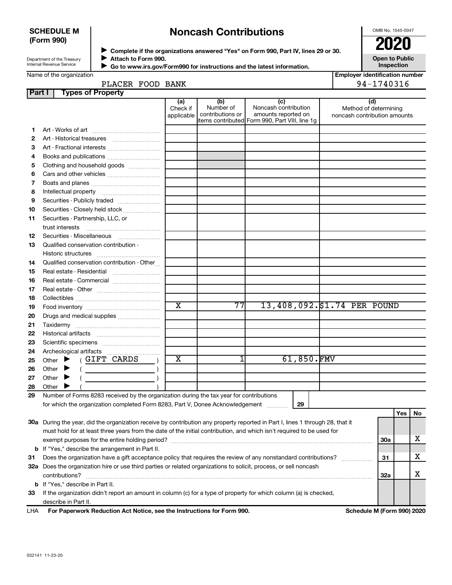### **SCHEDULE M (Form 990)**

### **Noncash Contributions**

OMB No. 1545-0047

**Employer identification number**

| Department of the Treasury |
|----------------------------|
| Internal Revenue Service   |

**Complete if the organizations answered "Yes" on Form 990, Part IV, lines 29 or 30. Attach to Form 990.** →<br>**→** Complete if the organizations answered "Yes" on Form 990, Part IV, lines 29 or 30.<br>● Complete if the organizations answered "Yes" on Form 990, Part IV, lines 29 or 30.  $\blacktriangleright$ 

 **Go to www.irs.gov/Form990 for instructions and the latest information.** J

**Open to Public Inspection**

| Name of the organization |
|--------------------------|
|                          |

| PLACER FOOD BANK |  |  |
|------------------|--|--|

|               | PLACER FOOD BANK                                                                                                               |                               |                                      |                                                                                                      | 94-1740316                                                   |     |     |           |
|---------------|--------------------------------------------------------------------------------------------------------------------------------|-------------------------------|--------------------------------------|------------------------------------------------------------------------------------------------------|--------------------------------------------------------------|-----|-----|-----------|
| <b>Part I</b> | <b>Types of Property</b>                                                                                                       |                               |                                      |                                                                                                      |                                                              |     |     |           |
|               |                                                                                                                                | (a)<br>Check if<br>applicable | (b)<br>Number of<br>contributions or | (c)<br>Noncash contribution<br>amounts reported on<br>items contributed Form 990, Part VIII, line 1g | (d)<br>Method of determining<br>noncash contribution amounts |     |     |           |
| 1.            |                                                                                                                                |                               |                                      |                                                                                                      |                                                              |     |     |           |
| 2             |                                                                                                                                |                               |                                      |                                                                                                      |                                                              |     |     |           |
| 3             | Art - Fractional interests                                                                                                     |                               |                                      |                                                                                                      |                                                              |     |     |           |
| 4             |                                                                                                                                |                               |                                      |                                                                                                      |                                                              |     |     |           |
| 5             | Clothing and household goods                                                                                                   |                               |                                      |                                                                                                      |                                                              |     |     |           |
| 6             |                                                                                                                                |                               |                                      |                                                                                                      |                                                              |     |     |           |
| 7             |                                                                                                                                |                               |                                      |                                                                                                      |                                                              |     |     |           |
| 8             |                                                                                                                                |                               |                                      |                                                                                                      |                                                              |     |     |           |
| 9             | Securities - Publicly traded                                                                                                   |                               |                                      |                                                                                                      |                                                              |     |     |           |
| 10            | Securities - Closely held stock                                                                                                |                               |                                      |                                                                                                      |                                                              |     |     |           |
| 11            | Securities - Partnership, LLC, or                                                                                              |                               |                                      |                                                                                                      |                                                              |     |     |           |
|               |                                                                                                                                |                               |                                      |                                                                                                      |                                                              |     |     |           |
| 12            |                                                                                                                                |                               |                                      |                                                                                                      |                                                              |     |     |           |
| 13            | Qualified conservation contribution -                                                                                          |                               |                                      |                                                                                                      |                                                              |     |     |           |
|               |                                                                                                                                |                               |                                      |                                                                                                      |                                                              |     |     |           |
| 14            | Qualified conservation contribution - Other                                                                                    |                               |                                      |                                                                                                      |                                                              |     |     |           |
| 15            | Real estate - Residential                                                                                                      |                               |                                      |                                                                                                      |                                                              |     |     |           |
| 16            | Real estate - Commercial                                                                                                       |                               |                                      |                                                                                                      |                                                              |     |     |           |
| 17            |                                                                                                                                |                               |                                      |                                                                                                      |                                                              |     |     |           |
| 18            |                                                                                                                                |                               |                                      |                                                                                                      |                                                              |     |     |           |
| 19            |                                                                                                                                | $\overline{\text{x}}$         | 77                                   |                                                                                                      | 13,408,092.\$1.74 PER POUND                                  |     |     |           |
| 20            | Drugs and medical supplies                                                                                                     |                               |                                      |                                                                                                      |                                                              |     |     |           |
| 21            |                                                                                                                                |                               |                                      |                                                                                                      |                                                              |     |     |           |
| 22            |                                                                                                                                |                               |                                      |                                                                                                      |                                                              |     |     |           |
| 23            |                                                                                                                                |                               |                                      |                                                                                                      |                                                              |     |     |           |
| 24            |                                                                                                                                |                               |                                      |                                                                                                      |                                                              |     |     |           |
| 25            | (GIFT CARDS<br>Other $\blacktriangleright$                                                                                     | $\overline{\mathbf{X}}$       |                                      | 61,850.FMV                                                                                           |                                                              |     |     |           |
| 26            | Other $\blacktriangleright$<br>$\left(\begin{array}{ccc}\n&\n&\n\end{array}\right)$                                            |                               |                                      |                                                                                                      |                                                              |     |     |           |
| 27            | Other $\blacktriangleright$                                                                                                    |                               |                                      |                                                                                                      |                                                              |     |     |           |
| 28            | Other $\blacktriangleright$                                                                                                    |                               |                                      |                                                                                                      |                                                              |     |     |           |
| 29            | Number of Forms 8283 received by the organization during the tax year for contributions                                        |                               |                                      |                                                                                                      |                                                              |     |     |           |
|               | for which the organization completed Form 8283, Part V, Donee Acknowledgement                                                  |                               |                                      | 29                                                                                                   |                                                              |     |     |           |
|               |                                                                                                                                |                               |                                      |                                                                                                      |                                                              |     | Yes | <b>No</b> |
|               | 30a During the year, did the organization receive by contribution any property reported in Part I, lines 1 through 28, that it |                               |                                      |                                                                                                      |                                                              |     |     |           |
|               | must hold for at least three years from the date of the initial contribution, and which isn't required to be used for          |                               |                                      |                                                                                                      |                                                              |     |     |           |
|               |                                                                                                                                |                               |                                      |                                                                                                      |                                                              | 30a |     | x         |
|               | <b>b</b> If "Yes," describe the arrangement in Part II.                                                                        |                               |                                      |                                                                                                      |                                                              |     |     |           |
| 31            | Does the organization have a gift acceptance policy that requires the review of any nonstandard contributions?                 |                               |                                      |                                                                                                      |                                                              | 31  |     | x         |
|               | 32a Does the organization hire or use third parties or related organizations to solicit, process, or sell noncash              |                               |                                      |                                                                                                      |                                                              |     |     |           |
|               | contributions?                                                                                                                 |                               |                                      |                                                                                                      |                                                              | 32a |     | x         |
|               | b If "Yes," describe in Part II.                                                                                               |                               |                                      |                                                                                                      |                                                              |     |     |           |
| 33            | If the organization didn't report an amount in column (c) for a type of property for which column (a) is checked,              |                               |                                      |                                                                                                      |                                                              |     |     |           |
|               | describe in Part II.                                                                                                           |                               |                                      |                                                                                                      |                                                              |     |     |           |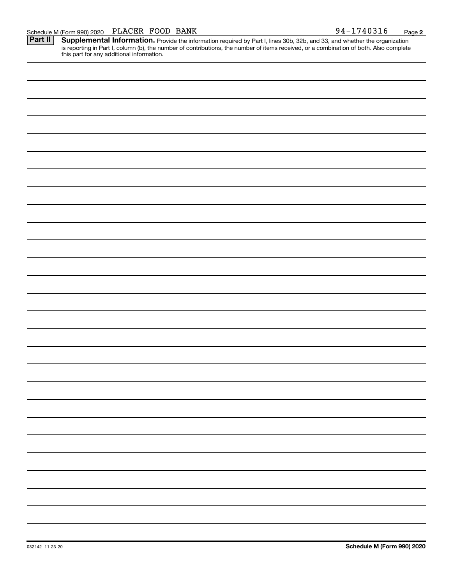Provide the information required by Part I, lines 30b, 32b, and 33, and whether the organization is reporting in Part I, column (b), the number of contributions, the number of items received, or a combination of both. Also complete this part for any additional information. **Part II Supplemental Information.** 

| <u> 1989 - Johann Harry Harry Harry Harry Harry Harry Harry Harry Harry Harry Harry Harry Harry Harry Harry Harry</u> |
|-----------------------------------------------------------------------------------------------------------------------|
|                                                                                                                       |
|                                                                                                                       |
|                                                                                                                       |
|                                                                                                                       |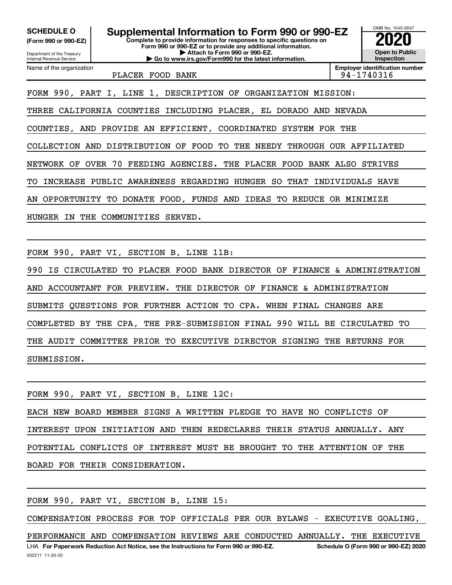Internal Revenue Service

Department of the Treasury **(Form 990 or 990-EZ)**

Name of the organization

**Complete to provide information for responses to specific questions on Form 990 or 990-EZ or to provide any additional information. | Attach to Form 990 or 990-EZ. | Go to www.irs.gov/Form990 for the latest information. SCHEDULE O Supplemental Information to Form 990 or 990-EZ 2020**<br>(Form 990 or 990-EZ) Complete to provide information for responses to specific questions on



PLACER FOOD BANK 94-1740316

FORM 990, PART I, LINE 1, DESCRIPTION OF ORGANIZATION MISSION:

THREE CALIFORNIA COUNTIES INCLUDING PLACER, EL DORADO AND NEVADA

COUNTIES, AND PROVIDE AN EFFICIENT, COORDINATED SYSTEM FOR THE

COLLECTION AND DISTRIBUTION OF FOOD TO THE NEEDY THROUGH OUR AFFILIATED

NETWORK OF OVER 70 FEEDING AGENCIES. THE PLACER FOOD BANK ALSO STRIVES

TO INCREASE PUBLIC AWARENESS REGARDING HUNGER SO THAT INDIVIDUALS HAVE

AN OPPORTUNITY TO DONATE FOOD, FUNDS AND IDEAS TO REDUCE OR MINIMIZE

HUNGER IN THE COMMUNITIES SERVED.

FORM 990, PART VI, SECTION B, LINE 11B:

990 IS CIRCULATED TO PLACER FOOD BANK DIRECTOR OF FINANCE & ADMINISTRATION AND ACCOUNTANT FOR PREVIEW. THE DIRECTOR OF FINANCE & ADMINISTRATION SUBMITS QUESTIONS FOR FURTHER ACTION TO CPA. WHEN FINAL CHANGES ARE COMPLETED BY THE CPA, THE PRE-SUBMISSION FINAL 990 WILL BE CIRCULATED TO THE AUDIT COMMITTEE PRIOR TO EXECUTIVE DIRECTOR SIGNING THE RETURNS FOR SUBMISSION.

FORM 990, PART VI, SECTION B, LINE 12C: EACH NEW BOARD MEMBER SIGNS A WRITTEN PLEDGE TO HAVE NO CONFLICTS OF INTEREST UPON INITIATION AND THEN REDECLARES THEIR STATUS ANNUALLY. ANY POTENTIAL CONFLICTS OF INTEREST MUST BE BROUGHT TO THE ATTENTION OF THE BOARD FOR THEIR CONSIDERATION.

FORM 990, PART VI, SECTION B, LINE 15:

COMPENSATION PROCESS FOR TOP OFFICIALS PER OUR BYLAWS - EXECUTIVE GOALING,